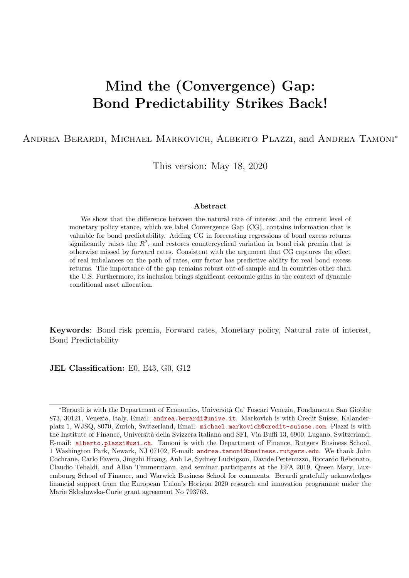# Mind the (Convergence) Gap: Bond Predictability Strikes Back!

Andrea Berardi, Michael Markovich, Alberto Plazzi, and Andrea Tamoni<sup>∗</sup>

This version: May 18, 2020

### Abstract

We show that the difference between the natural rate of interest and the current level of monetary policy stance, which we label Convergence Gap (CG), contains information that is valuable for bond predictability. Adding CG in forecasting regressions of bond excess returns significantly raises the  $R^2$ , and restores countercyclical variation in bond risk premia that is otherwise missed by forward rates. Consistent with the argument that CG captures the effect of real imbalances on the path of rates, our factor has predictive ability for real bond excess returns. The importance of the gap remains robust out-of-sample and in countries other than the U.S. Furthermore, its inclusion brings significant economic gains in the context of dynamic conditional asset allocation.

Keywords: Bond risk premia, Forward rates, Monetary policy, Natural rate of interest, Bond Predictability

JEL Classification: E0, E43, G0, G12

<sup>∗</sup>Berardi is with the Department of Economics, Universit`a Ca' Foscari Venezia, Fondamenta San Giobbe 873, 30121, Venezia, Italy, Email: <andrea.berardi@unive.it>. Markovich is with Credit Suisse, Kalanderplatz 1, WJSQ, 8070, Zurich, Switzerland, Email: <michael.markovich@credit-suisse.com>. Plazzi is with the Institute of Finance, Università della Svizzera italiana and SFI, Via Buffi 13, 6900, Lugano, Switzerland, E-mail: <alberto.plazzi@usi.ch>. Tamoni is with the Department of Finance, Rutgers Business School, 1 Washington Park, Newark, NJ 07102, E-mail: <andrea.tamoni@business.rutgers.edu>. We thank John Cochrane, Carlo Favero, Jingzhi Huang, Anh Le, Sydney Ludvigson, Davide Pettenuzzo, Riccardo Rebonato, Claudio Tebaldi, and Allan Timmermann, and seminar participants at the EFA 2019, Queen Mary, Luxembourg School of Finance, and Warwick Business School for comments. Berardi gratefully acknowledges financial support from the European Union's Horizon 2020 research and innovation programme under the Marie Sklodowska-Curie grant agreement No 793763.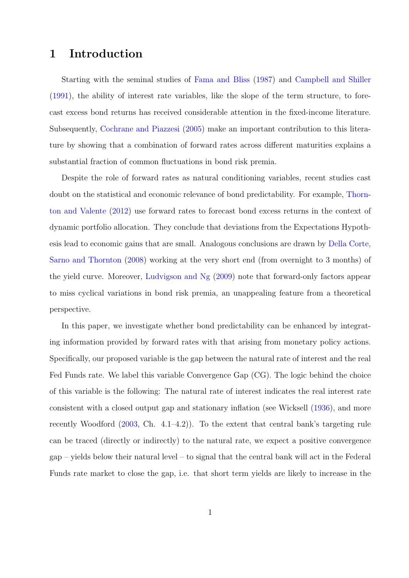## 1 Introduction

Starting with the seminal studies of [Fama and Bliss](#page-35-0) [\(1987\)](#page-35-0) and [Campbell and Shiller](#page-33-0) [\(1991\)](#page-33-0), the ability of interest rate variables, like the slope of the term structure, to forecast excess bond returns has received considerable attention in the fixed-income literature. Subsequently, [Cochrane and Piazzesi](#page-34-0) [\(2005\)](#page-34-0) make an important contribution to this literature by showing that a combination of forward rates across different maturities explains a substantial fraction of common fluctuations in bond risk premia.

Despite the role of forward rates as natural conditioning variables, recent studies cast doubt on the statistical and economic relevance of bond predictability. For example, [Thorn](#page-37-0)[ton and Valente](#page-37-0) [\(2012\)](#page-37-0) use forward rates to forecast bond excess returns in the context of dynamic portfolio allocation. They conclude that deviations from the Expectations Hypothesis lead to economic gains that are small. Analogous conclusions are drawn by [Della Corte,](#page-34-1) [Sarno and Thornton](#page-34-1) [\(2008\)](#page-34-1) working at the very short end (from overnight to 3 months) of the yield curve. Moreover, [Ludvigson and Ng](#page-36-0) [\(2009\)](#page-36-0) note that forward-only factors appear to miss cyclical variations in bond risk premia, an unappealing feature from a theoretical perspective.

In this paper, we investigate whether bond predictability can be enhanced by integrating information provided by forward rates with that arising from monetary policy actions. Specifically, our proposed variable is the gap between the natural rate of interest and the real Fed Funds rate. We label this variable Convergence Gap (CG). The logic behind the choice of this variable is the following: The natural rate of interest indicates the real interest rate consistent with a closed output gap and stationary inflation (see Wicksell [\(1936\)](#page-37-1), and more recently Woodford  $(2003, Ch. 4.1-4.2)$  $(2003, Ch. 4.1-4.2)$ . To the extent that central bank's targeting rule can be traced (directly or indirectly) to the natural rate, we expect a positive convergence  $gap - yields below their natural level - to signal that the central bank will act in the Federal$ Funds rate market to close the gap, i.e. that short term yields are likely to increase in the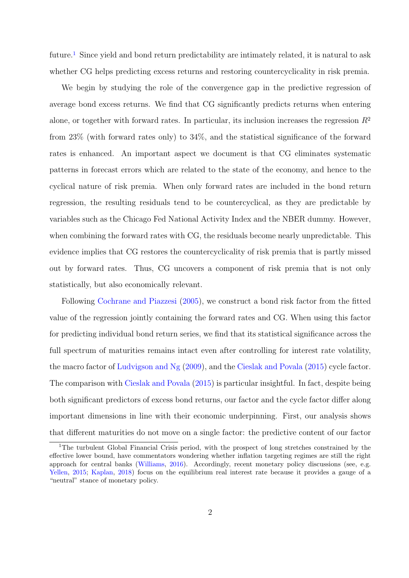future.<sup>[1](#page-2-0)</sup> Since yield and bond return predictability are intimately related, it is natural to ask whether CG helps predicting excess returns and restoring countercyclicality in risk premia.

We begin by studying the role of the convergence gap in the predictive regression of average bond excess returns. We find that CG significantly predicts returns when entering alone, or together with forward rates. In particular, its inclusion increases the regression  $R^2$ from 23% (with forward rates only) to 34%, and the statistical significance of the forward rates is enhanced. An important aspect we document is that CG eliminates systematic patterns in forecast errors which are related to the state of the economy, and hence to the cyclical nature of risk premia. When only forward rates are included in the bond return regression, the resulting residuals tend to be countercyclical, as they are predictable by variables such as the Chicago Fed National Activity Index and the NBER dummy. However, when combining the forward rates with CG, the residuals become nearly unpredictable. This evidence implies that CG restores the countercyclicality of risk premia that is partly missed out by forward rates. Thus, CG uncovers a component of risk premia that is not only statistically, but also economically relevant.

Following [Cochrane and Piazzesi](#page-34-0) [\(2005\)](#page-34-0), we construct a bond risk factor from the fitted value of the regression jointly containing the forward rates and CG. When using this factor for predicting individual bond return series, we find that its statistical significance across the full spectrum of maturities remains intact even after controlling for interest rate volatility, the macro factor of [Ludvigson and Ng](#page-36-0) [\(2009\)](#page-36-0), and the [Cieslak and Povala](#page-34-2) [\(2015\)](#page-34-2) cycle factor. The comparison with [Cieslak and Povala](#page-34-2) [\(2015\)](#page-34-2) is particular insightful. In fact, despite being both significant predictors of excess bond returns, our factor and the cycle factor differ along important dimensions in line with their economic underpinning. First, our analysis shows that different maturities do not move on a single factor: the predictive content of our factor

<span id="page-2-0"></span><sup>&</sup>lt;sup>1</sup>The turbulent Global Financial Crisis period, with the prospect of long stretches constrained by the effective lower bound, have commentators wondering whether inflation targeting regimes are still the right approach for central banks [\(Williams,](#page-37-3) [2016\)](#page-37-3). Accordingly, recent monetary policy discussions (see, e.g. [Yellen,](#page-37-4) [2015;](#page-37-4) [Kaplan,](#page-36-1) [2018\)](#page-36-1) focus on the equilibrium real interest rate because it provides a gauge of a "neutral" stance of monetary policy.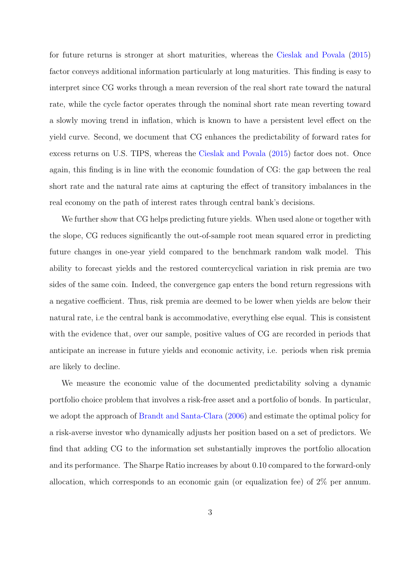for future returns is stronger at short maturities, whereas the [Cieslak and Povala](#page-34-2) [\(2015\)](#page-34-2) factor conveys additional information particularly at long maturities. This finding is easy to interpret since CG works through a mean reversion of the real short rate toward the natural rate, while the cycle factor operates through the nominal short rate mean reverting toward a slowly moving trend in inflation, which is known to have a persistent level effect on the yield curve. Second, we document that CG enhances the predictability of forward rates for excess returns on U.S. TIPS, whereas the [Cieslak and Povala](#page-34-2) [\(2015\)](#page-34-2) factor does not. Once again, this finding is in line with the economic foundation of CG: the gap between the real short rate and the natural rate aims at capturing the effect of transitory imbalances in the real economy on the path of interest rates through central bank's decisions.

We further show that CG helps predicting future yields. When used alone or together with the slope, CG reduces significantly the out-of-sample root mean squared error in predicting future changes in one-year yield compared to the benchmark random walk model. This ability to forecast yields and the restored countercyclical variation in risk premia are two sides of the same coin. Indeed, the convergence gap enters the bond return regressions with a negative coefficient. Thus, risk premia are deemed to be lower when yields are below their natural rate, i.e the central bank is accommodative, everything else equal. This is consistent with the evidence that, over our sample, positive values of CG are recorded in periods that anticipate an increase in future yields and economic activity, i.e. periods when risk premia are likely to decline.

We measure the economic value of the documented predictability solving a dynamic portfolio choice problem that involves a risk-free asset and a portfolio of bonds. In particular, we adopt the approach of [Brandt and Santa-Clara](#page-33-1) [\(2006\)](#page-33-1) and estimate the optimal policy for a risk-averse investor who dynamically adjusts her position based on a set of predictors. We find that adding CG to the information set substantially improves the portfolio allocation and its performance. The Sharpe Ratio increases by about 0.10 compared to the forward-only allocation, which corresponds to an economic gain (or equalization fee) of 2% per annum.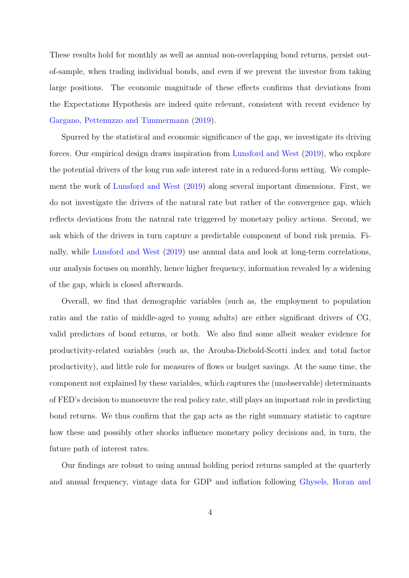These results hold for monthly as well as annual non-overlapping bond returns, persist outof-sample, when trading individual bonds, and even if we prevent the investor from taking large positions. The economic magnitude of these effects confirms that deviations from the Expectations Hypothesis are indeed quite relevant, consistent with recent evidence by [Gargano, Pettenuzzo and Timmermann](#page-35-1) [\(2019\)](#page-35-1).

Spurred by the statistical and economic significance of the gap, we investigate its driving forces. Our empirical design draws inspiration from [Lunsford and West](#page-36-2) [\(2019\)](#page-36-2), who explore the potential drivers of the long run safe interest rate in a reduced-form setting. We complement the work of [Lunsford and West](#page-36-2) [\(2019\)](#page-36-2) along several important dimensions. First, we do not investigate the drivers of the natural rate but rather of the convergence gap, which reflects deviations from the natural rate triggered by monetary policy actions. Second, we ask which of the drivers in turn capture a predictable component of bond risk premia. Finally, while [Lunsford and West](#page-36-2) [\(2019\)](#page-36-2) use annual data and look at long-term correlations, our analysis focuses on monthly, hence higher frequency, information revealed by a widening of the gap, which is closed afterwards.

Overall, we find that demographic variables (such as, the employment to population ratio and the ratio of middle-aged to young adults) are either significant drivers of CG, valid predictors of bond returns, or both. We also find some albeit weaker evidence for productivity-related variables (such as, the Arouba-Diebold-Scotti index and total factor productivity), and little role for measures of flows or budget savings. At the same time, the component not explained by these variables, which captures the (unobservable) determinants of FED's decision to manoeuvre the real policy rate, still plays an important role in predicting bond returns. We thus confirm that the gap acts as the right summary statistic to capture how these and possibly other shocks influence monetary policy decisions and, in turn, the future path of interest rates.

Our findings are robust to using annual holding period returns sampled at the quarterly and annual frequency, vintage data for GDP and inflation following [Ghysels, Horan and](#page-35-2)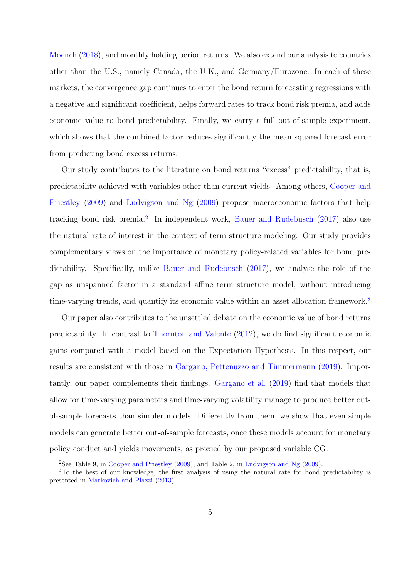[Moench](#page-35-2) [\(2018\)](#page-35-2), and monthly holding period returns. We also extend our analysis to countries other than the U.S., namely Canada, the U.K., and Germany/Eurozone. In each of these markets, the convergence gap continues to enter the bond return forecasting regressions with a negative and significant coefficient, helps forward rates to track bond risk premia, and adds economic value to bond predictability. Finally, we carry a full out-of-sample experiment, which shows that the combined factor reduces significantly the mean squared forecast error from predicting bond excess returns.

Our study contributes to the literature on bond returns "excess" predictability, that is, predictability achieved with variables other than current yields. Among others, [Cooper and](#page-34-3) [Priestley](#page-34-3) [\(2009\)](#page-34-3) and [Ludvigson and Ng](#page-36-0) [\(2009\)](#page-36-0) propose macroeconomic factors that help tracking bond risk premia.<sup>[2](#page-5-0)</sup> In independent work, [Bauer and Rudebusch](#page-33-2) [\(2017\)](#page-33-2) also use the natural rate of interest in the context of term structure modeling. Our study provides complementary views on the importance of monetary policy-related variables for bond predictability. Specifically, unlike [Bauer and Rudebusch](#page-33-2) [\(2017\)](#page-33-2), we analyse the role of the gap as unspanned factor in a standard affine term structure model, without introducing time-varying trends, and quantify its economic value within an asset allocation framework.<sup>[3](#page-5-1)</sup>

Our paper also contributes to the unsettled debate on the economic value of bond returns predictability. In contrast to [Thornton and Valente](#page-37-0) [\(2012\)](#page-37-0), we do find significant economic gains compared with a model based on the Expectation Hypothesis. In this respect, our results are consistent with those in [Gargano, Pettenuzzo and Timmermann](#page-35-1) [\(2019\)](#page-35-1). Importantly, our paper complements their findings. [Gargano et al.](#page-35-1) [\(2019\)](#page-35-1) find that models that allow for time-varying parameters and time-varying volatility manage to produce better outof-sample forecasts than simpler models. Differently from them, we show that even simple models can generate better out-of-sample forecasts, once these models account for monetary policy conduct and yields movements, as proxied by our proposed variable CG.

<span id="page-5-1"></span><span id="page-5-0"></span><sup>2</sup>See Table 9, in [Cooper and Priestley](#page-34-3) [\(2009\)](#page-34-3), and Table 2, in [Ludvigson and Ng](#page-36-0) [\(2009\)](#page-36-0).

<sup>&</sup>lt;sup>3</sup>To the best of our knowledge, the first analysis of using the natural rate for bond predictability is presented in [Markovich and Plazzi](#page-36-3) [\(2013\)](#page-36-3).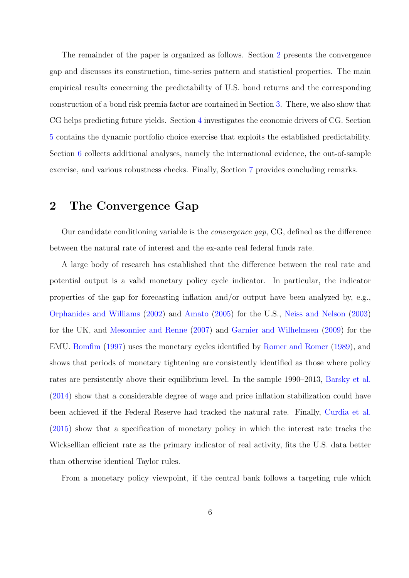The remainder of the paper is organized as follows. Section [2](#page-6-0) presents the convergence gap and discusses its construction, time-series pattern and statistical properties. The main empirical results concerning the predictability of U.S. bond returns and the corresponding construction of a bond risk premia factor are contained in Section [3.](#page-9-0) There, we also show that CG helps predicting future yields. Section [4](#page-18-0) investigates the economic drivers of CG. Section [5](#page-20-0) contains the dynamic portfolio choice exercise that exploits the established predictability. Section [6](#page-24-0) collects additional analyses, namely the international evidence, the out-of-sample exercise, and various robustness checks. Finally, Section [7](#page-31-0) provides concluding remarks.

### <span id="page-6-0"></span>2 The Convergence Gap

Our candidate conditioning variable is the convergence gap, CG, defined as the difference between the natural rate of interest and the ex-ante real federal funds rate.

A large body of research has established that the difference between the real rate and potential output is a valid monetary policy cycle indicator. In particular, the indicator properties of the gap for forecasting inflation and/or output have been analyzed by, e.g., [Orphanides and Williams](#page-36-4) [\(2002\)](#page-36-4) and [Amato](#page-33-3) [\(2005\)](#page-33-3) for the U.S., [Neiss and Nelson](#page-36-5) [\(2003\)](#page-36-5) for the UK, and [Mesonnier and Renne](#page-36-6) [\(2007\)](#page-36-6) and [Garnier and Wilhelmsen](#page-35-3) [\(2009\)](#page-35-3) for the EMU. [Bomfim](#page-33-4) [\(1997\)](#page-33-4) uses the monetary cycles identified by [Romer and Romer](#page-37-5) [\(1989\)](#page-37-5), and shows that periods of monetary tightening are consistently identified as those where policy rates are persistently above their equilibrium level. In the sample 1990–2013, [Barsky et al.](#page-33-5) [\(2014\)](#page-33-5) show that a considerable degree of wage and price inflation stabilization could have been achieved if the Federal Reserve had tracked the natural rate. Finally, [Curdia et al.](#page-34-4) [\(2015\)](#page-34-4) show that a specification of monetary policy in which the interest rate tracks the Wicksellian efficient rate as the primary indicator of real activity, fits the U.S. data better than otherwise identical Taylor rules.

From a monetary policy viewpoint, if the central bank follows a targeting rule which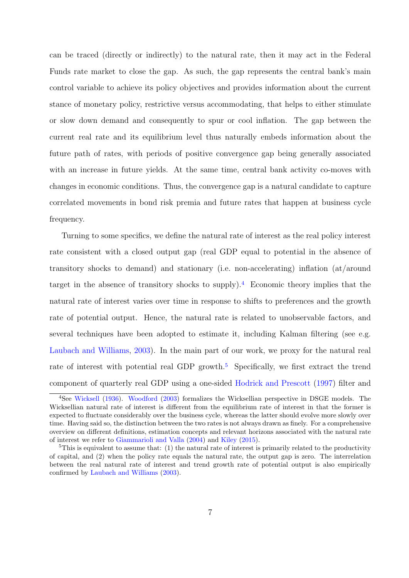can be traced (directly or indirectly) to the natural rate, then it may act in the Federal Funds rate market to close the gap. As such, the gap represents the central bank's main control variable to achieve its policy objectives and provides information about the current stance of monetary policy, restrictive versus accommodating, that helps to either stimulate or slow down demand and consequently to spur or cool inflation. The gap between the current real rate and its equilibrium level thus naturally embeds information about the future path of rates, with periods of positive convergence gap being generally associated with an increase in future yields. At the same time, central bank activity co-moves with changes in economic conditions. Thus, the convergence gap is a natural candidate to capture correlated movements in bond risk premia and future rates that happen at business cycle frequency.

Turning to some specifics, we define the natural rate of interest as the real policy interest rate consistent with a closed output gap (real GDP equal to potential in the absence of transitory shocks to demand) and stationary (i.e. non-accelerating) inflation (at/around target in the absence of transitory shocks to supply).<sup>[4](#page-7-0)</sup> Economic theory implies that the natural rate of interest varies over time in response to shifts to preferences and the growth rate of potential output. Hence, the natural rate is related to unobservable factors, and several techniques have been adopted to estimate it, including Kalman filtering (see e.g. [Laubach and Williams,](#page-36-7) [2003\)](#page-36-7). In the main part of our work, we proxy for the natural real rate of interest with potential real GDP growth.<sup>[5](#page-7-1)</sup> Specifically, we first extract the trend component of quarterly real GDP using a one-sided [Hodrick and Prescott](#page-35-4) [\(1997\)](#page-35-4) filter and

<span id="page-7-0"></span><sup>&</sup>lt;sup>4</sup>See [Wicksell](#page-37-1) [\(1936\)](#page-37-1). [Woodford](#page-37-2) [\(2003\)](#page-37-2) formalizes the Wicksellian perspective in DSGE models. The Wicksellian natural rate of interest is different from the equilibrium rate of interest in that the former is expected to fluctuate considerably over the business cycle, whereas the latter should evolve more slowly over time. Having said so, the distinction between the two rates is not always drawn as finely. For a comprehensive overview on different definitions, estimation concepts and relevant horizons associated with the natural rate of interest we refer to [Giammarioli and Valla](#page-35-5) [\(2004\)](#page-35-5) and [Kiley](#page-36-8) [\(2015\)](#page-36-8).

<span id="page-7-1"></span><sup>&</sup>lt;sup>5</sup>This is equivalent to assume that: (1) the natural rate of interest is primarily related to the productivity of capital, and (2) when the policy rate equals the natural rate, the output gap is zero. The interrelation between the real natural rate of interest and trend growth rate of potential output is also empirically confirmed by [Laubach and Williams](#page-36-7) [\(2003\)](#page-36-7).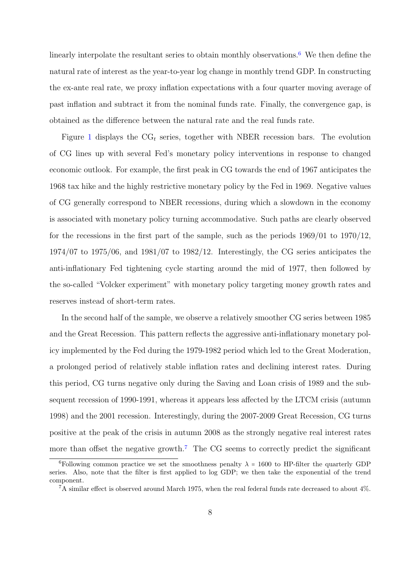linearly interpolate the resultant series to obtain monthly observations.<sup>[6](#page-8-0)</sup> We then define the natural rate of interest as the year-to-year log change in monthly trend GDP. In constructing the ex-ante real rate, we proxy inflation expectations with a four quarter moving average of past inflation and subtract it from the nominal funds rate. Finally, the convergence gap, is obtained as the difference between the natural rate and the real funds rate.

Figure [1](#page-38-0) displays the  $CG_t$  series, together with NBER recession bars. The evolution of CG lines up with several Fed's monetary policy interventions in response to changed economic outlook. For example, the first peak in CG towards the end of 1967 anticipates the 1968 tax hike and the highly restrictive monetary policy by the Fed in 1969. Negative values of CG generally correspond to NBER recessions, during which a slowdown in the economy is associated with monetary policy turning accommodative. Such paths are clearly observed for the recessions in the first part of the sample, such as the periods 1969/01 to 1970/12, 1974/07 to 1975/06, and 1981/07 to 1982/12. Interestingly, the CG series anticipates the anti-inflationary Fed tightening cycle starting around the mid of 1977, then followed by the so-called "Volcker experiment" with monetary policy targeting money growth rates and reserves instead of short-term rates.

In the second half of the sample, we observe a relatively smoother CG series between 1985 and the Great Recession. This pattern reflects the aggressive anti-inflationary monetary policy implemented by the Fed during the 1979-1982 period which led to the Great Moderation, a prolonged period of relatively stable inflation rates and declining interest rates. During this period, CG turns negative only during the Saving and Loan crisis of 1989 and the subsequent recession of 1990-1991, whereas it appears less affected by the LTCM crisis (autumn 1998) and the 2001 recession. Interestingly, during the 2007-2009 Great Recession, CG turns positive at the peak of the crisis in autumn 2008 as the strongly negative real interest rates more than offset the negative growth.<sup>[7](#page-8-1)</sup> The CG seems to correctly predict the significant

<span id="page-8-0"></span><sup>&</sup>lt;sup>6</sup>Following common practice we set the smoothness penalty  $\lambda = 1600$  to HP-filter the quarterly GDP series. Also, note that the filter is first applied to log GDP; we then take the exponential of the trend component.

<span id="page-8-1"></span> ${}^{7}$ A similar effect is observed around March 1975, when the real federal funds rate decreased to about 4%.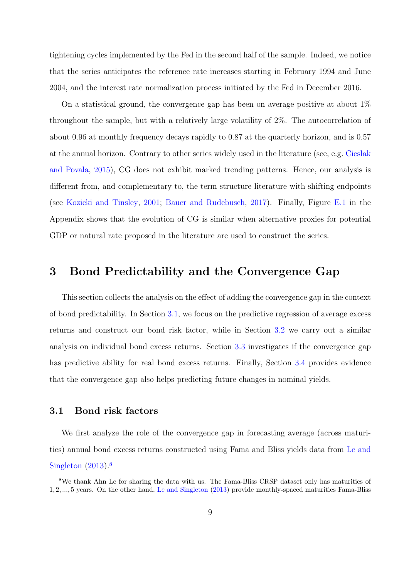tightening cycles implemented by the Fed in the second half of the sample. Indeed, we notice that the series anticipates the reference rate increases starting in February 1994 and June 2004, and the interest rate normalization process initiated by the Fed in December 2016.

On a statistical ground, the convergence gap has been on average positive at about  $1\%$ throughout the sample, but with a relatively large volatility of 2%. The autocorrelation of about 0.96 at monthly frequency decays rapidly to 0.87 at the quarterly horizon, and is 0.57 at the annual horizon. Contrary to other series widely used in the literature (see, e.g. [Cieslak](#page-34-2) [and Povala,](#page-34-2) [2015\)](#page-34-2), CG does not exhibit marked trending patterns. Hence, our analysis is different from, and complementary to, the term structure literature with shifting endpoints (see [Kozicki and Tinsley,](#page-36-9) [2001;](#page-36-9) [Bauer and Rudebusch,](#page-33-2) [2017\)](#page-33-2). Finally, Figure [E.1](#page-56-0) in the Appendix shows that the evolution of CG is similar when alternative proxies for potential GDP or natural rate proposed in the literature are used to construct the series.

## <span id="page-9-0"></span>3 Bond Predictability and the Convergence Gap

This section collects the analysis on the effect of adding the convergence gap in the context of bond predictability. In Section [3.1,](#page-9-1) we focus on the predictive regression of average excess returns and construct our bond risk factor, while in Section [3.2](#page-12-0) we carry out a similar analysis on individual bond excess returns. Section [3.3](#page-14-0) investigates if the convergence gap has predictive ability for real bond excess returns. Finally, Section [3.4](#page-15-0) provides evidence that the convergence gap also helps predicting future changes in nominal yields.

### <span id="page-9-1"></span>3.1 Bond risk factors

We first analyze the role of the convergence gap in forecasting average (across maturities) annual bond excess returns constructed using Fama and Bliss yields data from [Le and](#page-36-10) [Singleton](#page-36-10) [\(2013\)](#page-36-10).[8](#page-9-2)

<span id="page-9-2"></span><sup>8</sup>We thank Ahn Le for sharing the data with us. The Fama-Bliss CRSP dataset only has maturities of 1, 2, ..., 5 years. On the other hand, [Le and Singleton](#page-36-10) [\(2013\)](#page-36-10) provide monthly-spaced maturities Fama-Bliss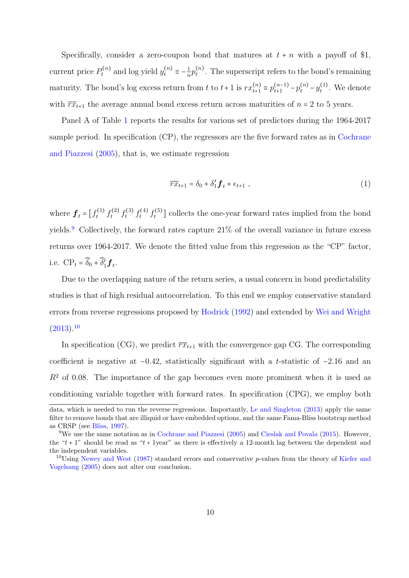Specifically, consider a zero-coupon bond that matures at  $t + n$  with a payoff of \$1, current price  $P_t^{(n)}$  $y_t^{(n)}$  and log yield  $y_t^{(n)} \equiv -\frac{1}{n}$  $\frac{1}{n}p_t^{(n)}$  $t_t^{(n)}$ . The superscript refers to the bond's remaining maturity. The bond's log excess return from t to  $t+1$  is  $rx_{t+1}^{(n)}$  $t+1 \equiv p_{t+1}^{(n-1)} - p_t^{(n)} - y_t^{(1)}$  $t_t^{(1)}$ . We denote with  $\overline{rx}_{t+1}$  the average annual bond excess return across maturities of  $n = 2$  to 5 years.

Panel A of Table [1](#page-40-0) reports the results for various set of predictors during the 1964-2017 sample period. In specification (CP), the regressors are the five forward rates as in [Cochrane](#page-34-0) [and Piazzesi](#page-34-0) [\(2005\)](#page-34-0), that is, we estimate regression

$$
\overline{rx}_{t+1} = \delta_0 + \delta'_1 \mathbf{f}_t + \epsilon_{t+1} \tag{1}
$$

where  $\boldsymbol{f}_t = [f_t^{(1)}]$  $f_t^{(1)} f_t^{(2)}$  $f_t^{(2)} f_t^{(3)}$  $f_t^{(3)} f_t^{(4)}$  $f_t^{(4)} f_t^{(5)}$  $t_t^{(5)}$ ] collects the one-year forward rates implied from the bond yields.<sup>[9](#page-10-0)</sup> Collectively, the forward rates capture  $21\%$  of the overall variance in future excess returns over 1964-2017. We denote the fitted value from this regression as the "CP" factor, i.e. CP<sub>t</sub> =  $\widehat{\delta}_0 + \widehat{\delta}'_1 \mathbf{f}_t$ .

Due to the overlapping nature of the return series, a usual concern in bond predictability studies is that of high residual autocorrelation. To this end we employ conservative standard errors from reverse regressions proposed by [Hodrick](#page-35-6) [\(1992\)](#page-35-6) and extended by [Wei and Wright](#page-37-6)  $(2013).10$  $(2013).10$  $(2013).10$ 

In specification (CG), we predict  $\overline{rx}_{t+1}$  with the convergence gap CG. The corresponding coefficient is negative at −0.42, statistically significant with a t-statistic of −2.16 and an  $R<sup>2</sup>$  of 0.08. The importance of the gap becomes even more prominent when it is used as conditioning variable together with forward rates. In specification (CPG), we employ both

data, which is needed to run the reverse regressions. Importantly, [Le and Singleton](#page-36-10) [\(2013\)](#page-36-10) apply the same filter to remove bonds that are illiquid or have embedded options, and the same Fama-Bliss bootstrap method as CRSP (see [Bliss,](#page-33-6) [1997\)](#page-33-6).

<span id="page-10-0"></span><sup>9</sup>We use the same notation as in [Cochrane and Piazzesi](#page-34-0) [\(2005\)](#page-34-0) and [Cieslak and Povala](#page-34-2) [\(2015\)](#page-34-2). However, the " $t + 1$ " should be read as " $t + 1$ year" as there is effectively a 12-month lag between the dependent and the independent variables.

<span id="page-10-1"></span><sup>&</sup>lt;sup>10</sup>Using [Newey and West](#page-36-11) [\(1987\)](#page-36-11) standard errors and conservative p-values from the theory of [Kiefer and](#page-36-12) [Vogelsang](#page-36-12) [\(2005\)](#page-36-12) does not alter our conclusion.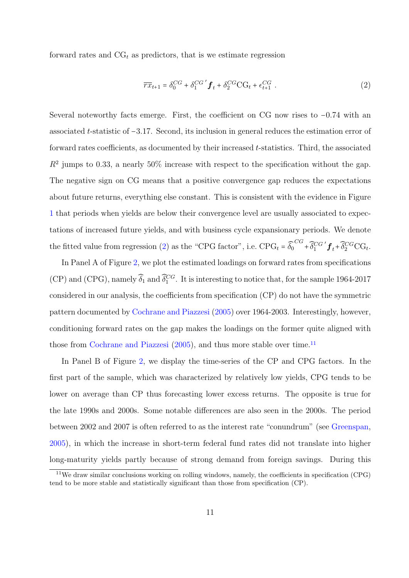forward rates and  $CG<sub>t</sub>$  as predictors, that is we estimate regression

<span id="page-11-0"></span>
$$
\overline{rx}_{t+1} = \delta_0^{CG} + \delta_1^{CG'} \mathbf{f}_t + \delta_2^{CG} \text{CG}_t + \epsilon_{t+1}^{CG} \tag{2}
$$

Several noteworthy facts emerge. First, the coefficient on CG now rises to −0.74 with an associated t-statistic of −3.17. Second, its inclusion in general reduces the estimation error of forward rates coefficients, as documented by their increased t-statistics. Third, the associated  $R<sup>2</sup>$  jumps to 0.33, a nearly 50% increase with respect to the specification without the gap. The negative sign on CG means that a positive convergence gap reduces the expectations about future returns, everything else constant. This is consistent with the evidence in Figure [1](#page-38-0) that periods when yields are below their convergence level are usually associated to expectations of increased future yields, and with business cycle expansionary periods. We denote the fitted value from regression [\(2\)](#page-11-0) as the "CPG factor", i.e.  $\text{CPG}_t = \widehat{\delta_0}^{CG} + \widehat{\delta_1}^{CG'} f_t + \widehat{\delta_2}^{CG} C G_t$ .

In Panel A of Figure [2,](#page-38-1) we plot the estimated loadings on forward rates from specifications (CP) and (CPG), namely  $\widehat{\delta}_1$  and  $\widehat{\delta}_1^{CG}$ . It is interesting to notice that, for the sample 1964-2017 considered in our analysis, the coefficients from specification (CP) do not have the symmetric pattern documented by [Cochrane and Piazzesi](#page-34-0) [\(2005\)](#page-34-0) over 1964-2003. Interestingly, however, conditioning forward rates on the gap makes the loadings on the former quite aligned with those from [Cochrane and Piazzesi](#page-34-0)  $(2005)$ , and thus more stable over time.<sup>[11](#page-11-1)</sup>

In Panel B of Figure [2,](#page-38-1) we display the time-series of the CP and CPG factors. In the first part of the sample, which was characterized by relatively low yields, CPG tends to be lower on average than CP thus forecasting lower excess returns. The opposite is true for the late 1990s and 2000s. Some notable differences are also seen in the 2000s. The period between 2002 and 2007 is often referred to as the interest rate "conundrum" (see [Greenspan,](#page-35-7) [2005\)](#page-35-7), in which the increase in short-term federal fund rates did not translate into higher long-maturity yields partly because of strong demand from foreign savings. During this

<span id="page-11-1"></span><sup>11</sup>We draw similar conclusions working on rolling windows, namely, the coefficients in specification (CPG) tend to be more stable and statistically significant than those from specification (CP).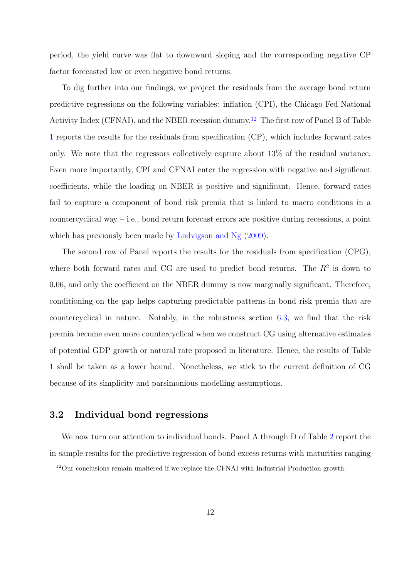period, the yield curve was flat to downward sloping and the corresponding negative CP factor forecasted low or even negative bond returns.

To dig further into our findings, we project the residuals from the average bond return predictive regressions on the following variables: inflation (CPI), the Chicago Fed National Activity Index (CFNAI), and the NBER recession dummy.[12](#page-12-1) The first row of Panel B of Table [1](#page-40-0) reports the results for the residuals from specification (CP), which includes forward rates only. We note that the regressors collectively capture about 13% of the residual variance. Even more importantly, CPI and CFNAI enter the regression with negative and significant coefficients, while the loading on NBER is positive and significant. Hence, forward rates fail to capture a component of bond risk premia that is linked to macro conditions in a countercyclical way – i.e., bond return forecast errors are positive during recessions, a point which has previously been made by [Ludvigson and Ng](#page-36-0)  $(2009)$ .

The second row of Panel reports the results for the residuals from specification (CPG), where both forward rates and CG are used to predict bond returns. The  $R<sup>2</sup>$  is down to 0.06, and only the coefficient on the NBER dummy is now marginally significant. Therefore, conditioning on the gap helps capturing predictable patterns in bond risk premia that are countercyclical in nature. Notably, in the robustness section [6.3,](#page-28-0) we find that the risk premia become even more countercyclical when we construct CG using alternative estimates of potential GDP growth or natural rate proposed in literature. Hence, the results of Table [1](#page-40-0) shall be taken as a lower bound. Nonetheless, we stick to the current definition of CG because of its simplicity and parsimonious modelling assumptions.

### <span id="page-12-0"></span>3.2 Individual bond regressions

We now turn our attention to individual bonds. Panel A through D of Table [2](#page-41-0) report the in-sample results for the predictive regression of bond excess returns with maturities ranging

<span id="page-12-1"></span><sup>12</sup>Our conclusions remain unaltered if we replace the CFNAI with Industrial Production growth.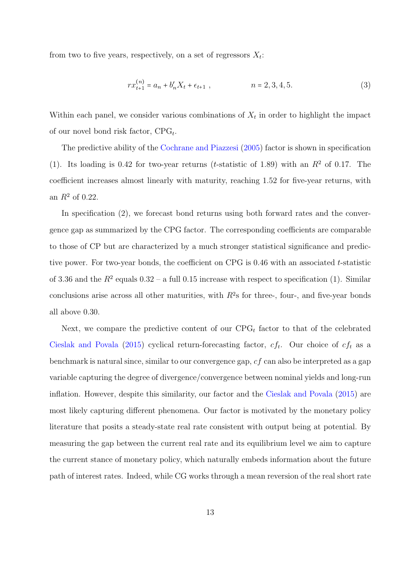from two to five years, respectively, on a set of regressors  $X_t$ :

$$
rx_{t+1}^{(n)} = a_n + b'_n X_t + \epsilon_{t+1} , \qquad n = 2, 3, 4, 5.
$$
 (3)

Within each panel, we consider various combinations of  $X_t$  in order to highlight the impact of our novel bond risk factor,  $CPG_t$ .

The predictive ability of the [Cochrane and Piazzesi](#page-34-0) [\(2005\)](#page-34-0) factor is shown in specification (1). Its loading is 0.42 for two-year returns (*t*-statistic of 1.89) with an  $R<sup>2</sup>$  of 0.17. The coefficient increases almost linearly with maturity, reaching 1.52 for five-year returns, with an  $R^2$  of 0.22.

In specification (2), we forecast bond returns using both forward rates and the convergence gap as summarized by the CPG factor. The corresponding coefficients are comparable to those of CP but are characterized by a much stronger statistical significance and predictive power. For two-year bonds, the coefficient on CPG is 0.46 with an associated t-statistic of 3.36 and the  $R^2$  equals  $0.32 - a$  full 0.15 increase with respect to specification (1). Similar conclusions arise across all other maturities, with  $R^2$ s for three-, four-, and five-year bonds all above 0.30.

Next, we compare the predictive content of our  $CPG_t$  factor to that of the celebrated [Cieslak and Povala](#page-34-2) [\(2015\)](#page-34-2) cyclical return-forecasting factor,  $cf_t$ . Our choice of  $cf_t$  as a benchmark is natural since, similar to our convergence gap, cf can also be interpreted as a gap variable capturing the degree of divergence/convergence between nominal yields and long-run inflation. However, despite this similarity, our factor and the [Cieslak and Povala](#page-34-2) [\(2015\)](#page-34-2) are most likely capturing different phenomena. Our factor is motivated by the monetary policy literature that posits a steady-state real rate consistent with output being at potential. By measuring the gap between the current real rate and its equilibrium level we aim to capture the current stance of monetary policy, which naturally embeds information about the future path of interest rates. Indeed, while CG works through a mean reversion of the real short rate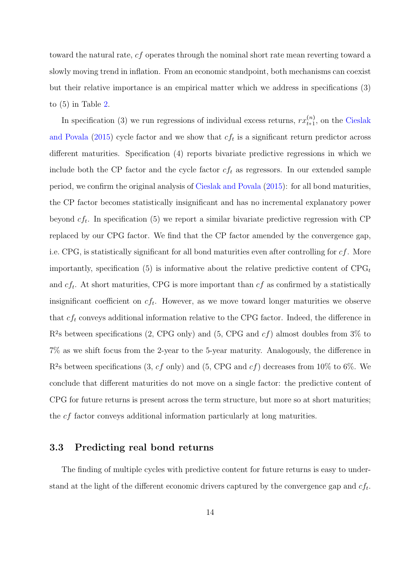toward the natural rate, cf operates through the nominal short rate mean reverting toward a slowly moving trend in inflation. From an economic standpoint, both mechanisms can coexist but their relative importance is an empirical matter which we address in specifications (3) to (5) in Table [2.](#page-41-0)

In specification (3) we run regressions of individual excess returns,  $rx_{t+1}^{(n)}$  $t_{t+1}^{(n)}$ , on the [Cieslak](#page-34-2) [and Povala](#page-34-2) [\(2015\)](#page-34-2) cycle factor and we show that  $cf_t$  is a significant return predictor across different maturities. Specification (4) reports bivariate predictive regressions in which we include both the CP factor and the cycle factor  $cf_t$  as regressors. In our extended sample period, we confirm the original analysis of [Cieslak and Povala](#page-34-2) [\(2015\)](#page-34-2): for all bond maturities, the CP factor becomes statistically insignificant and has no incremental explanatory power beyond  $cf_t$ . In specification (5) we report a similar bivariate predictive regression with CP replaced by our CPG factor. We find that the CP factor amended by the convergence gap, i.e. CPG, is statistically significant for all bond maturities even after controlling for  $cf$ . More importantly, specification (5) is informative about the relative predictive content of  $CPG_t$ and  $cf_t$ . At short maturities, CPG is more important than  $cf$  as confirmed by a statistically insignificant coefficient on  $cf_t$ . However, as we move toward longer maturities we observe that  $cf_t$  conveys additional information relative to the CPG factor. Indeed, the difference in  $R<sup>2</sup>s$  between specifications (2, CPG only) and (5, CPG and  $cf$ ) almost doubles from 3% to 7% as we shift focus from the 2-year to the 5-year maturity. Analogously, the difference in  $R<sup>2</sup>s$  between specifications  $(3, cf)$  only) and  $(5, CPG$  and  $cf)$  decreases from 10% to 6%. We conclude that different maturities do not move on a single factor: the predictive content of CPG for future returns is present across the term structure, but more so at short maturities; the cf factor conveys additional information particularly at long maturities.

### <span id="page-14-0"></span>3.3 Predicting real bond returns

The finding of multiple cycles with predictive content for future returns is easy to understand at the light of the different economic drivers captured by the convergence gap and  $cf_t$ .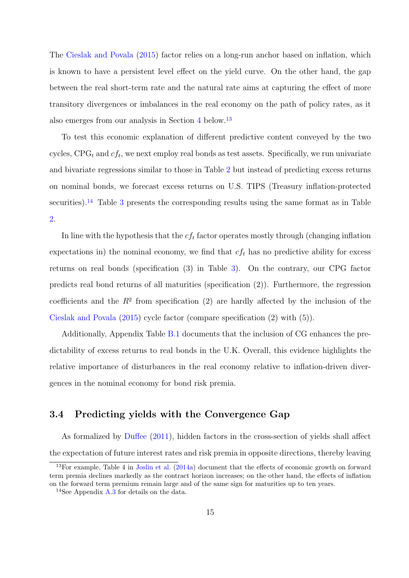The [Cieslak and Povala](#page-34-2) [\(2015\)](#page-34-2) factor relies on a long-run anchor based on inflation, which is known to have a persistent level effect on the yield curve. On the other hand, the gap between the real short-term rate and the natural rate aims at capturing the effect of more transitory divergences or imbalances in the real economy on the path of policy rates, as it also emerges from our analysis in Section [4](#page-18-0) below.[13](#page-15-1)

To test this economic explanation of different predictive content conveyed by the two cycles,  $CPG_t$  and  $cf_t$ , we next employ real bonds as test assets. Specifically, we run univariate and bivariate regressions similar to those in Table [2](#page-41-0) but instead of predicting excess returns on nominal bonds, we forecast excess returns on U.S. TIPS (Treasury inflation-protected securities).<sup>[14](#page-15-2)</sup> Table [3](#page-42-0) presents the corresponding results using the same format as in Table [2.](#page-41-0)

In line with the hypothesis that the  $cf_t$  factor operates mostly through (changing inflation expectations in) the nominal economy, we find that  $cf_t$  has no predictive ability for excess returns on real bonds (specification (3) in Table [3\)](#page-42-0). On the contrary, our CPG factor predicts real bond returns of all maturities (specification (2)). Furthermore, the regression coefficients and the  $R<sup>2</sup>$  from specification (2) are hardly affected by the inclusion of the [Cieslak and Povala](#page-34-2) [\(2015\)](#page-34-2) cycle factor (compare specification (2) with (5)).

Additionally, Appendix Table [B.1](#page-53-0) documents that the inclusion of CG enhances the predictability of excess returns to real bonds in the U.K. Overall, this evidence highlights the relative importance of disturbances in the real economy relative to inflation-driven divergences in the nominal economy for bond risk premia.

### <span id="page-15-0"></span>3.4 Predicting yields with the Convergence Gap

As formalized by [Duffee](#page-34-5) [\(2011\)](#page-34-5), hidden factors in the cross-section of yields shall affect the expectation of future interest rates and risk premia in opposite directions, thereby leaving

<span id="page-15-1"></span><sup>&</sup>lt;sup>13</sup>For example, Table 4 in [Joslin et al.](#page-36-13) [\(2014a\)](#page-36-13) document that the effects of economic growth on forward term premia declines markedly as the contract horizon increases; on the other hand, the effects of inflation on the forward term premium remain large and of the same sign for maturities up to ten years.

<span id="page-15-2"></span><sup>&</sup>lt;sup>14</sup>See Appendix [A.3](#page-51-0) for details on the data.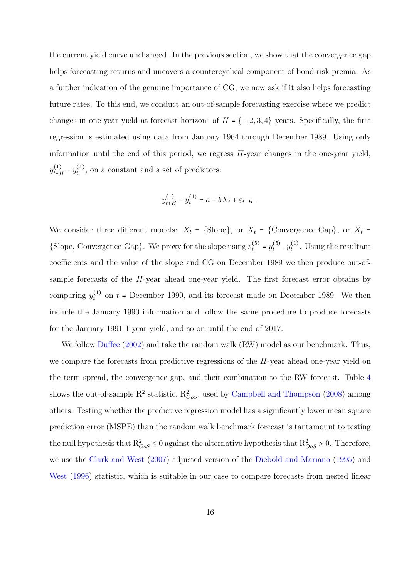the current yield curve unchanged. In the previous section, we show that the convergence gap helps forecasting returns and uncovers a countercyclical component of bond risk premia. As a further indication of the genuine importance of CG, we now ask if it also helps forecasting future rates. To this end, we conduct an out-of-sample forecasting exercise where we predict changes in one-year yield at forecast horizons of  $H = \{1, 2, 3, 4\}$  years. Specifically, the first regression is estimated using data from January 1964 through December 1989. Using only information until the end of this period, we regress H-year changes in the one-year yield,  $y_{t+1}^{(1)}$  $\frac{(1)}{t+H} - y_t^{(1)}$  $t_t^{(1)}$ , on a constant and a set of predictors:

$$
y_{t+H}^{(1)} - y_t^{(1)} = a + bX_t + \varepsilon_{t+H} .
$$

We consider three different models:  $X_t = \{\text{Slope}\}\text{, or } X_t = \{\text{Convergence Gap}}\text{, or } X_t =$ {Slope, Convergence Gap}. We proxy for the slope using  $s_t^{(5)} = y_t^{(5)} - y_t^{(1)}$  $t_t^{(1)}$ . Using the resultant coefficients and the value of the slope and CG on December 1989 we then produce out-ofsample forecasts of the  $H$ -year ahead one-year yield. The first forecast error obtains by comparing  $y_t^{(1)}$  $t_t^{(1)}$  on  $t$  = December 1990, and its forecast made on December 1989. We then include the January 1990 information and follow the same procedure to produce forecasts for the January 1991 1-year yield, and so on until the end of 2017.

We follow [Duffee](#page-34-6) [\(2002\)](#page-34-6) and take the random walk (RW) model as our benchmark. Thus, we compare the forecasts from predictive regressions of the H-year ahead one-year yield on the term spread, the convergence gap, and their combination to the RW forecast. Table [4](#page-43-0) shows the out-of-sample  $\mathbb{R}^2$  statistic,  $\mathbb{R}_{OoS}^2$ , used by [Campbell and Thompson](#page-34-7) [\(2008\)](#page-34-7) among others. Testing whether the predictive regression model has a significantly lower mean square prediction error (MSPE) than the random walk benchmark forecast is tantamount to testing the null hypothesis that  $R_{OoS}^2 \leq 0$  against the alternative hypothesis that  $R_{OoS}^2 > 0$ . Therefore, we use the [Clark and West](#page-34-8) [\(2007\)](#page-34-8) adjusted version of the [Diebold and Mariano](#page-34-9) [\(1995\)](#page-34-9) and [West](#page-37-7)  $(1996)$  statistic, which is suitable in our case to compare forecasts from nested linear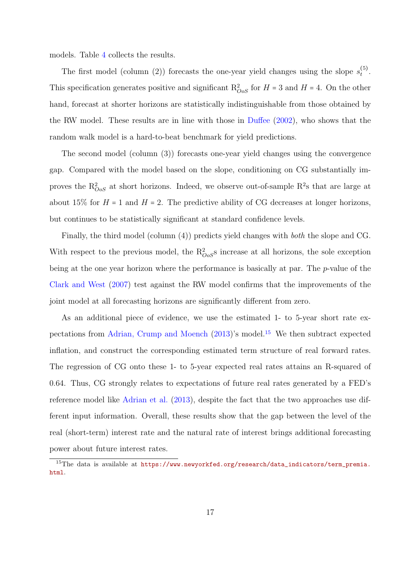models. Table [4](#page-43-0) collects the results.

The first model (column (2)) forecasts the one-year yield changes using the slope  $s_t^{(5)}$  $\binom{5}{t}$ . This specification generates positive and significant  $R_{OoS}^2$  for  $H = 3$  and  $H = 4$ . On the other hand, forecast at shorter horizons are statistically indistinguishable from those obtained by the RW model. These results are in line with those in [Duffee](#page-34-6) [\(2002\)](#page-34-6), who shows that the random walk model is a hard-to-beat benchmark for yield predictions.

The second model (column (3)) forecasts one-year yield changes using the convergence gap. Compared with the model based on the slope, conditioning on CG substantially improves the  $R_{OoS}^2$  at short horizons. Indeed, we observe out-of-sample  $R^2$ s that are large at about 15% for  $H = 1$  and  $H = 2$ . The predictive ability of CG decreases at longer horizons, but continues to be statistically significant at standard confidence levels.

Finally, the third model (column (4)) predicts yield changes with both the slope and CG. With respect to the previous model, the  $R_{OoS}^2$  increase at all horizons, the sole exception being at the one year horizon where the performance is basically at par. The p-value of the [Clark and West](#page-34-8) [\(2007\)](#page-34-8) test against the RW model confirms that the improvements of the joint model at all forecasting horizons are significantly different from zero.

As an additional piece of evidence, we use the estimated 1- to 5-year short rate expectations from [Adrian, Crump and Moench](#page-33-7) [\(2013\)](#page-33-7)'s model.[15](#page-17-0) We then subtract expected inflation, and construct the corresponding estimated term structure of real forward rates. The regression of CG onto these 1- to 5-year expected real rates attains an R-squared of 0.64. Thus, CG strongly relates to expectations of future real rates generated by a FED's reference model like [Adrian et al.](#page-33-7) [\(2013\)](#page-33-7), despite the fact that the two approaches use different input information. Overall, these results show that the gap between the level of the real (short-term) interest rate and the natural rate of interest brings additional forecasting power about future interest rates.

<span id="page-17-0"></span><sup>15</sup>The data is available at [https://www.newyorkfed.org/research/data\\_indicators/term\\_premia.](https://www.newyorkfed.org/research/data_indicators/term_premia.html) [html](https://www.newyorkfed.org/research/data_indicators/term_premia.html).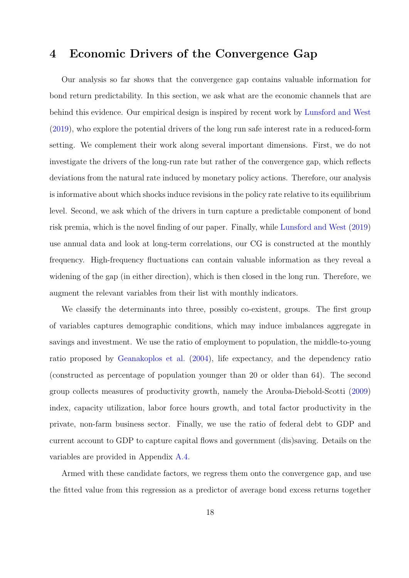## <span id="page-18-0"></span>4 Economic Drivers of the Convergence Gap

Our analysis so far shows that the convergence gap contains valuable information for bond return predictability. In this section, we ask what are the economic channels that are behind this evidence. Our empirical design is inspired by recent work by [Lunsford and West](#page-36-2) [\(2019\)](#page-36-2), who explore the potential drivers of the long run safe interest rate in a reduced-form setting. We complement their work along several important dimensions. First, we do not investigate the drivers of the long-run rate but rather of the convergence gap, which reflects deviations from the natural rate induced by monetary policy actions. Therefore, our analysis is informative about which shocks induce revisions in the policy rate relative to its equilibrium level. Second, we ask which of the drivers in turn capture a predictable component of bond risk premia, which is the novel finding of our paper. Finally, while [Lunsford and West](#page-36-2) [\(2019\)](#page-36-2) use annual data and look at long-term correlations, our CG is constructed at the monthly frequency. High-frequency fluctuations can contain valuable information as they reveal a widening of the gap (in either direction), which is then closed in the long run. Therefore, we augment the relevant variables from their list with monthly indicators.

We classify the determinants into three, possibly co-existent, groups. The first group of variables captures demographic conditions, which may induce imbalances aggregate in savings and investment. We use the ratio of employment to population, the middle-to-young ratio proposed by [Geanakoplos et al.](#page-35-8) [\(2004\)](#page-35-8), life expectancy, and the dependency ratio (constructed as percentage of population younger than 20 or older than 64). The second group collects measures of productivity growth, namely the Arouba-Diebold-Scotti [\(2009\)](#page-33-8) index, capacity utilization, labor force hours growth, and total factor productivity in the private, non-farm business sector. Finally, we use the ratio of federal debt to GDP and current account to GDP to capture capital flows and government (dis)saving. Details on the variables are provided in Appendix [A.4.](#page-52-0)

Armed with these candidate factors, we regress them onto the convergence gap, and use the fitted value from this regression as a predictor of average bond excess returns together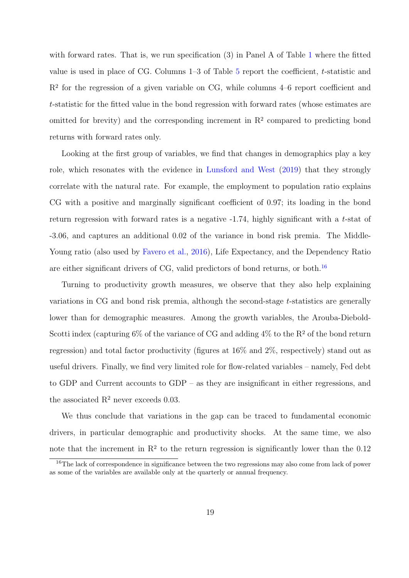with forward rates. That is, we run specification (3) in Panel A of Table [1](#page-40-0) where the fitted value is used in place of CG. Columns 1–3 of Table [5](#page-44-0) report the coefficient, t-statistic and R<sup>2</sup> for the regression of a given variable on CG, while columns 4–6 report coefficient and t-statistic for the fitted value in the bond regression with forward rates (whose estimates are omitted for brevity) and the corresponding increment in  $\mathbb{R}^2$  compared to predicting bond returns with forward rates only.

Looking at the first group of variables, we find that changes in demographics play a key role, which resonates with the evidence in [Lunsford and West](#page-36-2) [\(2019\)](#page-36-2) that they strongly correlate with the natural rate. For example, the employment to population ratio explains CG with a positive and marginally significant coefficient of 0.97; its loading in the bond return regression with forward rates is a negative -1.74, highly significant with a t-stat of -3.06, and captures an additional 0.02 of the variance in bond risk premia. The Middle-Young ratio (also used by [Favero et al.,](#page-35-9) [2016\)](#page-35-9), Life Expectancy, and the Dependency Ratio are either significant drivers of CG, valid predictors of bond returns, or both.<sup>[16](#page-19-0)</sup>

Turning to productivity growth measures, we observe that they also help explaining variations in CG and bond risk premia, although the second-stage t-statistics are generally lower than for demographic measures. Among the growth variables, the Arouba-Diebold-Scotti index (capturing  $6\%$  of the variance of CG and adding  $4\%$  to the R<sup>2</sup> of the bond return regression) and total factor productivity (figures at 16% and 2%, respectively) stand out as useful drivers. Finally, we find very limited role for flow-related variables – namely, Fed debt to GDP and Current accounts to GDP – as they are insignificant in either regressions, and the associated  $R^2$  never exceeds 0.03.

We thus conclude that variations in the gap can be traced to fundamental economic drivers, in particular demographic and productivity shocks. At the same time, we also note that the increment in  $\mathbb{R}^2$  to the return regression is significantly lower than the 0.12

<span id="page-19-0"></span><sup>&</sup>lt;sup>16</sup>The lack of correspondence in significance between the two regressions may also come from lack of power as some of the variables are available only at the quarterly or annual frequency.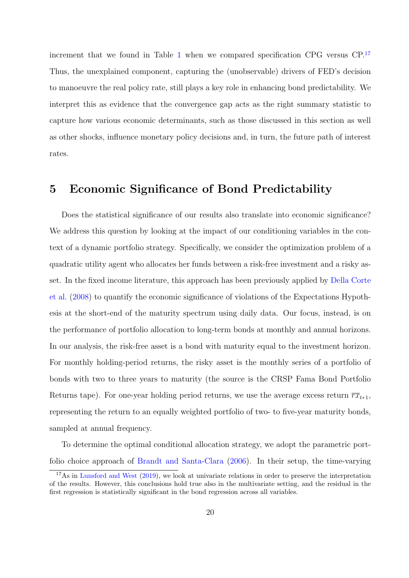increment that we found in Table [1](#page-40-0) when we compared specification CPG versus CP.[17](#page-20-1) Thus, the unexplained component, capturing the (unobservable) drivers of FED's decision to manoeuvre the real policy rate, still plays a key role in enhancing bond predictability. We interpret this as evidence that the convergence gap acts as the right summary statistic to capture how various economic determinants, such as those discussed in this section as well as other shocks, influence monetary policy decisions and, in turn, the future path of interest rates.

## <span id="page-20-0"></span>5 Economic Significance of Bond Predictability

Does the statistical significance of our results also translate into economic significance? We address this question by looking at the impact of our conditioning variables in the context of a dynamic portfolio strategy. Specifically, we consider the optimization problem of a quadratic utility agent who allocates her funds between a risk-free investment and a risky asset. In the fixed income literature, this approach has been previously applied by [Della Corte](#page-34-1) [et al.](#page-34-1) [\(2008\)](#page-34-1) to quantify the economic significance of violations of the Expectations Hypothesis at the short-end of the maturity spectrum using daily data. Our focus, instead, is on the performance of portfolio allocation to long-term bonds at monthly and annual horizons. In our analysis, the risk-free asset is a bond with maturity equal to the investment horizon. For monthly holding-period returns, the risky asset is the monthly series of a portfolio of bonds with two to three years to maturity (the source is the CRSP Fama Bond Portfolio Returns tape). For one-year holding period returns, we use the average excess return  $\overline{rx}_{t+1}$ , representing the return to an equally weighted portfolio of two- to five-year maturity bonds, sampled at annual frequency.

To determine the optimal conditional allocation strategy, we adopt the parametric portfolio choice approach of [Brandt and Santa-Clara](#page-33-1) [\(2006\)](#page-33-1). In their setup, the time-varying

<span id="page-20-1"></span> $17\text{As}$  in [Lunsford and West](#page-36-2) [\(2019\)](#page-36-2), we look at univariate relations in order to preserve the interpretation of the results. However, this conclusions hold true also in the multivariate setting, and the residual in the first regression is statistically significant in the bond regression across all variables.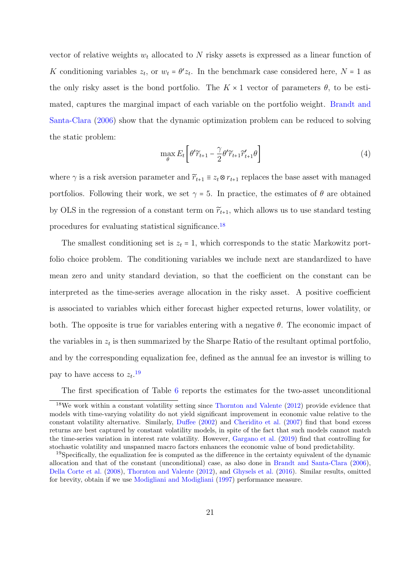vector of relative weights  $w_t$  allocated to N risky assets is expressed as a linear function of K conditioning variables  $z_t$ , or  $w_t = \theta' z_t$ . In the benchmark case considered here,  $N = 1$  as the only risky asset is the bond portfolio. The  $K \times 1$  vector of parameters  $\theta$ , to be estimated, captures the marginal impact of each variable on the portfolio weight. [Brandt and](#page-33-1) [Santa-Clara](#page-33-1) [\(2006\)](#page-33-1) show that the dynamic optimization problem can be reduced to solving the static problem:

$$
\max_{\theta} E_t \left[ \theta' \widetilde{r}_{t+1} - \frac{\gamma}{2} \theta' \widetilde{r}_{t+1} \widetilde{r}'_{t+1} \theta \right]
$$
\n
$$
\tag{4}
$$

where  $\gamma$  is a risk aversion parameter and  $\widetilde{r}_{t+1} \equiv z_t \otimes r_{t+1}$  replaces the base asset with managed portfolios. Following their work, we set  $\gamma = 5$ . In practice, the estimates of  $\theta$  are obtained by OLS in the regression of a constant term on  $\widetilde{r}_{t+1}$ , which allows us to use standard testing procedures for evaluating statistical significance.[18](#page-21-0)

The smallest conditioning set is  $z_t = 1$ , which corresponds to the static Markowitz portfolio choice problem. The conditioning variables we include next are standardized to have mean zero and unity standard deviation, so that the coefficient on the constant can be interpreted as the time-series average allocation in the risky asset. A positive coefficient is associated to variables which either forecast higher expected returns, lower volatility, or both. The opposite is true for variables entering with a negative  $\theta$ . The economic impact of the variables in  $z_t$  is then summarized by the Sharpe Ratio of the resultant optimal portfolio, and by the corresponding equalization fee, defined as the annual fee an investor is willing to pay to have access to  $z_t$ .<sup>[19](#page-21-1)</sup>

<span id="page-21-0"></span>The first specification of Table [6](#page-45-0) reports the estimates for the two-asset unconditional

<sup>18</sup>We work within a constant volatility setting since [Thornton and Valente](#page-37-0) [\(2012\)](#page-37-0) provide evidence that models with time-varying volatility do not yield significant improvement in economic value relative to the constant volatility alternative. Similarly, [Duffee](#page-34-6) [\(2002\)](#page-34-6) and [Cheridito et al.](#page-34-10) [\(2007\)](#page-34-10) find that bond excess returns are best captured by constant volatility models, in spite of the fact that such models cannot match the time-series variation in interest rate volatility. However, [Gargano et al.](#page-35-1) [\(2019\)](#page-35-1) find that controlling for stochastic volatility and unspanned macro factors enhances the economic value of bond predictability.

<span id="page-21-1"></span><sup>&</sup>lt;sup>19</sup>Specifically, the equalization fee is computed as the difference in the certainty equivalent of the dynamic allocation and that of the constant (unconditional) case, as also done in [Brandt and Santa-Clara](#page-33-1) [\(2006\)](#page-33-1), [Della Corte et al.](#page-34-1) [\(2008\)](#page-34-1), [Thornton and Valente](#page-37-0) [\(2012\)](#page-37-0), and [Ghysels et al.](#page-35-10) [\(2016\)](#page-35-10). Similar results, omitted for brevity, obtain if we use [Modigliani and Modigliani](#page-36-14) [\(1997\)](#page-36-14) performance measure.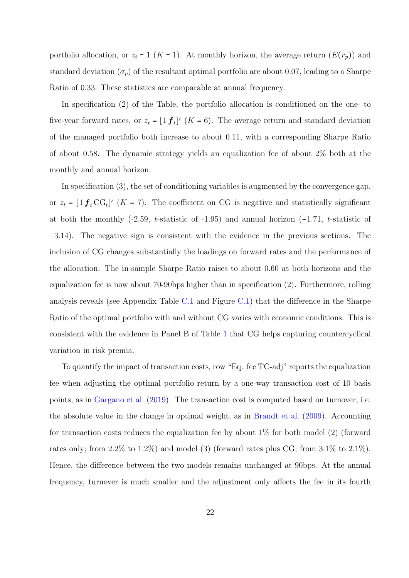portfolio allocation, or  $z_t = 1$  (K = 1). At monthly horizon, the average return  $(E(r_p))$  and standard deviation  $(\sigma_p)$  of the resultant optimal portfolio are about 0.07, leading to a Sharpe Ratio of 0.33. These statistics are comparable at annual frequency.

In specification (2) of the Table, the portfolio allocation is conditioned on the one- to five-year forward rates, or  $z_t = [1 \mathbf{f}_t]'$  ( $K = 6$ ). The average return and standard deviation of the managed portfolio both increase to about 0.11, with a corresponding Sharpe Ratio of about 0.58. The dynamic strategy yields an equalization fee of about 2% both at the monthly and annual horizon.

In specification (3), the set of conditioning variables is augmented by the convergence gap, or  $z_t = [1 \mathbf{f}_t \mathbf{C} \mathbf{G}_t]'$  (K = 7). The coefficient on CG is negative and statistically significant at both the monthly (-2.59, t-statistic of -1.95) and annual horizon (−1.71, t-statistic of −3.14). The negative sign is consistent with the evidence in the previous sections. The inclusion of CG changes substantially the loadings on forward rates and the performance of the allocation. The in-sample Sharpe Ratio raises to about 0.60 at both horizons and the equalization fee is now about 70-90bps higher than in specification (2). Furthermore, rolling analysis reveals (see Appendix Table [C.1](#page-54-0) and Figure [C.1\)](#page-54-1) that the difference in the Sharpe Ratio of the optimal portfolio with and without CG varies with economic conditions. This is consistent with the evidence in Panel B of Table [1](#page-40-0) that CG helps capturing countercyclical variation in risk premia.

To quantify the impact of transaction costs, row "Eq. fee TC-adj" reports the equalization fee when adjusting the optimal portfolio return by a one-way transaction cost of 10 basis points, as in [Gargano et al.](#page-35-1) [\(2019\)](#page-35-1). The transaction cost is computed based on turnover, i.e. the absolute value in the change in optimal weight, as in [Brandt et al.](#page-33-9) [\(2009\)](#page-33-9). Accounting for transaction costs reduces the equalization fee by about  $1\%$  for both model (2) (forward rates only; from 2.2% to 1.2%) and model (3) (forward rates plus CG; from  $3.1\%$  to  $2.1\%$ ). Hence, the difference between the two models remains unchanged at 90bps. At the annual frequency, turnover is much smaller and the adjustment only affects the fee in its fourth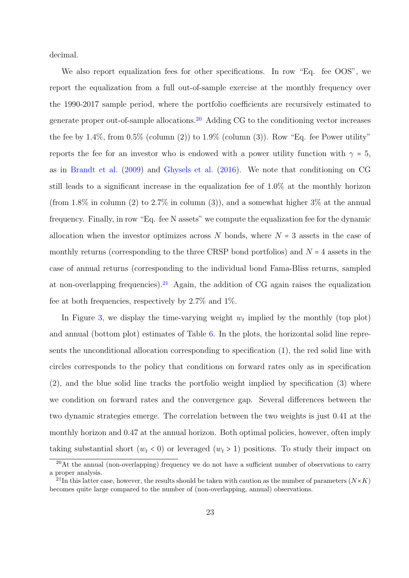decimal.

We also report equalization fees for other specifications. In row "Eq. fee OOS", we report the equalization from a full out-of-sample exercise at the monthly frequency over the 1990-2017 sample period, where the portfolio coefficients are recursively estimated to generate proper out-of-sample allocations.[20](#page-23-0) Adding CG to the conditioning vector increases the fee by  $1.4\%$ , from  $0.5\%$  (column  $(2)$ ) to  $1.9\%$  (column  $(3)$ ). Row "Eq. fee Power utility" reports the fee for an investor who is endowed with a power utility function with  $\gamma = 5$ , as in [Brandt et al.](#page-33-9) [\(2009\)](#page-33-9) and [Ghysels et al.](#page-35-10) [\(2016\)](#page-35-10). We note that conditioning on CG still leads to a significant increase in the equalization fee of 1.0% at the monthly horizon (from 1.8% in column (2) to 2.7% in column (3)), and a somewhat higher  $3\%$  at the annual frequency. Finally, in row "Eq. fee N assets" we compute the equalization fee for the dynamic allocation when the investor optimizes across  $N$  bonds, where  $N = 3$  assets in the case of monthly returns (corresponding to the three CRSP bond portfolios) and  $N = 4$  assets in the case of annual returns (corresponding to the individual bond Fama-Bliss returns, sampled at non-overlapping frequencies).<sup>[21](#page-23-1)</sup> Again, the addition of CG again raises the equalization fee at both frequencies, respectively by 2.7% and 1%.

In Figure [3,](#page-39-0) we display the time-varying weight  $w_t$  implied by the monthly (top plot) and annual (bottom plot) estimates of Table [6.](#page-45-0) In the plots, the horizontal solid line represents the unconditional allocation corresponding to specification (1), the red solid line with circles corresponds to the policy that conditions on forward rates only as in specification (2), and the blue solid line tracks the portfolio weight implied by specification (3) where we condition on forward rates and the convergence gap. Several differences between the two dynamic strategies emerge. The correlation between the two weights is just 0.41 at the monthly horizon and 0.47 at the annual horizon. Both optimal policies, however, often imply taking substantial short  $(w_t < 0)$  or leveraged  $(w_t > 1)$  positions. To study their impact on

<span id="page-23-0"></span> $^{20}\text{At}$  the annual (non-overlapping) frequency we do not have a sufficient number of observations to carry a proper analysis.

<span id="page-23-1"></span><sup>&</sup>lt;sup>21</sup>In this latter case, however, the results should be taken with caution as the number of parameters  $(N \times K)$ becomes quite large compared to the number of (non-overlapping, annual) observations.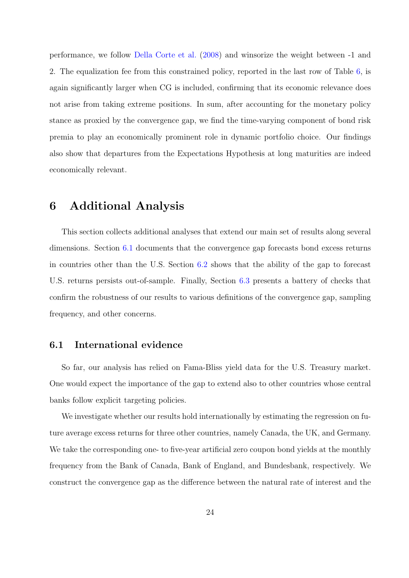performance, we follow [Della Corte et al.](#page-34-1) [\(2008\)](#page-34-1) and winsorize the weight between -1 and 2. The equalization fee from this constrained policy, reported in the last row of Table [6,](#page-45-0) is again significantly larger when CG is included, confirming that its economic relevance does not arise from taking extreme positions. In sum, after accounting for the monetary policy stance as proxied by the convergence gap, we find the time-varying component of bond risk premia to play an economically prominent role in dynamic portfolio choice. Our findings also show that departures from the Expectations Hypothesis at long maturities are indeed economically relevant.

### <span id="page-24-0"></span>6 Additional Analysis

This section collects additional analyses that extend our main set of results along several dimensions. Section [6.1](#page-24-1) documents that the convergence gap forecasts bond excess returns in countries other than the U.S. Section [6.2](#page-26-0) shows that the ability of the gap to forecast U.S. returns persists out-of-sample. Finally, Section [6.3](#page-28-0) presents a battery of checks that confirm the robustness of our results to various definitions of the convergence gap, sampling frequency, and other concerns.

### <span id="page-24-1"></span>6.1 International evidence

So far, our analysis has relied on Fama-Bliss yield data for the U.S. Treasury market. One would expect the importance of the gap to extend also to other countries whose central banks follow explicit targeting policies.

We investigate whether our results hold internationally by estimating the regression on future average excess returns for three other countries, namely Canada, the UK, and Germany. We take the corresponding one- to five-year artificial zero coupon bond yields at the monthly frequency from the Bank of Canada, Bank of England, and Bundesbank, respectively. We construct the convergence gap as the difference between the natural rate of interest and the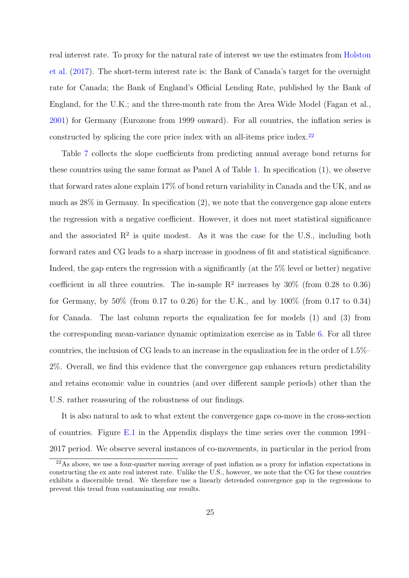real interest rate. To proxy for the natural rate of interest we use the estimates from [Holston](#page-35-11) [et al.](#page-35-11) [\(2017\)](#page-35-11). The short-term interest rate is: the Bank of Canada's target for the overnight rate for Canada; the Bank of England's Official Lending Rate, published by the Bank of England, for the U.K.; and the three-month rate from the Area Wide Model (Fagan et al., [2001\)](#page-35-12) for Germany (Eurozone from 1999 onward). For all countries, the inflation series is constructed by splicing the core price index with an all-items price index.[22](#page-25-0)

Table [7](#page-46-0) collects the slope coefficients from predicting annual average bond returns for these countries using the same format as Panel A of Table [1.](#page-40-0) In specification (1), we observe that forward rates alone explain 17% of bond return variability in Canada and the UK, and as much as  $28\%$  in Germany. In specification  $(2)$ , we note that the convergence gap alone enters the regression with a negative coefficient. However, it does not meet statistical significance and the associated  $\mathbb{R}^2$  is quite modest. As it was the case for the U.S., including both forward rates and CG leads to a sharp increase in goodness of fit and statistical significance. Indeed, the gap enters the regression with a significantly (at the 5% level or better) negative coefficient in all three countries. The in-sample  $R^2$  increases by 30% (from 0.28 to 0.36) for Germany, by 50% (from 0.17 to 0.26) for the U.K., and by 100% (from 0.17 to 0.34) for Canada. The last column reports the equalization fee for models (1) and (3) from the corresponding mean-variance dynamic optimization exercise as in Table [6.](#page-45-0) For all three countries, the inclusion of CG leads to an increase in the equalization fee in the order of 1.5%– 2%. Overall, we find this evidence that the convergence gap enhances return predictability and retains economic value in countries (and over different sample periods) other than the U.S. rather reassuring of the robustness of our findings.

It is also natural to ask to what extent the convergence gaps co-move in the cross-section of countries. Figure  $E.1$  in the Appendix displays the time series over the common 1991– 2017 period. We observe several instances of co-movements, in particular in the period from

<span id="page-25-0"></span> $^{22}$ As above, we use a four-quarter moving average of past inflation as a proxy for inflation expectations in constructing the ex ante real interest rate. Unlike the U.S., however, we note that the CG for these countries exhibits a discernible trend. We therefore use a linearly detrended convergence gap in the regressions to prevent this trend from contaminating our results.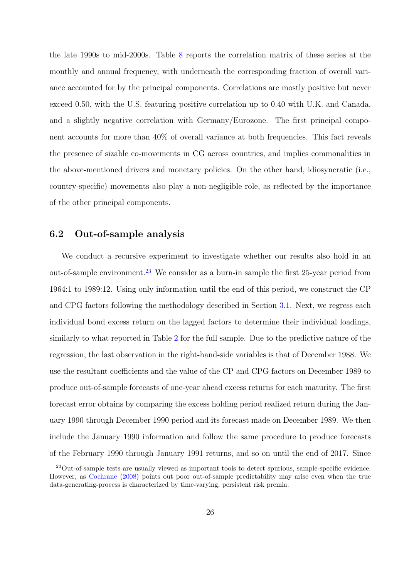the late 1990s to mid-2000s. Table [8](#page-47-0) reports the correlation matrix of these series at the monthly and annual frequency, with underneath the corresponding fraction of overall variance accounted for by the principal components. Correlations are mostly positive but never exceed 0.50, with the U.S. featuring positive correlation up to 0.40 with U.K. and Canada, and a slightly negative correlation with Germany/Eurozone. The first principal component accounts for more than 40% of overall variance at both frequencies. This fact reveals the presence of sizable co-movements in CG across countries, and implies commonalities in the above-mentioned drivers and monetary policies. On the other hand, idiosyncratic (i.e., country-specific) movements also play a non-negligible role, as reflected by the importance of the other principal components.

### <span id="page-26-0"></span>6.2 Out-of-sample analysis

We conduct a recursive experiment to investigate whether our results also hold in an out-of-sample environment.[23](#page-26-1) We consider as a burn-in sample the first 25-year period from 1964:1 to 1989:12. Using only information until the end of this period, we construct the CP and CPG factors following the methodology described in Section [3.1.](#page-9-1) Next, we regress each individual bond excess return on the lagged factors to determine their individual loadings, similarly to what reported in Table [2](#page-41-0) for the full sample. Due to the predictive nature of the regression, the last observation in the right-hand-side variables is that of December 1988. We use the resultant coefficients and the value of the CP and CPG factors on December 1989 to produce out-of-sample forecasts of one-year ahead excess returns for each maturity. The first forecast error obtains by comparing the excess holding period realized return during the January 1990 through December 1990 period and its forecast made on December 1989. We then include the January 1990 information and follow the same procedure to produce forecasts of the February 1990 through January 1991 returns, and so on until the end of 2017. Since

<span id="page-26-1"></span><sup>23</sup>Out-of-sample tests are usually viewed as important tools to detect spurious, sample-specific evidence. However, as [Cochrane](#page-34-11) [\(2008\)](#page-34-11) points out poor out-of-sample predictability may arise even when the true data-generating-process is characterized by time-varying, persistent risk premia.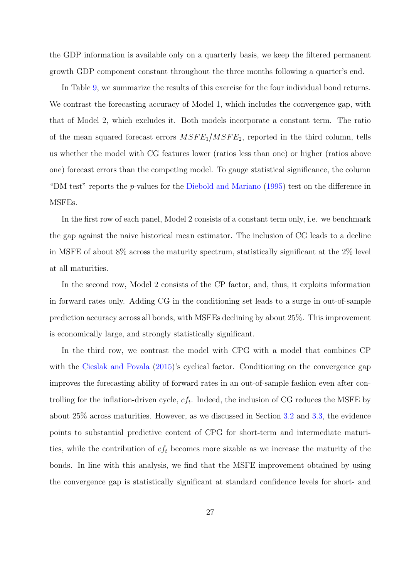the GDP information is available only on a quarterly basis, we keep the filtered permanent growth GDP component constant throughout the three months following a quarter's end.

In Table [9,](#page-48-0) we summarize the results of this exercise for the four individual bond returns. We contrast the forecasting accuracy of Model 1, which includes the convergence gap, with that of Model 2, which excludes it. Both models incorporate a constant term. The ratio of the mean squared forecast errors  $MSFE_1/MSFE_2$ , reported in the third column, tells us whether the model with CG features lower (ratios less than one) or higher (ratios above one) forecast errors than the competing model. To gauge statistical significance, the column "DM test" reports the p-values for the [Diebold and Mariano](#page-34-9) [\(1995\)](#page-34-9) test on the difference in MSFEs.

In the first row of each panel, Model 2 consists of a constant term only, i.e. we benchmark the gap against the naive historical mean estimator. The inclusion of CG leads to a decline in MSFE of about 8% across the maturity spectrum, statistically significant at the 2% level at all maturities.

In the second row, Model 2 consists of the CP factor, and, thus, it exploits information in forward rates only. Adding CG in the conditioning set leads to a surge in out-of-sample prediction accuracy across all bonds, with MSFEs declining by about 25%. This improvement is economically large, and strongly statistically significant.

In the third row, we contrast the model with CPG with a model that combines CP with the [Cieslak and Povala](#page-34-2) [\(2015\)](#page-34-2)'s cyclical factor. Conditioning on the convergence gap improves the forecasting ability of forward rates in an out-of-sample fashion even after controlling for the inflation-driven cycle,  $cf_t$ . Indeed, the inclusion of CG reduces the MSFE by about 25% across maturities. However, as we discussed in Section [3.2](#page-12-0) and [3.3,](#page-14-0) the evidence points to substantial predictive content of CPG for short-term and intermediate maturities, while the contribution of  $cf_t$  becomes more sizable as we increase the maturity of the bonds. In line with this analysis, we find that the MSFE improvement obtained by using the convergence gap is statistically significant at standard confidence levels for short- and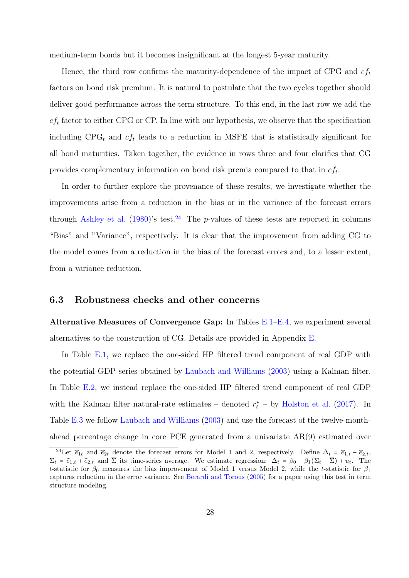medium-term bonds but it becomes insignificant at the longest 5-year maturity.

Hence, the third row confirms the maturity-dependence of the impact of CPG and  $cf_t$ factors on bond risk premium. It is natural to postulate that the two cycles together should deliver good performance across the term structure. To this end, in the last row we add the  $cf_t$  factor to either CPG or CP. In line with our hypothesis, we observe that the specification including  $CPG_t$  and  $cf_t$  leads to a reduction in MSFE that is statistically significant for all bond maturities. Taken together, the evidence in rows three and four clarifies that CG provides complementary information on bond risk premia compared to that in  $cf_t$ .

In order to further explore the provenance of these results, we investigate whether the improvements arise from a reduction in the bias or in the variance of the forecast errors through [Ashley et al.](#page-33-10)  $(1980)$ 's test.<sup>[24](#page-28-1)</sup> The p-values of these tests are reported in columns "Bias" and "Variance", respectively. It is clear that the improvement from adding CG to the model comes from a reduction in the bias of the forecast errors and, to a lesser extent, from a variance reduction.

### <span id="page-28-0"></span>6.3 Robustness checks and other concerns

Alternative Measures of Convergence Gap: In Tables [E.1–](#page-62-0)[E.4,](#page-65-0) we experiment several alternatives to the construction of CG. Details are provided in Appendix [E.](#page-56-1)

In Table [E.1,](#page-62-0) we replace the one-sided HP filtered trend component of real GDP with the potential GDP series obtained by [Laubach and Williams](#page-36-7) [\(2003\)](#page-36-7) using a Kalman filter. In Table [E.2,](#page-63-0) we instead replace the one-sided HP filtered trend component of real GDP with the Kalman filter natural-rate estimates – denoted  $r_t^*$  – by [Holston et al.](#page-35-11) [\(2017\)](#page-35-11). In Table [E.3](#page-64-0) we follow [Laubach and Williams](#page-36-7) [\(2003\)](#page-36-7) and use the forecast of the twelve-monthahead percentage change in core PCE generated from a univariate AR(9) estimated over

<span id="page-28-1"></span><sup>&</sup>lt;sup>24</sup>Let  $\hat{\epsilon}_{1t}$  and  $\hat{\epsilon}_{2t}$  denote the forecast errors for Model 1 and 2, respectively. Define  $\Delta_t = \hat{\epsilon}_{1,t} - \hat{\epsilon}_{2,t}$ ,  $\Sigma_t = \widehat{e}_{1,t} + \widehat{e}_{2,t}$  and  $\overline{\Sigma}$  its time-series average. We estimate regression:  $\Delta_t = \beta_0 + \beta_1(\Sigma_t - \overline{\Sigma}) + u_t$ . The t-statistic for  $\beta_0$  measures the bias improvement of Model 1 versus Model 2, while the t-statistic for  $\beta_1$ captures reduction in the error variance. See [Berardi and Torous](#page-33-11) [\(2005\)](#page-33-11) for a paper using this test in term structure modeling.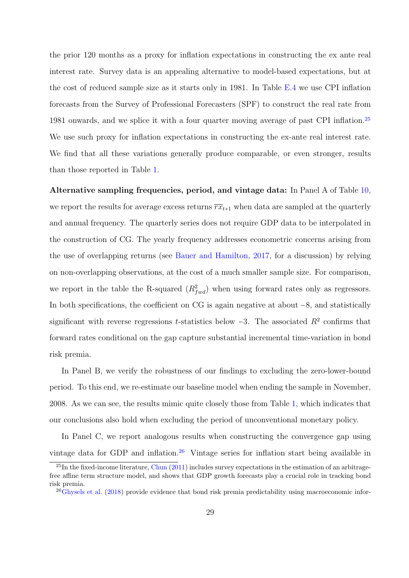the prior 120 months as a proxy for inflation expectations in constructing the ex ante real interest rate. Survey data is an appealing alternative to model-based expectations, but at the cost of reduced sample size as it starts only in 1981. In Table [E.4](#page-65-0) we use CPI inflation forecasts from the Survey of Professional Forecasters (SPF) to construct the real rate from 1981 onwards, and we splice it with a four quarter moving average of past CPI inflation.[25](#page-29-0) We use such proxy for inflation expectations in constructing the ex-ante real interest rate. We find that all these variations generally produce comparable, or even stronger, results than those reported in Table [1.](#page-40-0)

Alternative sampling frequencies, period, and vintage data: In Panel A of Table [10,](#page-49-0) we report the results for average excess returns  $\overline{rx}_{t+1}$  when data are sampled at the quarterly and annual frequency. The quarterly series does not require GDP data to be interpolated in the construction of CG. The yearly frequency addresses econometric concerns arising from the use of overlapping returns (see [Bauer and Hamilton,](#page-33-12) [2017,](#page-33-12) for a discussion) by relying on non-overlapping observations, at the cost of a much smaller sample size. For comparison, we report in the table the R-squared  $(R_{fwd}^2)$  when using forward rates only as regressors. In both specifications, the coefficient on CG is again negative at about −8, and statistically significant with reverse regressions t-statistics below  $-3$ . The associated  $R^2$  confirms that forward rates conditional on the gap capture substantial incremental time-variation in bond risk premia.

In Panel B, we verify the robustness of our findings to excluding the zero-lower-bound period. To this end, we re-estimate our baseline model when ending the sample in November, 2008. As we can see, the results mimic quite closely those from Table [1,](#page-40-0) which indicates that our conclusions also hold when excluding the period of unconventional monetary policy.

In Panel C, we report analogous results when constructing the convergence gap using vintage data for GDP and inflation.<sup>[26](#page-29-1)</sup> Vintage series for inflation start being available in

<span id="page-29-0"></span> $^{25}$ In the fixed-income literature, [Chun](#page-34-12) [\(2011\)](#page-34-12) includes survey expectations in the estimation of an arbitragefree affine term structure model, and shows that GDP growth forecasts play a crucial role in tracking bond risk premia.

<span id="page-29-1"></span> $^{26}$ [Ghysels et al.](#page-35-2) [\(2018\)](#page-35-2) provide evidence that bond risk premia predictability using macroeconomic infor-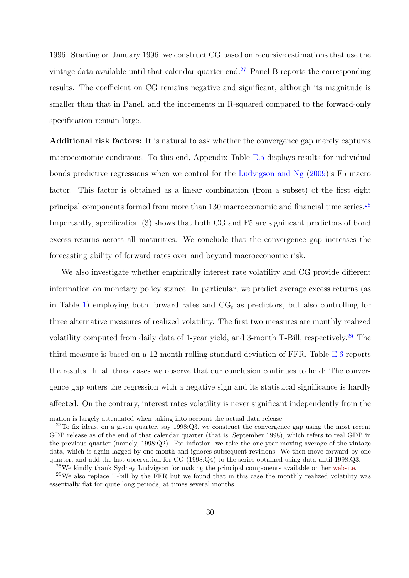1996. Starting on January 1996, we construct CG based on recursive estimations that use the vintage data available until that calendar quarter end.[27](#page-30-0) Panel B reports the corresponding results. The coefficient on CG remains negative and significant, although its magnitude is smaller than that in Panel, and the increments in R-squared compared to the forward-only specification remain large.

Additional risk factors: It is natural to ask whether the convergence gap merely captures macroeconomic conditions. To this end, Appendix Table [E.5](#page-66-0) displays results for individual bonds predictive regressions when we control for the [Ludvigson and Ng](#page-36-0) [\(2009\)](#page-36-0)'s F5 macro factor. This factor is obtained as a linear combination (from a subset) of the first eight principal components formed from more than 130 macroeconomic and financial time series.<sup>[28](#page-30-1)</sup> Importantly, specification (3) shows that both CG and F5 are significant predictors of bond excess returns across all maturities. We conclude that the convergence gap increases the forecasting ability of forward rates over and beyond macroeconomic risk.

We also investigate whether empirically interest rate volatility and CG provide different information on monetary policy stance. In particular, we predict average excess returns (as in Table [1\)](#page-40-0) employing both forward rates and  $\text{CG}_t$  as predictors, but also controlling for three alternative measures of realized volatility. The first two measures are monthly realized volatility computed from daily data of 1-year yield, and 3-month T-Bill, respectively.<sup>[29](#page-30-2)</sup> The third measure is based on a 12-month rolling standard deviation of FFR. Table [E.6](#page-67-0) reports the results. In all three cases we observe that our conclusion continues to hold: The convergence gap enters the regression with a negative sign and its statistical significance is hardly affected. On the contrary, interest rates volatility is never significant independently from the

mation is largely attenuated when taking into account the actual data release.

<span id="page-30-0"></span> $27$ To fix ideas, on a given quarter, say 1998:Q3, we construct the convergence gap using the most recent GDP release as of the end of that calendar quarter (that is, September 1998), which refers to real GDP in the previous quarter (namely, 1998:Q2). For inflation, we take the one-year moving average of the vintage data, which is again lagged by one month and ignores subsequent revisions. We then move forward by one quarter, and add the last observation for CG (1998:Q4) to the series obtained using data until 1998:Q3.

<span id="page-30-2"></span><span id="page-30-1"></span><sup>28</sup>We kindly thank Sydney Ludvigson for making the principal components available on her [website.](https://www.sydneyludvigson.com/data-and-appendixes/)

<sup>29</sup>We also replace T-bill by the FFR but we found that in this case the monthly realized volatility was essentially flat for quite long periods, at times several months.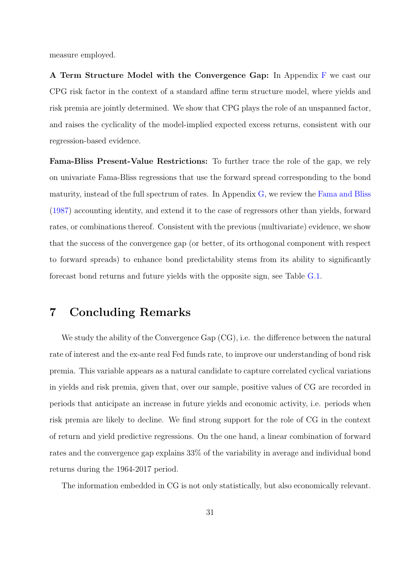measure employed.

A Term Structure Model with the Convergence Gap: In Appendix [F](#page-57-0) we cast our CPG risk factor in the context of a standard affine term structure model, where yields and risk premia are jointly determined. We show that CPG plays the role of an unspanned factor, and raises the cyclicality of the model-implied expected excess returns, consistent with our regression-based evidence.

Fama-Bliss Present-Value Restrictions: To further trace the role of the gap, we rely on univariate Fama-Bliss regressions that use the forward spread corresponding to the bond maturity, instead of the full spectrum of rates. In Appendix [G,](#page-59-0) we review the [Fama and Bliss](#page-35-0) [\(1987\)](#page-35-0) accounting identity, and extend it to the case of regressors other than yields, forward rates, or combinations thereof. Consistent with the previous (multivariate) evidence, we show that the success of the convergence gap (or better, of its orthogonal component with respect to forward spreads) to enhance bond predictability stems from its ability to significantly forecast bond returns and future yields with the opposite sign, see Table [G.1.](#page-69-0)

## <span id="page-31-0"></span>7 Concluding Remarks

We study the ability of the Convergence Gap  $(CG)$ , i.e. the difference between the natural rate of interest and the ex-ante real Fed funds rate, to improve our understanding of bond risk premia. This variable appears as a natural candidate to capture correlated cyclical variations in yields and risk premia, given that, over our sample, positive values of CG are recorded in periods that anticipate an increase in future yields and economic activity, i.e. periods when risk premia are likely to decline. We find strong support for the role of CG in the context of return and yield predictive regressions. On the one hand, a linear combination of forward rates and the convergence gap explains 33% of the variability in average and individual bond returns during the 1964-2017 period.

The information embedded in CG is not only statistically, but also economically relevant.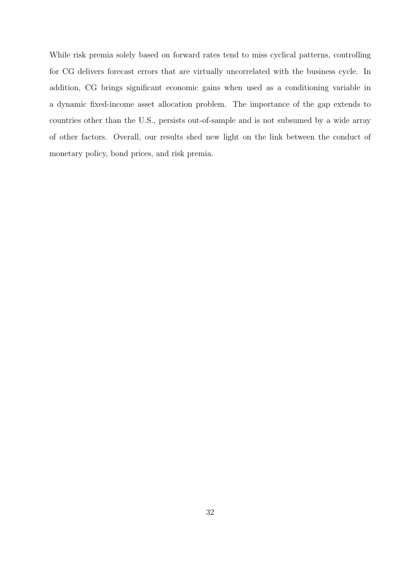While risk premia solely based on forward rates tend to miss cyclical patterns, controlling for CG delivers forecast errors that are virtually uncorrelated with the business cycle. In addition, CG brings significant economic gains when used as a conditioning variable in a dynamic fixed-income asset allocation problem. The importance of the gap extends to countries other than the U.S., persists out-of-sample and is not subsumed by a wide array of other factors. Overall, our results shed new light on the link between the conduct of monetary policy, bond prices, and risk premia.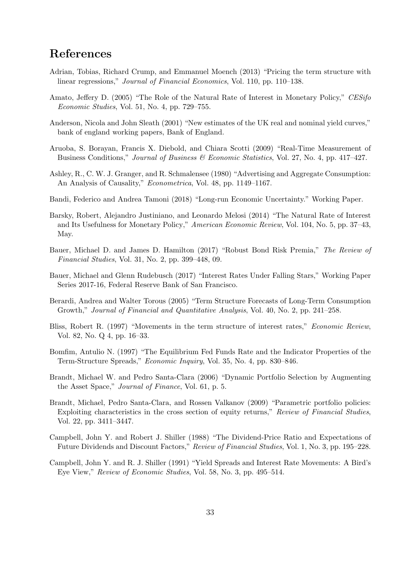## References

- <span id="page-33-7"></span>Adrian, Tobias, Richard Crump, and Emmanuel Moench (2013) "Pricing the term structure with linear regressions," *Journal of Financial Economics*, Vol. 110, pp. 110–138.
- <span id="page-33-3"></span>Amato, Jeffery D. (2005) "The Role of the Natural Rate of Interest in Monetary Policy," CESifo Economic Studies, Vol. 51, No. 4, pp. 729–755.
- <span id="page-33-13"></span>Anderson, Nicola and John Sleath (2001) "New estimates of the UK real and nominal yield curves," bank of england working papers, Bank of England.
- <span id="page-33-8"></span>Aruoba, S. Borayan, Francis X. Diebold, and Chiara Scotti (2009) "Real-Time Measurement of Business Conditions," Journal of Business & Economic Statistics, Vol. 27, No. 4, pp. 417–427.
- <span id="page-33-10"></span>Ashley, R., C. W. J. Granger, and R. Schmalensee (1980) "Advertising and Aggregate Consumption: An Analysis of Causality," Econometrica, Vol. 48, pp. 1149–1167.
- <span id="page-33-15"></span>Bandi, Federico and Andrea Tamoni (2018) "Long-run Economic Uncertainty." Working Paper.
- <span id="page-33-5"></span>Barsky, Robert, Alejandro Justiniano, and Leonardo Melosi (2014) "The Natural Rate of Interest and Its Usefulness for Monetary Policy," American Economic Review, Vol. 104, No. 5, pp. 37–43, May.
- <span id="page-33-12"></span>Bauer, Michael D. and James D. Hamilton (2017) "Robust Bond Risk Premia," The Review of Financial Studies, Vol. 31, No. 2, pp. 399–448, 09.
- <span id="page-33-2"></span>Bauer, Michael and Glenn Rudebusch (2017) "Interest Rates Under Falling Stars," Working Paper Series 2017-16, Federal Reserve Bank of San Francisco.
- <span id="page-33-11"></span>Berardi, Andrea and Walter Torous (2005) "Term Structure Forecasts of Long-Term Consumption Growth," Journal of Financial and Quantitative Analysis, Vol. 40, No. 2, pp. 241–258.
- <span id="page-33-6"></span>Bliss, Robert R. (1997) "Movements in the term structure of interest rates," Economic Review, Vol. 82, No. Q 4, pp. 16–33.
- <span id="page-33-4"></span>Bomfim, Antulio N. (1997) "The Equilibrium Fed Funds Rate and the Indicator Properties of the Term-Structure Spreads," Economic Inquiry, Vol. 35, No. 4, pp. 830–846.
- <span id="page-33-1"></span>Brandt, Michael W. and Pedro Santa-Clara (2006) "Dynamic Portfolio Selection by Augmenting the Asset Space," Journal of Finance, Vol. 61, p. 5.
- <span id="page-33-9"></span>Brandt, Michael, Pedro Santa-Clara, and Rossen Valkanov (2009) "Parametric portfolio policies: Exploiting characteristics in the cross section of equity returns," Review of Financial Studies, Vol. 22, pp. 3411–3447.
- <span id="page-33-14"></span>Campbell, John Y. and Robert J. Shiller (1988) "The Dividend-Price Ratio and Expectations of Future Dividends and Discount Factors," Review of Financial Studies, Vol. 1, No. 3, pp. 195–228.
- <span id="page-33-0"></span>Campbell, John Y. and R. J. Shiller (1991) "Yield Spreads and Interest Rate Movements: A Bird's Eye View," Review of Economic Studies, Vol. 58, No. 3, pp. 495–514.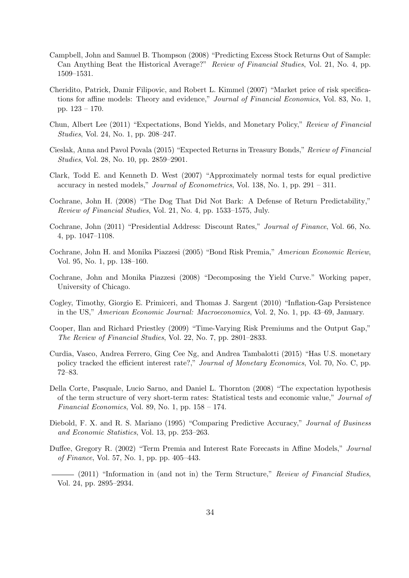- <span id="page-34-7"></span>Campbell, John and Samuel B. Thompson (2008) "Predicting Excess Stock Returns Out of Sample: Can Anything Beat the Historical Average?" Review of Financial Studies, Vol. 21, No. 4, pp. 1509–1531.
- <span id="page-34-10"></span>Cheridito, Patrick, Damir Filipovic, and Robert L. Kimmel (2007) "Market price of risk specifications for affine models: Theory and evidence," Journal of Financial Economics, Vol. 83, No. 1, pp. 123 – 170.
- <span id="page-34-12"></span>Chun, Albert Lee (2011) "Expectations, Bond Yields, and Monetary Policy," Review of Financial Studies, Vol. 24, No. 1, pp. 208–247.
- <span id="page-34-2"></span>Cieslak, Anna and Pavol Povala (2015) "Expected Returns in Treasury Bonds," Review of Financial Studies, Vol. 28, No. 10, pp. 2859–2901.
- <span id="page-34-8"></span>Clark, Todd E. and Kenneth D. West (2007) "Approximately normal tests for equal predictive accuracy in nested models," Journal of Econometrics, Vol. 138, No. 1, pp. 291 – 311.
- <span id="page-34-11"></span>Cochrane, John H. (2008) "The Dog That Did Not Bark: A Defense of Return Predictability," Review of Financial Studies, Vol. 21, No. 4, pp. 1533–1575, July.
- <span id="page-34-15"></span>Cochrane, John (2011) "Presidential Address: Discount Rates," Journal of Finance, Vol. 66, No. 4, pp. 1047–1108.
- <span id="page-34-0"></span>Cochrane, John H. and Monika Piazzesi (2005) "Bond Risk Premia," American Economic Review, Vol. 95, No. 1, pp. 138–160.
- <span id="page-34-14"></span>Cochrane, John and Monika Piazzesi (2008) "Decomposing the Yield Curve." Working paper, University of Chicago.
- <span id="page-34-13"></span>Cogley, Timothy, Giorgio E. Primiceri, and Thomas J. Sargent (2010) "Inflation-Gap Persistence in the US," American Economic Journal: Macroeconomics, Vol. 2, No. 1, pp. 43–69, January.
- <span id="page-34-3"></span>Cooper, Ilan and Richard Priestley (2009) "Time-Varying Risk Premiums and the Output Gap," The Review of Financial Studies, Vol. 22, No. 7, pp. 2801–2833.
- <span id="page-34-4"></span>Curdia, Vasco, Andrea Ferrero, Ging Cee Ng, and Andrea Tambalotti (2015) "Has U.S. monetary policy tracked the efficient interest rate?," Journal of Monetary Economics, Vol. 70, No. C, pp. 72–83.
- <span id="page-34-1"></span>Della Corte, Pasquale, Lucio Sarno, and Daniel L. Thornton (2008) "The expectation hypothesis of the term structure of very short-term rates: Statistical tests and economic value," Journal of Financial Economics, Vol. 89, No. 1, pp. 158 – 174.
- <span id="page-34-9"></span>Diebold, F. X. and R. S. Mariano (1995) "Comparing Predictive Accuracy," Journal of Business and Economic Statistics, Vol. 13, pp. 253–263.
- <span id="page-34-6"></span>Duffee, Gregory R. (2002) "Term Premia and Interest Rate Forecasts in Affine Models," Journal of Finance, Vol. 57, No. 1, pp. pp. 405–443.
- <span id="page-34-5"></span>- (2011) "Information in (and not in) the Term Structure," Review of Financial Studies, Vol. 24, pp. 2895–2934.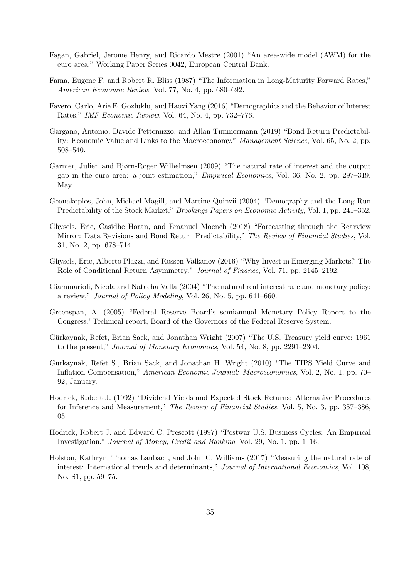- <span id="page-35-12"></span>Fagan, Gabriel, Jerome Henry, and Ricardo Mestre (2001) "An area-wide model (AWM) for the euro area," Working Paper Series 0042, European Central Bank.
- <span id="page-35-0"></span>Fama, Eugene F. and Robert R. Bliss (1987) "The Information in Long-Maturity Forward Rates," American Economic Review, Vol. 77, No. 4, pp. 680–692.
- <span id="page-35-9"></span>Favero, Carlo, Arie E. Gozluklu, and Haoxi Yang (2016) "Demographics and the Behavior of Interest Rates," IMF Economic Review, Vol. 64, No. 4, pp. 732–776.
- <span id="page-35-1"></span>Gargano, Antonio, Davide Pettenuzzo, and Allan Timmermann (2019) "Bond Return Predictability: Economic Value and Links to the Macroeconomy," Management Science, Vol. 65, No. 2, pp. 508–540.
- <span id="page-35-3"></span>Garnier, Julien and Bjørn-Roger Wilhelmsen (2009) "The natural rate of interest and the output gap in the euro area: a joint estimation," Empirical Economics, Vol. 36, No. 2, pp. 297–319, May.
- <span id="page-35-8"></span>Geanakoplos, John, Michael Magill, and Martine Quinzii (2004) "Demography and the Long-Run Predictability of the Stock Market," *Brookings Papers on Economic Activity*, Vol. 1, pp. 241–352.
- <span id="page-35-2"></span>Ghysels, Eric, Casidhe Horan, and Emanuel Moench (2018) "Forecasting through the Rearview Mirror: Data Revisions and Bond Return Predictability," The Review of Financial Studies, Vol. 31, No. 2, pp. 678–714.
- <span id="page-35-10"></span>Ghysels, Eric, Alberto Plazzi, and Rossen Valkanov (2016) "Why Invest in Emerging Markets? The Role of Conditional Return Asymmetry," Journal of Finance, Vol. 71, pp. 2145–2192.
- <span id="page-35-5"></span>Giammarioli, Nicola and Natacha Valla (2004) "The natural real interest rate and monetary policy: a review," Journal of Policy Modeling, Vol. 26, No. 5, pp. 641–660.
- <span id="page-35-7"></span>Greenspan, A. (2005) "Federal Reserve Board's semiannual Monetary Policy Report to the Congress,"Technical report, Board of the Governors of the Federal Reserve System.
- <span id="page-35-14"></span>Gürkaynak, Refet, Brian Sack, and Jonathan Wright (2007) "The U.S. Treasury yield curve: 1961 to the present," Journal of Monetary Economics, Vol. 54, No. 8, pp. 2291–2304.
- <span id="page-35-13"></span>Gurkaynak, Refet S., Brian Sack, and Jonathan H. Wright (2010) "The TIPS Yield Curve and Inflation Compensation," American Economic Journal: Macroeconomics, Vol. 2, No. 1, pp. 70– 92, January.
- <span id="page-35-6"></span>Hodrick, Robert J. (1992) "Dividend Yields and Expected Stock Returns: Alternative Procedures for Inference and Measurement," The Review of Financial Studies, Vol. 5, No. 3, pp. 357–386, 05.
- <span id="page-35-4"></span>Hodrick, Robert J. and Edward C. Prescott (1997) "Postwar U.S. Business Cycles: An Empirical Investigation," Journal of Money, Credit and Banking, Vol. 29, No. 1, pp. 1–16.
- <span id="page-35-11"></span>Holston, Kathryn, Thomas Laubach, and John C. Williams (2017) "Measuring the natural rate of interest: International trends and determinants," Journal of International Economics, Vol. 108, No. S1, pp. 59–75.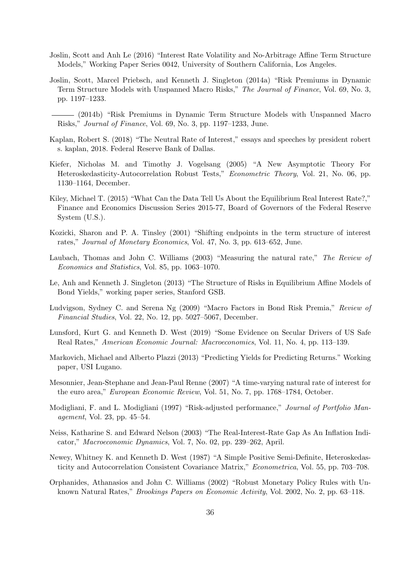- <span id="page-36-15"></span>Joslin, Scott and Anh Le (2016) "Interest Rate Volatility and No-Arbitrage Affine Term Structure Models," Working Paper Series 0042, University of Southern California, Los Angeles.
- <span id="page-36-13"></span>Joslin, Scott, Marcel Priebsch, and Kenneth J. Singleton (2014a) "Risk Premiums in Dynamic Term Structure Models with Unspanned Macro Risks," The Journal of Finance, Vol. 69, No. 3, pp. 1197–1233.
- <span id="page-36-16"></span>(2014b) "Risk Premiums in Dynamic Term Structure Models with Unspanned Macro Risks," Journal of Finance, Vol. 69, No. 3, pp. 1197–1233, June.
- <span id="page-36-1"></span>Kaplan, Robert S. (2018) "The Neutral Rate of Interest," essays and speeches by president robert s. kaplan, 2018. Federal Reserve Bank of Dallas.
- <span id="page-36-12"></span>Kiefer, Nicholas M. and Timothy J. Vogelsang (2005) "A New Asymptotic Theory For Heteroskedasticity-Autocorrelation Robust Tests," Econometric Theory, Vol. 21, No. 06, pp. 1130–1164, December.
- <span id="page-36-8"></span>Kiley, Michael T. (2015) "What Can the Data Tell Us About the Equilibrium Real Interest Rate?," Finance and Economics Discussion Series 2015-77, Board of Governors of the Federal Reserve System (U.S.).
- <span id="page-36-9"></span>Kozicki, Sharon and P. A. Tinsley (2001) "Shifting endpoints in the term structure of interest rates," Journal of Monetary Economics, Vol. 47, No. 3, pp. 613–652, June.
- <span id="page-36-7"></span>Laubach, Thomas and John C. Williams (2003) "Measuring the natural rate," The Review of Economics and Statistics, Vol. 85, pp. 1063–1070.
- <span id="page-36-10"></span>Le, Anh and Kenneth J. Singleton (2013) "The Structure of Risks in Equilibrium Affine Models of Bond Yields," working paper series, Stanford GSB.
- <span id="page-36-0"></span>Ludvigson, Sydney C. and Serena Ng (2009) "Macro Factors in Bond Risk Premia," Review of Financial Studies, Vol. 22, No. 12, pp. 5027–5067, December.
- <span id="page-36-2"></span>Lunsford, Kurt G. and Kenneth D. West (2019) "Some Evidence on Secular Drivers of US Safe Real Rates," American Economic Journal: Macroeconomics, Vol. 11, No. 4, pp. 113–139.
- <span id="page-36-3"></span>Markovich, Michael and Alberto Plazzi (2013) "Predicting Yields for Predicting Returns." Working paper, USI Lugano.
- <span id="page-36-6"></span>Mesonnier, Jean-Stephane and Jean-Paul Renne (2007) "A time-varying natural rate of interest for the euro area," European Economic Review, Vol. 51, No. 7, pp. 1768–1784, October.
- <span id="page-36-14"></span>Modigliani, F. and L. Modigliani (1997) "Risk-adjusted performance," Journal of Portfolio Management, Vol. 23, pp. 45–54.
- <span id="page-36-5"></span>Neiss, Katharine S. and Edward Nelson (2003) "The Real-Interest-Rate Gap As An Inflation Indicator," Macroeconomic Dynamics, Vol. 7, No. 02, pp. 239–262, April.
- <span id="page-36-11"></span>Newey, Whitney K. and Kenneth D. West (1987) "A Simple Positive Semi-Definite, Heteroskedasticity and Autocorrelation Consistent Covariance Matrix," Econometrica, Vol. 55, pp. 703–708.
- <span id="page-36-4"></span>Orphanides, Athanasios and John C. Williams (2002) "Robust Monetary Policy Rules with Unknown Natural Rates," Brookings Papers on Economic Activity, Vol. 2002, No. 2, pp. 63–118.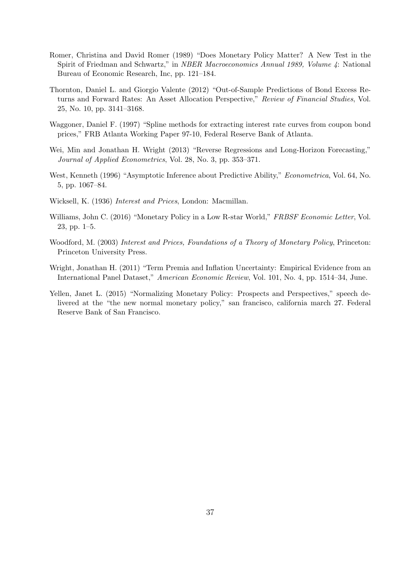- <span id="page-37-5"></span>Romer, Christina and David Romer (1989) "Does Monetary Policy Matter? A New Test in the Spirit of Friedman and Schwartz," in NBER Macroeconomics Annual 1989, Volume 4: National Bureau of Economic Research, Inc, pp. 121–184.
- <span id="page-37-0"></span>Thornton, Daniel L. and Giorgio Valente (2012) "Out-of-Sample Predictions of Bond Excess Returns and Forward Rates: An Asset Allocation Perspective," Review of Financial Studies, Vol. 25, No. 10, pp. 3141–3168.
- <span id="page-37-8"></span>Waggoner, Daniel F. (1997) "Spline methods for extracting interest rate curves from coupon bond prices," FRB Atlanta Working Paper 97-10, Federal Reserve Bank of Atlanta.
- <span id="page-37-6"></span>Wei, Min and Jonathan H. Wright (2013) "Reverse Regressions and Long-Horizon Forecasting," Journal of Applied Econometrics, Vol. 28, No. 3, pp. 353–371.
- <span id="page-37-7"></span>West, Kenneth (1996) "Asymptotic Inference about Predictive Ability," Econometrica, Vol. 64, No. 5, pp. 1067–84.
- <span id="page-37-1"></span>Wicksell, K. (1936) Interest and Prices, London: Macmillan.
- <span id="page-37-3"></span>Williams, John C. (2016) "Monetary Policy in a Low R-star World," FRBSF Economic Letter, Vol. 23, pp. 1–5.
- <span id="page-37-2"></span>Woodford, M. (2003) Interest and Prices, Foundations of a Theory of Monetary Policy, Princeton: Princeton University Press.
- <span id="page-37-9"></span>Wright, Jonathan H. (2011) "Term Premia and Inflation Uncertainty: Empirical Evidence from an International Panel Dataset," American Economic Review, Vol. 101, No. 4, pp. 1514–34, June.
- <span id="page-37-4"></span>Yellen, Janet L. (2015) "Normalizing Monetary Policy: Prospects and Perspectives," speech delivered at the "the new normal monetary policy," san francisco, california march 27. Federal Reserve Bank of San Francisco.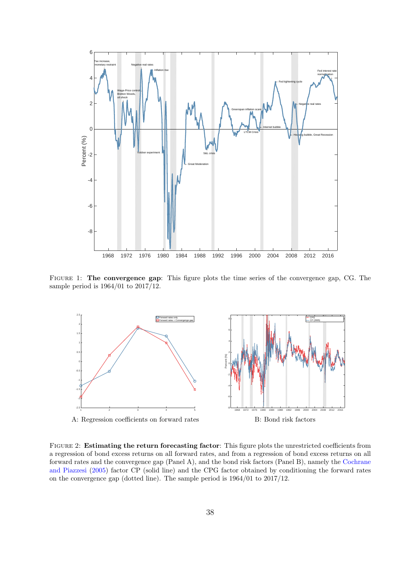<span id="page-38-0"></span>

Figure 1: The convergence gap: This figure plots the time series of the convergence gap, CG. The sample period is 1964/01 to 2017/12.

<span id="page-38-1"></span>

Figure 2: Estimating the return forecasting factor: This figure plots the unrestricted coefficients from a regression of bond excess returns on all forward rates, and from a regression of bond excess returns on all forward rates and the convergence gap (Panel A), and the bond risk factors (Panel B), namely the [Cochrane](#page-34-0) [and Piazzesi](#page-34-0) [\(2005\)](#page-34-0) factor CP (solid line) and the CPG factor obtained by conditioning the forward rates on the convergence gap (dotted line). The sample period is 1964/01 to 2017/12.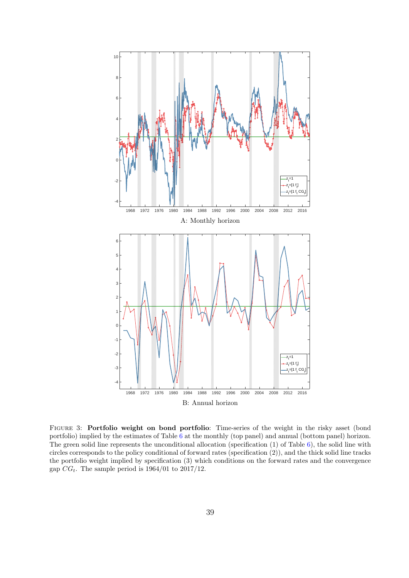<span id="page-39-0"></span>

Figure 3: Portfolio weight on bond portfolio: Time-series of the weight in the risky asset (bond portfolio) implied by the estimates of Table [6](#page-45-0) at the monthly (top panel) and annual (bottom panel) horizon. The green solid line represents the unconditional allocation (specification  $(1)$  of Table [6\)](#page-45-0), the solid line with circles corresponds to the policy conditional of forward rates (specification (2)), and the thick solid line tracks the portfolio weight implied by specification (3) which conditions on the forward rates and the convergence gap  $CG_t$ . The sample period is 1964/01 to 2017/12.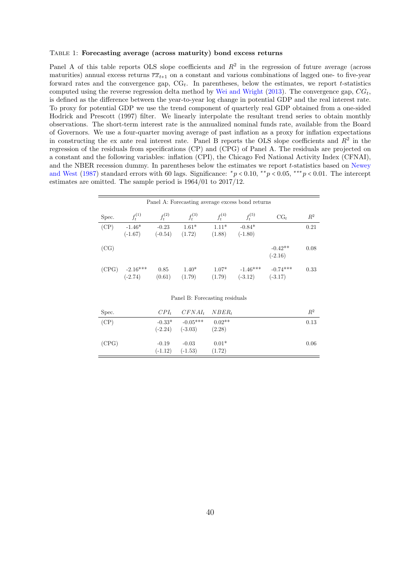#### <span id="page-40-0"></span>Table 1: Forecasting average (across maturity) bond excess returns

Panel A of this table reports OLS slope coefficients and  $R^2$  in the regression of future average (across maturities) annual excess returns  $\overline{rx}_{t+1}$  on a constant and various combinations of lagged one- to five-year forward rates and the convergence gap,  $CG_t$ . In parentheses, below the estimates, we report t-statistics computed using the reverse regression delta method by [Wei and Wright](#page-37-6) [\(2013\)](#page-37-6). The convergence gap,  $CG_t$ , is defined as the difference between the year-to-year log change in potential GDP and the real interest rate. To proxy for potential GDP we use the trend component of quarterly real GDP obtained from a one-sided Hodrick and Prescott (1997) filter. We linearly interpolate the resultant trend series to obtain monthly observations. The short-term interest rate is the annualized nominal funds rate, available from the Board of Governors. We use a four-quarter moving average of past inflation as a proxy for inflation expectations in constructing the ex ante real interest rate. Panel B reports the OLS slope coefficients and  $R^2$  in the regression of the residuals from specifications (CP) and (CPG) of Panel A. The residuals are projected on a constant and the following variables: inflation (CPI), the Chicago Fed National Activity Index (CFNAI), and the NBER recession dummy. In parentheses below the estimates we report t-statistics based on [Newey](#page-36-11) [and West](#page-36-11) [\(1987\)](#page-36-11) standard errors with 60 lags. Significance:  $\frac{*p}{0.10}$ ,  $\frac{*p}{0.05}$ ,  $\frac{***p}{0.01}$ . The intercept estimates are omitted. The sample period is 1964/01 to 2017/12.

|       |                         |                |                   |                   | Panel A: Forecasting average excess bond returns |                         |       |
|-------|-------------------------|----------------|-------------------|-------------------|--------------------------------------------------|-------------------------|-------|
| Spec. | $f_t^{(1)}$             | $f_t^{(2)}$    | $f_t^{(3)}$       | $f_t^{(4)}$       | $f_t^{(5)}$                                      | $CG_t$                  | $R^2$ |
| (CP)  | $-1.46*$                | $-0.23$        | $1.61*$           | $1.11*$           | $-0.84*$                                         |                         | 0.21  |
|       | $(-1.67)$               | $(-0.54)$      | (1.72)            | (1.88)            | $(-1.80)$                                        |                         |       |
| (CG)  |                         |                |                   |                   |                                                  | $-0.42**$<br>$(-2.16)$  | 0.08  |
| (CPG) | $-2.16***$<br>$(-2.74)$ | 0.85<br>(0.61) | $1.40*$<br>(1.79) | $1.07*$<br>(1.79) | $-1.46***$<br>$(-3.12)$                          | $-0.74***$<br>$(-3.17)$ | 0.33  |

| Spec. |                      | $CPI_t$ $CFNAI_t$ $NBER_t$                       |                   | $R^2$ |
|-------|----------------------|--------------------------------------------------|-------------------|-------|
| (CP)  | $(-2.24)$            | $-0.33^*$ $-0.05^{***}$ $0.02^{**}$<br>$(-3.03)$ | (2.28)            | 0.13  |
| (CPG) | $-0.19$<br>$(-1.12)$ | $-0.03$<br>$(-1.53)$                             | $0.01*$<br>(1.72) | 0.06  |

Panel B: Forecasting residuals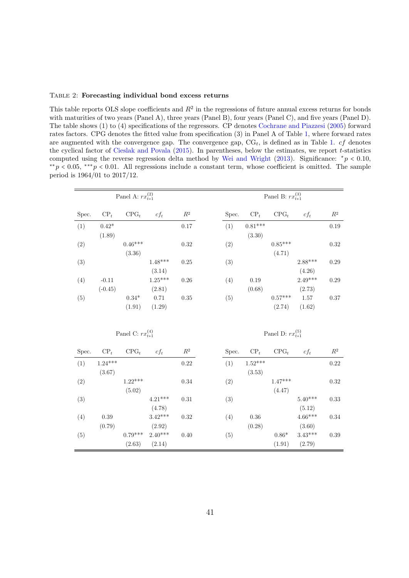### <span id="page-41-0"></span>Table 2: Forecasting individual bond excess returns

This table reports OLS slope coefficients and  $R^2$  in the regressions of future annual excess returns for bonds with maturities of two years (Panel A), three years (Panel B), four years (Panel C), and five years (Panel D). The table shows (1) to (4) specifications of the regressors. CP denotes [Cochrane and Piazzesi](#page-34-0) [\(2005\)](#page-34-0) forward rates factors. CPG denotes the fitted value from specification (3) in Panel A of Table [1,](#page-40-0) where forward rates are augmented with the convergence gap. The convergence gap,  $CG_t$ , is defined as in Table [1.](#page-40-0) cf denotes the cyclical factor of [Cieslak and Povala](#page-34-2) [\(2015\)](#page-34-2). In parentheses, below the estimates, we report t-statistics computed using the reverse regression delta method by [Wei and Wright](#page-37-6) [\(2013\)](#page-37-6). Significance:  $*_p$  < 0.10,  $*^{*}p < 0.05$ ,  $*^{**}p < 0.01$ . All regressions include a constant term, whose coefficient is omitted. The sample period is 1964/01 to 2017/12.

|       | Panel A: $rx_{t+1}^{(2)}$ |                           |           |                |  |       | Panel B: $rx_{t+1}^{(3)}$ |                           |           |                |  |  |  |
|-------|---------------------------|---------------------------|-----------|----------------|--|-------|---------------------------|---------------------------|-----------|----------------|--|--|--|
| Spec. | $CP_t$                    | $CPG_t$                   | $cf_t$    | $\mathbb{R}^2$ |  | Spec. | $CP_t$                    | $CPG_t$                   | $cf_t$    | $\mathbb{R}^2$ |  |  |  |
| (1)   | $0.42*$                   |                           |           | 0.17           |  | (1)   | $0.81***$                 |                           |           | 0.19           |  |  |  |
|       | (1.89)                    |                           |           |                |  |       | (3.30)                    |                           |           |                |  |  |  |
| (2)   |                           | $0.46***$                 |           | 0.32           |  | (2)   |                           | $0.85***$                 |           | 0.32           |  |  |  |
|       |                           | (3.36)                    |           |                |  |       |                           | (4.71)                    |           |                |  |  |  |
| (3)   |                           |                           | $1.48***$ | 0.25           |  | (3)   |                           |                           | 2.88***   | 0.29           |  |  |  |
|       |                           |                           | (3.14)    |                |  |       |                           |                           | (4.26)    |                |  |  |  |
| (4)   | $-0.11$                   |                           | $1.25***$ | 0.26           |  | (4)   | 0.19                      |                           | $2.49***$ | 0.29           |  |  |  |
|       | $(-0.45)$                 |                           | (2.81)    |                |  |       | (0.68)                    |                           | (2.73)    |                |  |  |  |
| (5)   |                           | $0.34*$                   | 0.71      | 0.35           |  | (5)   |                           | $0.57***$                 | 1.57      | $0.37\,$       |  |  |  |
|       |                           | (1.91)                    | (1.29)    |                |  |       |                           | (2.74)                    | (1.62)    |                |  |  |  |
|       |                           |                           |           |                |  |       |                           |                           |           |                |  |  |  |
|       |                           | Panel C: $rx_{t+1}^{(4)}$ |           |                |  |       |                           | Panel D: $rx_{t+1}^{(5)}$ |           |                |  |  |  |
| Spec. | $CP_t$                    | $CPG_t$                   | $cf_t$    | $\mathbb{R}^2$ |  | Spec. | $CP_t$                    | $CPG_t$                   | $cf_t$    | $\mathbb{R}^2$ |  |  |  |
| (1)   | $1.24***$                 |                           |           | 0.22           |  | (1)   | $1.52***$                 |                           |           | $0.22\,$       |  |  |  |
|       | (3.67)                    |                           |           |                |  |       | (3.53)                    |                           |           |                |  |  |  |
| (2)   |                           | $1.22***$                 |           | 0.34           |  | (2)   |                           | $1.47***$                 |           | 0.32           |  |  |  |
|       |                           | (5.02)                    |           |                |  |       |                           | (4.47)                    |           |                |  |  |  |
| (3)   |                           |                           | $4.21***$ | 0.31           |  | (3)   |                           |                           | $5.40***$ | 0.33           |  |  |  |
|       |                           |                           | (4.78)    |                |  |       |                           |                           | (5.12)    |                |  |  |  |
| (4)   | $0.39\,$                  |                           | $3.42***$ | 0.32           |  | (4)   | 0.36                      |                           | $4.66***$ | 0.34           |  |  |  |
|       | (0.79)                    |                           | (2.92)    |                |  |       | (0.28)                    |                           | (3.60)    |                |  |  |  |
| (5)   |                           | $0.79***$                 | $2.40***$ | 0.40           |  | (5)   |                           | $0.86*$                   | $3.43***$ | 0.39           |  |  |  |
|       |                           | (2.63)                    | (2.14)    |                |  |       |                           | (1.91)                    | (2.79)    |                |  |  |  |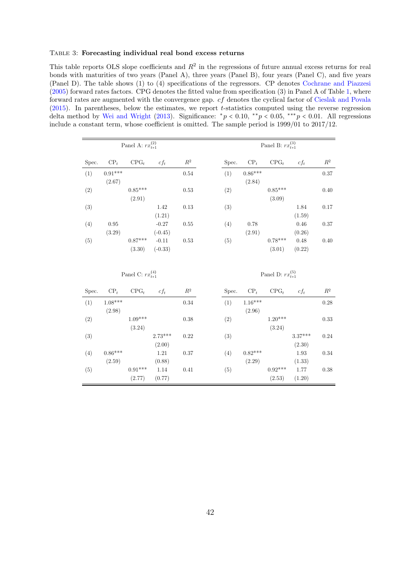### <span id="page-42-0"></span>Table 3: Forecasting individual real bond excess returns

This table reports OLS slope coefficients and  $R^2$  in the regressions of future annual excess returns for real bonds with maturities of two years (Panel A), three years (Panel B), four years (Panel C), and five years (Panel D). The table shows (1) to (4) specifications of the regressors. CP denotes [Cochrane and Piazzesi](#page-34-0) [\(2005\)](#page-34-0) forward rates factors. CPG denotes the fitted value from specification (3) in Panel A of Table [1,](#page-40-0) where forward rates are augmented with the convergence gap. cf denotes the cyclical factor of [Cieslak and Povala](#page-34-2) [\(2015\)](#page-34-2). In parentheses, below the estimates, we report t-statistics computed using the reverse regression delta method by [Wei and Wright](#page-37-6) [\(2013\)](#page-37-6). Significance:  $\frac{*p}{0.10}$ ,  $\frac{**p}{0.05}$ ,  $\frac{***p}{0.01}$ . All regressions include a constant term, whose coefficient is omitted. The sample period is 1999/01 to 2017/12.

|       | Panel A: $rx_{t+1}^{(2)}$ |                     |                      |       |       | Panel B: $rx_{t+1}^{(3)}$ |                     |                |                |  |  |
|-------|---------------------------|---------------------|----------------------|-------|-------|---------------------------|---------------------|----------------|----------------|--|--|
| Spec. | $CP_t$                    | $CPG_t$             | $cf_t$               | $R^2$ | Spec. | $CP_t$                    | $CPG_t$             | $cf_t$         | $\mathbb{R}^2$ |  |  |
| (1)   | $0.91***$<br>(2.67)       |                     |                      | 0.54  | (1)   | $0.86***$<br>(2.84)       |                     |                | 0.37           |  |  |
| (2)   |                           | $0.85***$<br>(2.91) |                      | 0.53  | (2)   |                           | $0.85***$<br>(3.09) |                | 0.40           |  |  |
| (3)   |                           |                     | 1.42<br>(1.21)       | 0.13  | (3)   |                           |                     | 1.84<br>(1.59) | 0.17           |  |  |
| (4)   | 0.95<br>(3.29)            |                     | $-0.27$<br>$(-0.45)$ | 0.55  | (4)   | 0.78<br>(2.91)            |                     | 0.46<br>(0.26) | 0.37           |  |  |
| (5)   |                           | $0.87***$<br>(3.30) | $-0.11$<br>$(-0.33)$ | 0.53  | (5)   |                           | $0.78***$<br>(3.01) | 0.48<br>(0.22) | 0.40           |  |  |

| Panel C: $rx_{t+1}^{(4)}$ |  |  |
|---------------------------|--|--|
|---------------------------|--|--|

(4) Panel D:  $rx_{t+1}^{(5)}$ 

| Spec.             | $CP_t$    | $CPG_t$   | $cf_t$    | $R^2$ | Spec. | $CP_t$    | $CPG_t$   | $cf_t$    | $R^2$ |
|-------------------|-----------|-----------|-----------|-------|-------|-----------|-----------|-----------|-------|
| (1)               | $1.08***$ |           |           | 0.34  | (1)   | $1.16***$ |           |           | 0.28  |
|                   | (2.98)    |           |           |       |       | (2.96)    |           |           |       |
| (2)               |           | $1.09***$ |           | 0.38  | (2)   |           | $1.20***$ |           | 0.33  |
|                   |           | (3.24)    |           |       |       |           | (3.24)    |           |       |
| $\left( 3\right)$ |           |           | $2.73***$ | 0.22  | (3)   |           |           | $3.37***$ | 0.24  |
|                   |           |           | (2.00)    |       |       |           |           | (2.30)    |       |
| (4)               | $0.86***$ |           | 1.21      | 0.37  | (4)   | $0.82***$ |           | 1.93      | 0.34  |
|                   | (2.59)    |           | (0.88)    |       |       | (2.29)    |           | (1.33)    |       |
| (5)               |           | $0.91***$ | 1.14      | 0.41  | (5)   |           | $0.92***$ | 1.77      | 0.38  |
|                   |           | (2.77)    | (0.77)    |       |       |           | (2.53)    | (1.20)    |       |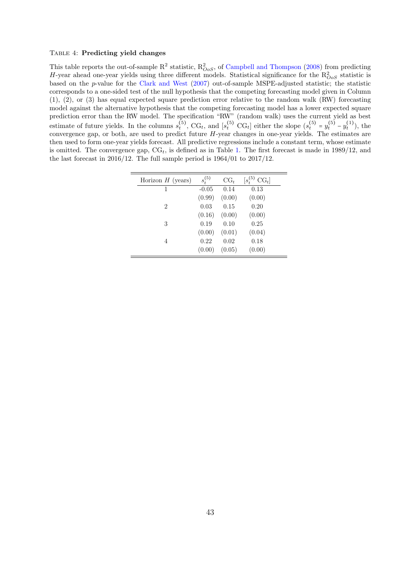#### <span id="page-43-0"></span>Table 4: Predicting yield changes

 $=$ 

 $\equiv$ 

This table reports the out-of-sample  $R^2$  statistic,  $R^2_{OoS}$ , of [Campbell and Thompson](#page-34-7) [\(2008\)](#page-34-7) from predicting H-year ahead one-year yields using three different models. Statistical significance for the  $R_{OoS}^2$  statistic is based on the p-value for the [Clark and West](#page-34-8) [\(2007\)](#page-34-8) out-of-sample MSPE-adjusted statistic; the statistic corresponds to a one-sided test of the null hypothesis that the competing forecasting model given in Column (1), (2), or (3) has equal expected square prediction error relative to the random walk (RW) forecasting model against the alternative hypothesis that the competing forecasting model has a lower expected square prediction error than the RW model. The specification "RW" (random walk) uses the current yield as best estimate of future yields. In the columns  $s_t^{(5)}$ , CG<sub>t</sub>, and  $[s_t^{(5)} \text{ CG}_t]$  either the slope  $(s_t^{(5)} = y_t^{(5)} - y_t^{(1)})$ , the convergence gap, or both, are used to predict future H-year changes in one-year yields. The estimates are then used to form one-year yields forecast. All predictive regressions include a constant term, whose estimate is omitted. The convergence gap,  $CG_t$ , is defined as in Table [1.](#page-40-0) The first forecast is made in 1989/12, and the last forecast in 2016/12. The full sample period is 1964/01 to 2017/12.

| Horizon $H$ (years)         | $s_+^{(5)}$ | $CG_t$ | $[s^{(5)}_t]$<br>$CGt$ ] |
|-----------------------------|-------------|--------|--------------------------|
| 1                           | $-0.05$     | 0.14   | 0.13                     |
|                             | (0.99)      | (0.00) | (0.00)                   |
| $\mathcal{D}_{\mathcal{L}}$ | 0.03        | 0.15   | 0.20                     |
|                             | (0.16)      | (0.00) | (0.00)                   |
| 3                           | 0.19        | 0.10   | 0.25                     |
|                             | (0.00)      | (0.01) | (0.04)                   |
| 4                           | 0.22        | 0.02   | 0.18                     |
|                             | (0.00)      | (0.05) | (0.00)                   |
|                             |             |        |                          |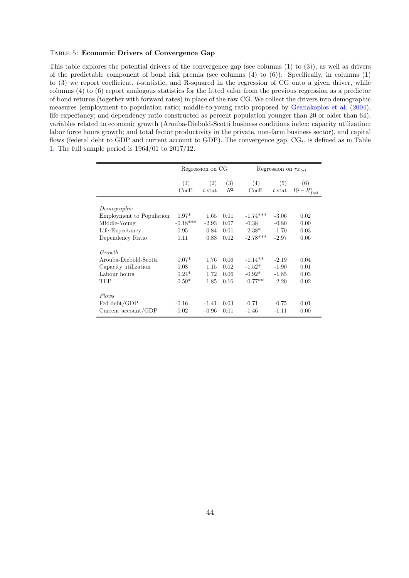### <span id="page-44-0"></span>Table 5: Economic Drivers of Convergence Gap

This table explores the potential drivers of the convergence gap (see columns (1) to (3)), as well as drivers of the predictable component of bond risk premia (see columns  $(4)$  to  $(6)$ ). Specifically, in columns  $(1)$ to (3) we report coefficient, t-statistic, and R-squared in the regression of CG onto a given driver, while columns (4) to (6) report analogous statistics for the fitted value from the previous regression as a predictor of bond returns (together with forward rates) in place of the raw CG. We collect the drivers into demographic measures (employment to population ratio; middle-to-young ratio proposed by [Geanakoplos et al.](#page-35-8) [\(2004\)](#page-35-8), life expectancy; and dependency ratio constructed as percent population younger than 20 or older than 64), variables related to economic growth (Arouba-Diebold-Scotti business conditions index; capacity utilization; labor force hours growth; and total factor productivity in the private, non-farm business sector), and capital flows (federal debt to GDP and current account to GDP). The convergence gap,  $CG<sub>t</sub>$ , is defined as in Table [1.](#page-40-0) The full sample period is 1964/01 to 2017/12.

|                          |               | Regression on CG |              |               | Regression on $\overline{rx}_{t+1}$ |                                 |
|--------------------------|---------------|------------------|--------------|---------------|-------------------------------------|---------------------------------|
|                          | (1)<br>Coeff. | (2)<br>$t$ -stat | (3)<br>$R^2$ | (4)<br>Coeff. | (5)                                 | (6)<br>t-stat $R^2 - R_{fwd}^2$ |
| Demographic              |               |                  |              |               |                                     |                                 |
| Employment to Population | $0.97*$       | 1.65             | 0.01         | $-1.74***$    | $-3.06$                             | 0.02                            |
| Middle-Young             | $-0.18***$    | $-2.93$          | 0.07         | $-0.38$       | $-0.80$                             | 0.00                            |
| Life Expectancy          | $-0.95$       | $-0.84$          | 0.01         | $2.38*$       | $-1.70$                             | 0.03                            |
| Dependency Ratio         | 0.11          | 0.88             | 0.02         | $-2.78***$    | $-2.97$                             | 0.06                            |
| <i>Growth</i>            |               |                  |              |               |                                     |                                 |
| Arouba-Diebold-Scotti    | $0.07*$       | 1.76             | 0.06         | $-1.14**$     | $-2.19$                             | 0.04                            |
| Capacity utilization     | 0.08          | 1.15             | 0.02         | $-1.52*$      | $-1.90$                             | 0.01                            |
| Labour hours             | $0.24*$       | 1.72             | 0.06         | $-0.92*$      | $-1.85$                             | 0.03                            |
| TFP                      | $0.59*$       | 1.85             | 0.16         | $-0.77**$     | $-2.20$                             | 0.02                            |
| Flows                    |               |                  |              |               |                                     |                                 |
| Fed debt/GDP             | $-0.16$       | $-1.41$          | 0.03         | $-0.71$       | $-0.75$                             | 0.01                            |
| Current account/GDP      | $-0.02$       | $-0.96$          | 0.01         | $-1.46$       | $-1.11$                             | 0.00                            |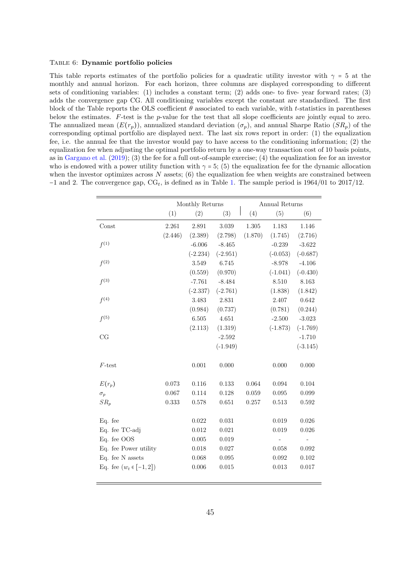### <span id="page-45-0"></span>Table 6: Dynamic portfolio policies

This table reports estimates of the portfolio policies for a quadratic utility investor with  $\gamma = 5$  at the monthly and annual horizon. For each horizon, three columns are displayed corresponding to different sets of conditioning variables: (1) includes a constant term; (2) adds one- to five- year forward rates; (3) adds the convergence gap CG. All conditioning variables except the constant are standardized. The first block of the Table reports the OLS coefficient  $\theta$  associated to each variable, with t-statistics in parentheses below the estimates. F-test is the p-value for the test that all slope coefficients are jointly equal to zero. The annualized mean  $(E(r_p))$ , annualized standard deviation  $(\sigma_p)$ , and annual Sharpe Ratio  $(SR_p)$  of the corresponding optimal portfolio are displayed next. The last six rows report in order: (1) the equalization fee, i.e. the annual fee that the investor would pay to have access to the conditioning information; (2) the equalization fee when adjusting the optimal portfolio return by a one-way transaction cost of 10 basis points, as in [Gargano et al.](#page-35-1) [\(2019\)](#page-35-1); (3) the fee for a full out-of-sample exercise; (4) the equalization fee for an investor who is endowed with a power utility function with  $\gamma = 5$ ; (5) the equalization fee for the dynamic allocation when the investor optimizes across  $N$  assets; (6) the equalization fee when weights are constrained between  $-1$  and 2. The convergence gap, CG<sub>t</sub>, is defined as in Table [1.](#page-40-0) The sample period is 1964/01 to 2017/12.

|                            |         | Monthly Returns |            |         | Annual Returns |            |
|----------------------------|---------|-----------------|------------|---------|----------------|------------|
|                            | (1)     | (2)             | (3)        | (4)     | (5)            | (6)        |
| Const                      | 2.261   | 2.891           | 3.039      | 1.305   | 1.183          | 1.146      |
|                            | (2.446) | (2.389)         | (2.798)    | (1.870) | (1.745)        | (2.716)    |
| $f^{(1)}$                  |         | $-6.006$        | $-8.465$   |         | $-0.239$       | $-3.622$   |
|                            |         | $(-2.234)$      | $(-2.951)$ |         | $(-0.053)$     | $(-0.687)$ |
| $f^{(2)}$                  |         | 3.549           | 6.745      |         | $-8.978$       | $-4.106$   |
|                            |         | (0.559)         | (0.970)    |         | $(-1.041)$     | $(-0.430)$ |
| $f^{(3)}$                  |         | $-7.761$        | $-8.484$   |         | 8.510          | 8.163      |
|                            |         | $(-2.337)$      | $(-2.761)$ |         | (1.838)        | (1.842)    |
| f <sup>(4)</sup>           |         | 3.483           | 2.831      |         | 2.407          | $0.642\,$  |
|                            |         | (0.984)         | (0.737)    |         | (0.781)        | (0.244)    |
| $f^{(5)}$                  |         | 6.505           | 4.651      |         | $-2.500$       | $-3.023$   |
|                            |         | (2.113)         | (1.319)    |         | $(-1.873)$     | $(-1.769)$ |
| CG                         |         |                 | $-2.592$   |         |                | $-1.710$   |
|                            |         |                 | $(-1.949)$ |         |                | $(-3.145)$ |
| $F$ -test                  |         | 0.001           | 0.000      |         | 0.000          | 0.000      |
| $E(r_p)$                   | 0.073   | 0.116           | 0.133      | 0.064   | 0.094          | 0.104      |
| $\sigma_p$                 | 0.067   | 0.114           | 0.128      | 0.059   | 0.095          | 0.099      |
| $SR_p$                     | 0.333   | 0.578           | 0.651      | 0.257   | 0.513          | 0.592      |
| Eq. fee                    |         | 0.022           | 0.031      |         | 0.019          | 0.026      |
| Eq. fee TC-adj             |         | 0.012           | 0.021      |         | 0.019          | 0.026      |
| Eq. fee OOS                |         | 0.005           | 0.019      |         |                |            |
| Eq. fee Power utility      |         | 0.018           | 0.027      |         | 0.058          | 0.092      |
| Eq. fee N assets           |         | 0.068           | 0.095      |         | 0.092          | 0.102      |
| Eq. fee $(w_t \in [-1,2])$ |         | 0.006           | 0.015      |         | 0.013          | 0.017      |
|                            |         |                 |            |         |                |            |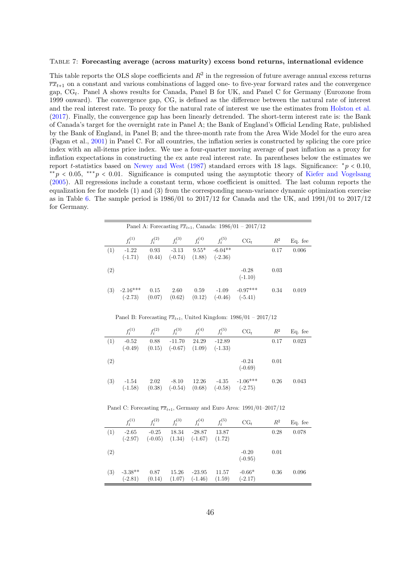#### <span id="page-46-0"></span>Table 7: Forecasting average (across maturity) excess bond returns, international evidence

This table reports the OLS slope coefficients and  $R^2$  in the regression of future average annual excess returns  $\overline{rx}_{t+1}$  on a constant and various combinations of lagged one- to five-year forward rates and the convergence gap,  $CG_t$ . Panel A shows results for Canada, Panel B for UK, and Panel C for Germany (Eurozone from 1999 onward). The convergence gap, CG, is defined as the difference between the natural rate of interest and the real interest rate. To proxy for the natural rate of interest we use the estimates from [Holston et al.](#page-35-11) [\(2017\)](#page-35-11). Finally, the convergence gap has been linearly detrended. The short-term interest rate is: the Bank of Canada's target for the overnight rate in Panel A; the Bank of England's Official Lending Rate, published by the Bank of England, in Panel B; and the three-month rate from the Area Wide Model for the euro area (Fagan et al., [2001\)](#page-35-12) in Panel C. For all countries, the inflation series is constructed by splicing the core price index with an all-items price index. We use a four-quarter moving average of past inflation as a proxy for inflation expectations in constructing the ex ante real interest rate. In parentheses below the estimates we report t-statistics based on [Newey and West](#page-36-11) [\(1987\)](#page-36-11) standard errors with 18 lags. Significance:  $*_p$  < 0.10, <sup>\*\*</sup>p < 0.05, \*\*\*p < 0.01. Significance is computed using the asymptotic theory of [Kiefer and Vogelsang](#page-36-12) [\(2005\)](#page-36-12). All regressions include a constant term, whose coefficient is omitted. The last column reports the equalization fee for models (1) and (3) from the corresponding mean-variance dynamic optimization exercise as in Table [6.](#page-45-0) The sample period is 1986/01 to 2017/12 for Canada and the UK, and 1991/01 to 2017/12 for Germany.

|     |                         |                |                                                 |                         |                              | Panel A: Forecasting $\overline{rx}_{t+1}$ , Canada: 1986/01 – 2017/12         |       |         |
|-----|-------------------------|----------------|-------------------------------------------------|-------------------------|------------------------------|--------------------------------------------------------------------------------|-------|---------|
|     | $f_t^{(1)}$             | $f_t^{(2)}$    | $f_t^{(3)}$                                     | $f_t^{(4)}$ $f_t^{(5)}$ |                              | $CG_{t}$                                                                       | $R^2$ | Eq. fee |
| (1) | $-1.22$<br>$(-1.71)$    | (0.44)         | $0.93 - 3.13$<br>$(-0.74)$                      | (1.88)                  | $9.55* -6.04**$<br>$(-2.36)$ |                                                                                | 0.17  | 0.006   |
| (2) |                         |                |                                                 |                         |                              | $-0.28$<br>$(-1.10)$                                                           | 0.03  |         |
| (3) | $-2.16***$<br>$(-2.73)$ | 0.15<br>(0.07) | 2.60<br>(0.62)                                  | 0.59<br>(0.12)          | $-1.09$<br>$(-0.46)$         | $-0.97***$<br>$(-5.41)$                                                        | 0.34  | 0.019   |
|     |                         |                |                                                 |                         |                              | Panel B: Forecasting $\overline{rx}_{t+1}$ , United Kingdom: 1986/01 – 2017/12 |       |         |
|     | $f_t^{(1)}$             |                | $f_t^{(2)}$ $f_t^{(3)}$ $f_t^{(4)}$ $f_t^{(5)}$ |                         |                              | $CG_{t}$                                                                       | $R^2$ | Eq. fee |
| (1) | $-0.52$<br>$(-0.49)$    | (0.15)         | $0.88 - 11.70$<br>$(-0.67)$                     | 24.29<br>(1.09)         | $-12.89$<br>$(-1.33)$        |                                                                                | 0.17  | 0.023   |

 $(2)$  -0.24 0.01  $(-0.69)$ (3)  $-1.54$  2.02  $-8.10$  12.26  $-4.35$   $-1.06***$  0.26 0.043  $\begin{array}{cccc} -1.54 & 2.02 & -8.10 & 12.26 & -4.35 & -1.06^{**} \\ \textnormal{(}-1.58) & (0.38) & (-0.54) & (0.68) & (-0.58) & (-2.75) \end{array}$ 

Panel C: Forecasting  $\overline{rx}_{t+1}$ , Germany and Euro Area: 1991/01–2017/12

|     | $f_t^{(1)}$            | $f_t^{(2)}$          | $f_t^{(3)}$     | $f_t^{(4)}$           | $f_t^{(5)}$     | $CG_{t}$              | $R^2$ | Eq. fee |
|-----|------------------------|----------------------|-----------------|-----------------------|-----------------|-----------------------|-------|---------|
| (1) | $-2.65$<br>$(-2.97)$   | $-0.25$<br>$(-0.05)$ | 18.34<br>(1.34) | $-28.87$<br>$(-1.67)$ | 13.87<br>(1.72) |                       | 0.28  | 0.078   |
| (2) |                        |                      |                 |                       |                 | $-0.20$<br>$(-0.95)$  | 0.01  |         |
| (3) | $-3.38**$<br>$(-2.81)$ | 0.87<br>(0.14)       | 15.26<br>(1.07) | $-23.95$<br>$(-1.46)$ | 11.57<br>(1.59) | $-0.66*$<br>$(-2.17)$ | 0.36  | 0.096   |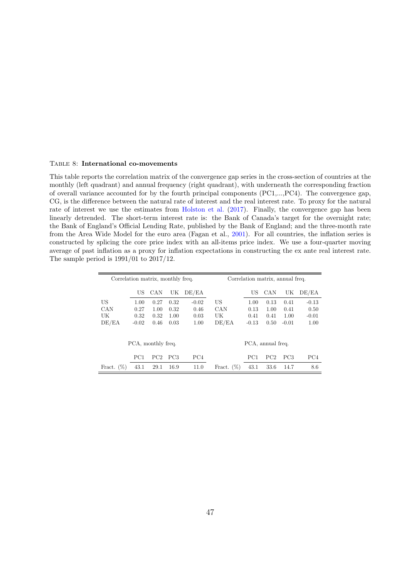#### <span id="page-47-0"></span>Table 8: International co-movements

This table reports the correlation matrix of the convergence gap series in the cross-section of countries at the monthly (left quadrant) and annual frequency (right quadrant), with underneath the corresponding fraction of overall variance accounted for by the fourth principal components (PC1,...,PC4). The convergence gap, CG, is the difference between the natural rate of interest and the real interest rate. To proxy for the natural rate of interest we use the estimates from [Holston et al.](#page-35-11) [\(2017\)](#page-35-11). Finally, the convergence gap has been linearly detrended. The short-term interest rate is: the Bank of Canada's target for the overnight rate; the Bank of England's Official Lending Rate, published by the Bank of England; and the three-month rate from the Area Wide Model for the euro area (Fagan et al., [2001\)](#page-35-12). For all countries, the inflation series is constructed by splicing the core price index with an all-items price index. We use a four-quarter moving average of past inflation as a proxy for inflation expectations in constructing the ex ante real interest rate. The sample period is 1991/01 to 2017/12.

| Correlation matrix, monthly freq. |                    |      |                 |                 | Correlation matrix, annual freq. |                 |                   |                 |         |  |
|-----------------------------------|--------------------|------|-----------------|-----------------|----------------------------------|-----------------|-------------------|-----------------|---------|--|
|                                   | US                 | CAN  | UK              | DE/EA           |                                  | US              | CAN               | UK              | DE/EA   |  |
| US                                | 1.00               | 0.27 | 0.32            | $-0.02$         | US                               | 1.00            | 0.13              | 0.41            | $-0.13$ |  |
| CAN                               | 0.27               | 1.00 | 0.32            | 0.46            | CAN                              | 0.13            | 1.00              | 0.41            | 0.50    |  |
| UK                                | 0.32               | 0.32 | 1.00            | 0.03            | UK                               | 0.41            | 0.41              | 1.00            | $-0.01$ |  |
| DE/EA                             | $-0.02$            | 0.46 | 0.03            | 1.00            | DE/EA                            | $-0.13$         | 0.50              | $-0.01$         | 1.00    |  |
|                                   | PCA, monthly freq. |      |                 |                 |                                  |                 | PCA, annual freq. |                 |         |  |
|                                   | PC1                | PC2  | PC <sub>3</sub> | PC <sub>4</sub> |                                  | PC <sub>1</sub> | PC2               | PC <sub>3</sub> | PC4     |  |
| (%)<br>Fract.                     | 43.1               | 29.1 | 16.9            | 11.0            | (%)<br>Fract.                    | 43.1            | 33.6              | 14.7            | 8.6     |  |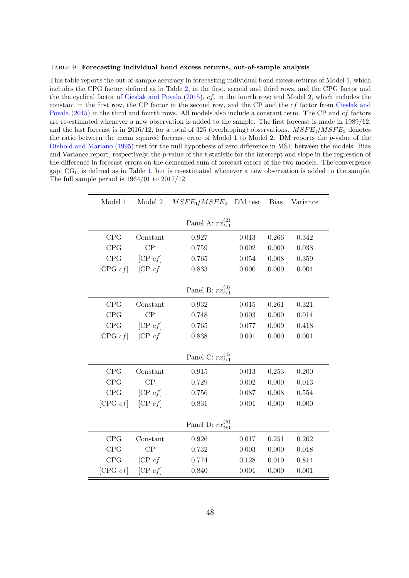#### <span id="page-48-0"></span>Table 9: Forecasting individual bond excess returns, out-of-sample analysis

This table reports the out-of-sample accuracy in forecasting individual bond excess returns of Model 1, which includes the CPG factor, defined as in Table [2,](#page-41-0) in the first, second and third rows, and the CPG factor and the the cyclical factor of [Cieslak and Povala](#page-34-2) [\(2015\)](#page-34-2), cf, in the fourth row; and Model 2, which includes the constant in the first row, the CP factor in the second row, and the CP and the cf factor from [Cieslak and](#page-34-2) [Povala](#page-34-2) [\(2015\)](#page-34-2) in the third and fourth rows. All models also include a constant term. The CP and cf factors are re-estimated whenever a new observation is added to the sample. The first forecast is made in 1989/12, and the last forecast is in 2016/12, for a total of 325 (overlapping) observations.  $MSFE_1/MSFE_2$  denotes the ratio between the mean squared forecast error of Model 1 to Model 2. DM reports the  $p$ -value of the [Diebold and Mariano](#page-34-9) [\(1995\)](#page-34-9) test for the null hypothesis of zero difference in MSE between the models. Bias and Variance report, respectively, the p-value of the t-statistic for the intercept and slope in the regression of the difference in forecast errors on the demeaned sum of forecast errors of the two models. The convergence gap,  $CG_t$ , is defined as in Table [1,](#page-40-0) but is re-estimated whenever a new observation is added to the sample. The full sample period is 1964/01 to 2017/12.

| Model 1     | Model 2  | $MSFE_1/MSFE_2$ DM test   |             | <b>Bias</b> | Variance |
|-------------|----------|---------------------------|-------------|-------------|----------|
|             |          | Panel A: $rx_{t+1}^{(2)}$ |             |             |          |
| <b>CPG</b>  | Constant | 0.927                     | 0.013       | 0.266       | 0.342    |
| CPG         | CP       | 0.759                     | 0.002       | 0.000       | 0.038    |
| CPG         | [CP cf]  | 0.765                     | 0.054       | 0.008       | 0.359    |
| [CPG $cf$ ] | [CP cf]  | 0.833                     | 0.000       | 0.000       | 0.004    |
|             |          | Panel B: $rx_{t+1}^{(3)}$ |             |             |          |
| <b>CPG</b>  | Constant | 0.932                     | 0.015       | 0.261       | 0.321    |
| CPG         | CP       | 0.748                     | 0.003       | 0.000       | 0.014    |
| CPG         | [CP cf]  | 0.765                     | 0.077       | 0.009       | 0.418    |
| [CPG $cf$ ] | [CP cf]  | 0.838                     | 0.001       | 0.000       | 0.001    |
|             |          | Panel C: $rx_{t+1}^{(4)}$ |             |             |          |
| CPG         | Constant | 0.915                     | $\,0.013\,$ | 0.253       | 0.200    |
| CPG         | CP       | 0.729                     | 0.002       | 0.000       | 0.013    |
| CPG         | [CP cf]  | 0.756                     | 0.087       | 0.008       | 0.554    |
| [CPG $cf$ ] | [CP cf]  | 0.831                     | 0.001       | 0.000       | 0.000    |
|             |          | Panel D: $rx_{t+1}^{(5)}$ |             |             |          |
| CPG         | Constant | 0.926                     | 0.017       | 0.251       | 0.202    |
| CPG         | CP       | 0.732                     | 0.003       | 0.000       | 0.018    |
| CPG         | [CP cf]  | 0.774                     | 0.128       | 0.010       | 0.814    |
| [CPG $cf$ ] | [CP cf]  | 0.840                     | 0.001       | 0.000       | 0.001    |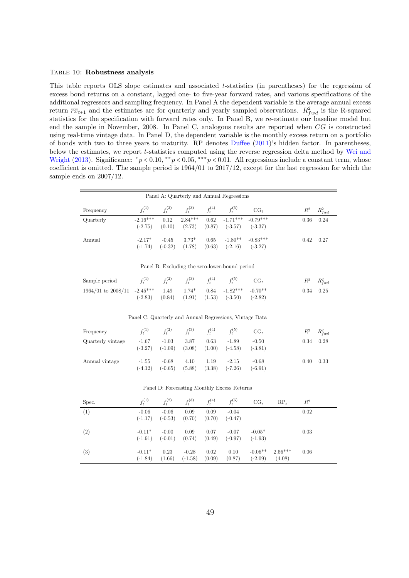#### <span id="page-49-0"></span>TABLE 10: Robustness analysis

This table reports OLS slope estimates and associated t-statistics (in parentheses) for the regression of excess bond returns on a constant, lagged one- to five-year forward rates, and various specifications of the additional regressors and sampling frequency. In Panel A the dependent variable is the average annual excess return  $\overline{rx}_{t+1}$  and the estimates are for quarterly and yearly sampled observations.  $R_{fwd}^2$  is the R-squared statistics for the specification with forward rates only. In Panel B, we re-estimate our baseline model but end the sample in November, 2008. In Panel C, analogous results are reported when CG is constructed using real-time vintage data. In Panel D, the dependent variable is the monthly excess return on a portfolio of bonds with two to three years to maturity. RP denotes [Duffee](#page-34-5) [\(2011\)](#page-34-5)'s hidden factor. In parentheses, below the estimates, we report t-statistics computed using the reverse regression delta method by [Wei and](#page-37-6) [Wright](#page-37-6) [\(2013\)](#page-37-6). Significance:  $p < 0.10$ ,  $* p < 0.05$ ,  $* * p < 0.01$ . All regressions include a constant term, whose coefficient is omitted. The sample period is 1964/01 to 2017/12, except for the last regression for which the sample ends on 2007/12.

| Panel A: Quarterly and Annual Regressions |                         |                      |                     |                |                         |                         |       |             |  |  |
|-------------------------------------------|-------------------------|----------------------|---------------------|----------------|-------------------------|-------------------------|-------|-------------|--|--|
| Frequency                                 | $f_t^{(1)}$             | $f_t^{(2)}$          | $f_t^{(3)}$         | $f_t^{(4)}$    | $f_t^{(5)}$             | $CG_{t}$                | $R^2$ | $R_{fwd}^2$ |  |  |
| Quarterly                                 | $-2.16***$<br>$(-2.75)$ | 0.12<br>(0.10)       | $2.84***$<br>(2.73) | 0.62<br>(0.87) | $-1.71***$<br>$(-3.57)$ | $-0.79***$<br>$(-3.37)$ | 0.36  | 0.24        |  |  |
| Annual                                    | $-2.17*$<br>$(-1.74)$   | $-0.45$<br>$(-0.32)$ | $3.73*$<br>(1.78)   | 0.65<br>(0.63) | $-1.80**$<br>$(-2.16)$  | $-0.83***$<br>$(-3.27)$ | 0.42  | 0.27        |  |  |

Panel B: Excluding the zero-lower-bound period

| Sample period $f_t^{(1)}$ $f_t^{(2)}$ $f_t^{(3)}$ $f_t^{(4)}$ $f_t^{(5)}$ $CG_t$ |  |  |                                                          |  | $R^2$ $R_{fwd}^2$ |
|----------------------------------------------------------------------------------|--|--|----------------------------------------------------------|--|-------------------|
| $1964/01$ to $2008/11$ $-2.45***$ $1.49$ $1.74*$ $0.84$ $-1.82***$ $-0.70**$     |  |  | $(-2.83)$ $(0.84)$ $(1.91)$ $(1.53)$ $(-3.50)$ $(-2.82)$ |  | $0.34$ $0.25$     |

Panel C: Quarterly and Annual Regressions, Vintage Data

| Frequency         | $f_t^{(1)}$          | $f_t^{(2)}$          | $f_t^{(3)}$    | $f_t^{(4)}$    | $f_t^{(5)}$          | $CG_{t}$             | $R^2$ | $R_{fwd}^2$ |
|-------------------|----------------------|----------------------|----------------|----------------|----------------------|----------------------|-------|-------------|
| Quarterly vintage | $-1.67$<br>$(-3.27)$ | $-1.03$<br>$(-1.09)$ | 3.87<br>(3.08) | 0.63<br>(1.00) | $-1.89$<br>$(-4.58)$ | $-0.50$<br>$(-3.81)$ | 0.34  | 0.28        |
| Annual vintage    | $-1.55$<br>$(-4.12)$ | $-0.68$<br>$(-0.65)$ | 4.10<br>(5.88) | 1.19<br>(3.38) | $-2.15$<br>$(-7.26)$ | $-0.68$<br>$(-6.91)$ | 0.40  | 0.33        |

#### Panel D: Forecasting Monthly Excess Returns

| Spec. | $f_t^{(1)}$           | $f_t^{(2)}$          | $f_t^{(3)}$          | $f_t^{(4)}$    | $f_t^{(5)}$          | $CG_{t}$               | $RP_t$              | $\,R^2$ |  |
|-------|-----------------------|----------------------|----------------------|----------------|----------------------|------------------------|---------------------|---------|--|
| (1)   | $-0.06$<br>$(-1.17)$  | $-0.06$<br>$(-0.53)$ | 0.09<br>(0.70)       | 0.09<br>(0.70) | $-0.04$<br>$(-0.47)$ |                        |                     | 0.02    |  |
| (2)   | $-0.11*$<br>$(-1.91)$ | $-0.00$<br>$(-0.01)$ | 0.09<br>(0.74)       | 0.07<br>(0.49) | $-0.07$<br>$(-0.97)$ | $-0.05*$<br>$(-1.93)$  |                     | 0.03    |  |
| (3)   | $-0.11*$<br>$(-1.84)$ | 0.23<br>(1.66)       | $-0.28$<br>$(-1.58)$ | 0.02<br>(0.09) | 0.10<br>(0.87)       | $-0.06**$<br>$(-2.09)$ | $2.56***$<br>(4.08) | 0.06    |  |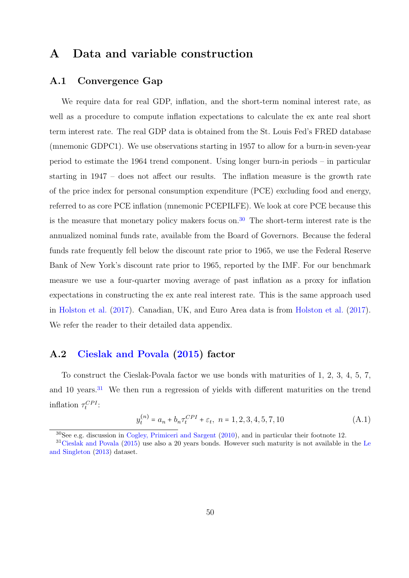## A Data and variable construction

### A.1 Convergence Gap

We require data for real GDP, inflation, and the short-term nominal interest rate, as well as a procedure to compute inflation expectations to calculate the ex ante real short term interest rate. The real GDP data is obtained from the St. Louis Fed's FRED database (mnemonic GDPC1). We use observations starting in 1957 to allow for a burn-in seven-year period to estimate the 1964 trend component. Using longer burn-in periods – in particular starting in 1947 – does not affect our results. The inflation measure is the growth rate of the price index for personal consumption expenditure (PCE) excluding food and energy, referred to as core PCE inflation (mnemonic PCEPILFE). We look at core PCE because this is the measure that monetary policy makers focus on.<sup>[30](#page-50-0)</sup> The short-term interest rate is the annualized nominal funds rate, available from the Board of Governors. Because the federal funds rate frequently fell below the discount rate prior to 1965, we use the Federal Reserve Bank of New York's discount rate prior to 1965, reported by the IMF. For our benchmark measure we use a four-quarter moving average of past inflation as a proxy for inflation expectations in constructing the ex ante real interest rate. This is the same approach used in [Holston et al.](#page-35-11) [\(2017\)](#page-35-11). Canadian, UK, and Euro Area data is from [Holston et al.](#page-35-11) [\(2017\)](#page-35-11). We refer the reader to their detailed data appendix.

### A.2 [Cieslak and Povala](#page-34-2) [\(2015\)](#page-34-2) factor

To construct the Cieslak-Povala factor we use bonds with maturities of 1, 2, 3, 4, 5, 7, and 10 years.<sup>[31](#page-50-1)</sup> We then run a regression of yields with different maturities on the trend inflation  $\tau_t^{CPI}$ :

<span id="page-50-2"></span>
$$
y_t^{(n)} = a_n + b_n \tau_t^{CPI} + \varepsilon_t, \ \ n = 1, 2, 3, 4, 5, 7, 10 \tag{A.1}
$$

<span id="page-50-1"></span><span id="page-50-0"></span><sup>30</sup>See e.g. discussion in [Cogley, Primiceri and Sargent](#page-34-13) [\(2010\)](#page-34-13), and in particular their footnote 12.

<sup>&</sup>lt;sup>31</sup>[Cieslak and Povala](#page-34-2) [\(2015\)](#page-34-2) use also a 20 years bonds. However such maturity is not available in the [Le](#page-36-10) [and Singleton](#page-36-10) [\(2013\)](#page-36-10) dataset.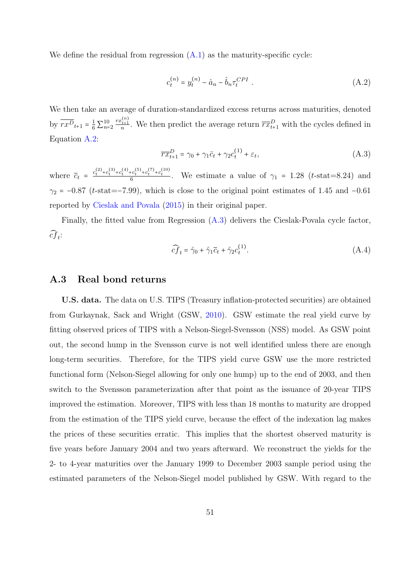We define the residual from regression  $(A.1)$  as the maturity-specific cycle:

<span id="page-51-1"></span>
$$
c_t^{(n)} = y_t^{(n)} - \hat{a}_n - \hat{b}_n \tau_t^{CPI} \tag{A.2}
$$

We then take an average of duration-standardized excess returns across maturities, denoted by  $\overline{rx^{D}}_{t+1} = \frac{1}{6} \sum_{n=2}^{10}$  $\frac{rx_{t+1}^{(n)}}{n}$ . We then predict the average return  $\overline{rx}_{t+1}^D$  with the cycles defined in Equation [A.2:](#page-51-1)

<span id="page-51-2"></span>
$$
\overline{rx}_{t+1}^D = \gamma_0 + \gamma_1 \overline{c}_t + \gamma_2 c_t^{(1)} + \varepsilon_t, \tag{A.3}
$$

where  $\bar{c}_t = \frac{c_t^{(2)} + c_t^{(3)} + c_t^{(4)} + c_t^{(5)} + c_t^{(7)} + c_t^{(10)}}{6}$ . We estimate a value of  $\gamma_1 = 1.28$  (*t*-stat=8.24) and  $\gamma_2$  = −0.87 (t-stat=−7.99), which is close to the original point estimates of 1.45 and −0.61 reported by [Cieslak and Povala](#page-34-2) [\(2015\)](#page-34-2) in their original paper.

Finally, the fitted value from Regression [\(A.3\)](#page-51-2) delivers the Cieslak-Povala cycle factor,  $\widehat{cf}_t$ :

$$
\widehat{cf}_t = \widehat{\gamma}_0 + \widehat{\gamma}_1 \overline{c}_t + \widehat{\gamma}_2 c_t^{(1)}.\tag{A.4}
$$

### <span id="page-51-0"></span>A.3 Real bond returns

U.S. data. The data on U.S. TIPS (Treasury inflation-protected securities) are obtained from Gurkaynak, Sack and Wright (GSW, [2010\)](#page-35-13). GSW estimate the real yield curve by fitting observed prices of TIPS with a Nelson-Siegel-Svensson (NSS) model. As GSW point out, the second hump in the Svensson curve is not well identified unless there are enough long-term securities. Therefore, for the TIPS yield curve GSW use the more restricted functional form (Nelson-Siegel allowing for only one hump) up to the end of 2003, and then switch to the Svensson parameterization after that point as the issuance of 20-year TIPS improved the estimation. Moreover, TIPS with less than 18 months to maturity are dropped from the estimation of the TIPS yield curve, because the effect of the indexation lag makes the prices of these securities erratic. This implies that the shortest observed maturity is five years before January 2004 and two years afterward. We reconstruct the yields for the 2- to 4-year maturities over the January 1999 to December 2003 sample period using the estimated parameters of the Nelson-Siegel model published by GSW. With regard to the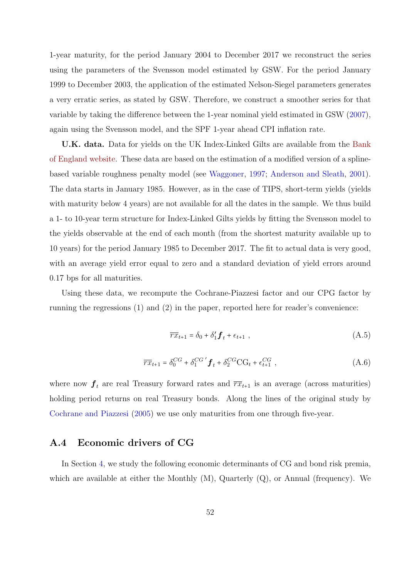1-year maturity, for the period January 2004 to December 2017 we reconstruct the series using the parameters of the Svensson model estimated by GSW. For the period January 1999 to December 2003, the application of the estimated Nelson-Siegel parameters generates a very erratic series, as stated by GSW. Therefore, we construct a smoother series for that variable by taking the difference between the 1-year nominal yield estimated in GSW [\(2007\)](#page-35-14), again using the Svensson model, and the SPF 1-year ahead CPI inflation rate.

U.K. data. Data for yields on the UK Index-Linked Gilts are available from the [Bank](https://www.bankofengland.co.uk/statistics/yield-curves) [of England website.](https://www.bankofengland.co.uk/statistics/yield-curves) These data are based on the estimation of a modified version of a splinebased variable roughness penalty model (see [Waggoner,](#page-37-8) [1997;](#page-37-8) [Anderson and Sleath,](#page-33-13) [2001\)](#page-33-13). The data starts in January 1985. However, as in the case of TIPS, short-term yields (yields with maturity below 4 years) are not available for all the dates in the sample. We thus build a 1- to 10-year term structure for Index-Linked Gilts yields by fitting the Svensson model to the yields observable at the end of each month (from the shortest maturity available up to 10 years) for the period January 1985 to December 2017. The fit to actual data is very good, with an average yield error equal to zero and a standard deviation of yield errors around 0.17 bps for all maturities.

Using these data, we recompute the Cochrane-Piazzesi factor and our CPG factor by running the regressions (1) and (2) in the paper, reported here for reader's convenience:

$$
\overline{rx}_{t+1} = \delta_0 + \delta'_1 \mathbf{f}_t + \epsilon_{t+1} \tag{A.5}
$$

$$
\overline{rx}_{t+1} = \delta_0^{CG} + \delta_1^{CG'} \mathbf{f}_t + \delta_2^{CG} \text{CG}_t + \epsilon_{t+1}^{CG} , \qquad (A.6)
$$

where now  $f_t$  are real Treasury forward rates and  $\overline{rx}_{t+1}$  is an average (across maturities) holding period returns on real Treasury bonds. Along the lines of the original study by [Cochrane and Piazzesi](#page-34-0) [\(2005\)](#page-34-0) we use only maturities from one through five-year.

### <span id="page-52-0"></span>A.4 Economic drivers of CG

In Section [4,](#page-18-0) we study the following economic determinants of CG and bond risk premia, which are available at either the Monthly  $(M)$ , Quarterly  $(Q)$ , or Annual (frequency). We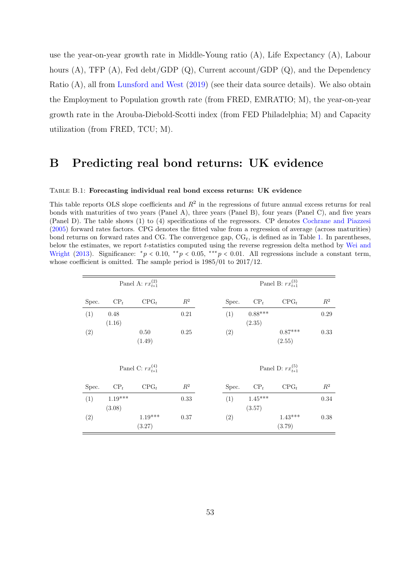use the year-on-year growth rate in Middle-Young ratio (A), Life Expectancy (A), Labour hours (A), TFP (A), Fed debt/GDP (Q), Current account/GDP (Q), and the Dependency Ratio (A), all from [Lunsford and West](#page-36-2) [\(2019\)](#page-36-2) (see their data source details). We also obtain the Employment to Population growth rate (from FRED, EMRATIO; M), the year-on-year growth rate in the Arouba-Diebold-Scotti index (from FED Philadelphia; M) and Capacity utilization (from FRED, TCU; M).

## B Predicting real bond returns: UK evidence

#### <span id="page-53-0"></span>Table B.1: Forecasting individual real bond excess returns: UK evidence

This table reports OLS slope coefficients and  $R^2$  in the regressions of future annual excess returns for real bonds with maturities of two years (Panel A), three years (Panel B), four years (Panel C), and five years (Panel D). The table shows (1) to (4) specifications of the regressors. CP denotes [Cochrane and Piazzesi](#page-34-0) [\(2005\)](#page-34-0) forward rates factors. CPG denotes the fitted value from a regression of average (across maturities) bond returns on forward rates and CG. The convergence gap,  $CG<sub>t</sub>$ , is defined as in Table [1.](#page-40-0) In parentheses, below the estimates, we report t-statistics computed using the reverse regression delta method by [Wei and](#page-37-6) [Wright](#page-37-6) [\(2013\)](#page-37-6). Significance:  $^*p < 0.10$ ,  $^{**}p < 0.05$ ,  $^{***}p < 0.01$ . All regressions include a constant term, whose coefficient is omitted. The sample period is 1985/01 to 2017/12.

|       |                     | Panel A: $rx_{t+1}^{(2)}$ |          |       |                     | Panel B: $rx_{t+1}^{(3)}$ |                |
|-------|---------------------|---------------------------|----------|-------|---------------------|---------------------------|----------------|
| Spec. | $\mathrm{CP}_{t}$   | $CPG_t$                   | $R^2$    | Spec. | CP <sub>t</sub>     | $CPG_t$                   | $\mathbb{R}^2$ |
| (1)   | 0.48<br>(1.16)      |                           | $0.21\,$ | (1)   | $0.88***$<br>(2.35) |                           | 0.29           |
| (2)   |                     | 0.50<br>(1.49)            | 0.25     | (2)   |                     | $0.87***$<br>(2.55)       | 0.33           |
|       |                     | Panel C: $rx_{t+1}^{(4)}$ |          |       |                     | Panel D: $rx_{t+1}^{(5)}$ |                |
| Spec. | CP <sub>t</sub>     | $CPG_t$                   | $R^2$    | Spec. | $CP_t$              | $CPG_t$                   | $R^2$          |
| (1)   | $1.19***$<br>(3.08) |                           | $0.33\,$ | (1)   | $1.45***$<br>(3.57) |                           | $0.34\,$       |
| (2)   |                     | $1.19***$<br>(3.27)       | 0.37     | (2)   |                     | $1.43***$<br>(3.79)       | 0.38           |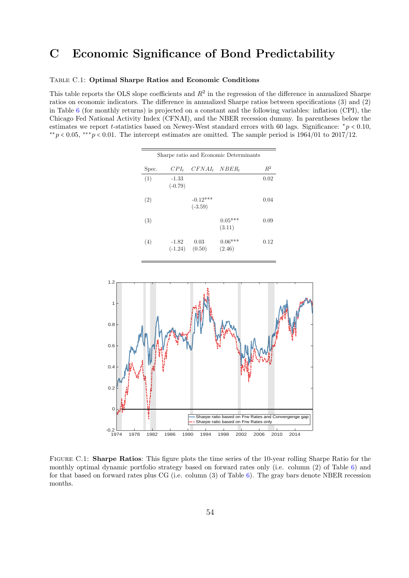## C Economic Significance of Bond Predictability

### <span id="page-54-0"></span>Table C.1: Optimal Sharpe Ratios and Economic Conditions

This table reports the OLS slope coefficients and  $R^2$  in the regression of the difference in annualized Sharpe ratios on economic indicators. The difference in annualized Sharpe ratios between specifications (3) and (2) in Table [6](#page-45-0) (for monthly returns) is projected on a constant and the following variables: inflation (CPI), the Chicago Fed National Activity Index (CFNAI), and the NBER recession dummy. In parentheses below the estimates we report t-statistics based on Newey-West standard errors with 60 lags. Significance:  $*_p$  < 0.10,  $*$ <sup>\*</sup>p < 0.05,  $*$ <sup>\*</sup> $p$  < 0.01. The intercept estimates are omitted. The sample period is 1964/01 to 2017/12.

| Sharpe ratio and Economic Determinants |                      |                            |                     |       |  |  |  |  |
|----------------------------------------|----------------------|----------------------------|---------------------|-------|--|--|--|--|
| Spec.                                  | $CPI_t$              | $CFNAI_t$ $NBER_t$         |                     | $R^2$ |  |  |  |  |
| (1)                                    | $-1.33$<br>$(-0.79)$ |                            |                     | 0.02  |  |  |  |  |
| (2)                                    |                      | $-0.12***$<br>$(-3.59)$    |                     | 0.04  |  |  |  |  |
| (3)                                    |                      |                            | $0.05***$<br>(3.11) | 0.09  |  |  |  |  |
| (4)                                    | $-1.82$              | 0.03<br>$(-1.24)$ $(0.50)$ | $0.06***$<br>(2.46) | 0.12  |  |  |  |  |

<span id="page-54-1"></span>

Figure C.1: Sharpe Ratios: This figure plots the time series of the 10-year rolling Sharpe Ratio for the monthly optimal dynamic portfolio strategy based on forward rates only (i.e. column (2) of Table [6\)](#page-45-0) and for that based on forward rates plus CG (i.e. column  $(3)$  of Table [6\)](#page-45-0). The gray bars denote NBER recession months.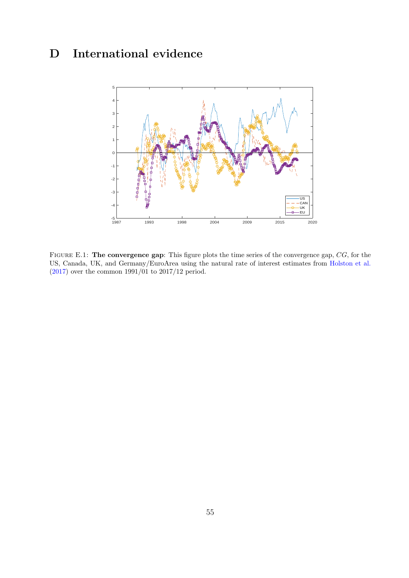# <span id="page-55-0"></span>D International evidence



FIGURE E.1: The convergence gap: This figure plots the time series of the convergence gap,  $CG$ , for the US, Canada, UK, and Germany/EuroArea using the natural rate of interest estimates from [Holston et al.](#page-35-11) [\(2017\)](#page-35-11) over the common 1991/01 to 2017/12 period.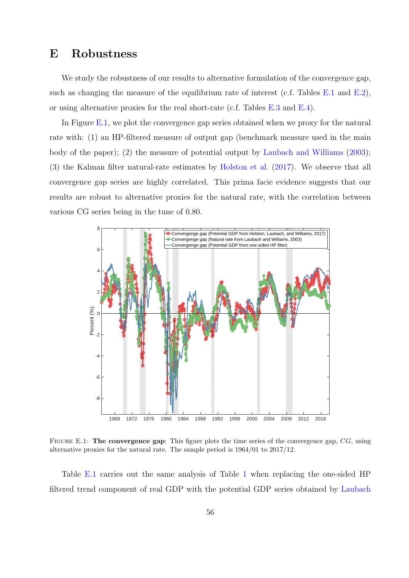## <span id="page-56-1"></span>E Robustness

We study the robustness of our results to alternative formulation of the convergence gap, such as changing the measure of the equilibrium rate of interest (c.f. Tables [E.1](#page-62-0) and [E.2\)](#page-63-0), or using alternative proxies for the real short-rate (c.f. Tables [E.3](#page-64-0) and [E.4\)](#page-65-0).

In Figure [E.1,](#page-56-0) we plot the convergence gap series obtained when we proxy for the natural rate with: (1) an HP-filtered measure of output gap (benchmark measure used in the main body of the paper); (2) the measure of potential output by [Laubach and Williams](#page-36-7) [\(2003\)](#page-36-7); (3) the Kalman filter natural-rate estimates by [Holston et al.](#page-35-11) [\(2017\)](#page-35-11). We observe that all convergence gap series are highly correlated. This prima facie evidence suggests that our results are robust to alternative proxies for the natural rate, with the correlation between various CG series being in the tune of 0.80.

<span id="page-56-0"></span>

FIGURE E.1: The convergence gap: This figure plots the time series of the convergence gap, CG, using alternative proxies for the natural rate. The sample period is 1964/01 to 2017/12.

Table [E.1](#page-62-0) carries out the same analysis of Table [1](#page-40-0) when replacing the one-sided HP filtered trend component of real GDP with the potential GDP series obtained by [Laubach](#page-36-7)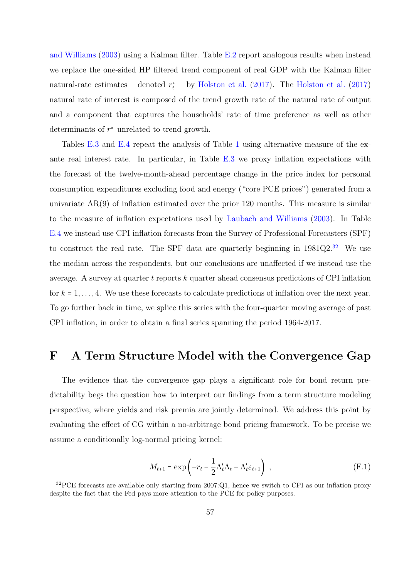[and Williams](#page-36-7) [\(2003\)](#page-36-7) using a Kalman filter. Table [E.2](#page-63-0) report analogous results when instead we replace the one-sided HP filtered trend component of real GDP with the Kalman filter natural-rate estimates – denoted  $r_t^*$  – by [Holston et al.](#page-35-11) [\(2017\)](#page-35-11). The Holston et al. (2017) natural rate of interest is composed of the trend growth rate of the natural rate of output and a component that captures the households' rate of time preference as well as other determinants of  $r^*$  unrelated to trend growth.

Tables [E.3](#page-64-0) and [E.4](#page-65-0) repeat the analysis of Table [1](#page-40-0) using alternative measure of the exante real interest rate. In particular, in Table [E.3](#page-64-0) we proxy inflation expectations with the forecast of the twelve-month-ahead percentage change in the price index for personal consumption expenditures excluding food and energy ("core PCE prices") generated from a univariate AR(9) of inflation estimated over the prior 120 months. This measure is similar to the measure of inflation expectations used by [Laubach and Williams](#page-36-7) [\(2003\)](#page-36-7). In Table [E.4](#page-65-0) we instead use CPI inflation forecasts from the Survey of Professional Forecasters (SPF) to construct the real rate. The SPF data are quarterly beginning in 1981Q2.[32](#page-57-1) We use the median across the respondents, but our conclusions are unaffected if we instead use the average. A survey at quarter t reports  $k$  quarter ahead consensus predictions of CPI inflation for  $k = 1, \ldots, 4$ . We use these forecasts to calculate predictions of inflation over the next year. To go further back in time, we splice this series with the four-quarter moving average of past CPI inflation, in order to obtain a final series spanning the period 1964-2017.

## <span id="page-57-0"></span>F A Term Structure Model with the Convergence Gap

The evidence that the convergence gap plays a significant role for bond return predictability begs the question how to interpret our findings from a term structure modeling perspective, where yields and risk premia are jointly determined. We address this point by evaluating the effect of CG within a no-arbitrage bond pricing framework. To be precise we assume a conditionally log-normal pricing kernel:

$$
M_{t+1} = \exp\left(-r_t - \frac{1}{2}\Lambda_t'\Lambda_t - \Lambda_t'\varepsilon_{t+1}\right) ,\qquad (F.1)
$$

<span id="page-57-1"></span><sup>&</sup>lt;sup>32</sup>PCE forecasts are available only starting from 2007:Q1, hence we switch to CPI as our inflation proxy despite the fact that the Fed pays more attention to the PCE for policy purposes.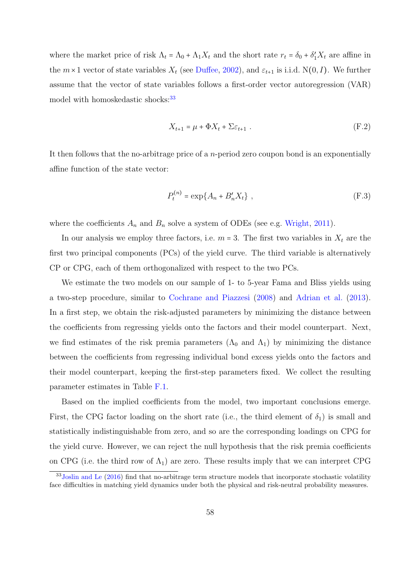where the market price of risk  $\Lambda_t = \Lambda_0 + \Lambda_1 X_t$  and the short rate  $r_t = \delta_0 + \delta'_1 X_t$  are affine in the  $m \times 1$  vector of state variables  $X_t$  (see [Duffee,](#page-34-6) [2002\)](#page-34-6), and  $\varepsilon_{t+1}$  is i.i.d. N(0, I). We further assume that the vector of state variables follows a first-order vector autoregression (VAR) model with homoskedastic shocks:<sup>[33](#page-58-0)</sup>

$$
X_{t+1} = \mu + \Phi X_t + \Sigma \varepsilon_{t+1} \tag{F.2}
$$

It then follows that the no-arbitrage price of a n-period zero coupon bond is an exponentially affine function of the state vector:

$$
P_t^{(n)} = \exp\{A_n + B'_n X_t\} \t{, \t\t (F.3)
$$

where the coefficients  $A_n$  and  $B_n$  solve a system of ODEs (see e.g. [Wright,](#page-37-9) [2011\)](#page-37-9).

In our analysis we employ three factors, i.e.  $m = 3$ . The first two variables in  $X_t$  are the first two principal components (PCs) of the yield curve. The third variable is alternatively CP or CPG, each of them orthogonalized with respect to the two PCs.

We estimate the two models on our sample of 1- to 5-year Fama and Bliss yields using a two-step procedure, similar to [Cochrane and Piazzesi](#page-34-14) [\(2008\)](#page-34-14) and [Adrian et al.](#page-33-7) [\(2013\)](#page-33-7). In a first step, we obtain the risk-adjusted parameters by minimizing the distance between the coefficients from regressing yields onto the factors and their model counterpart. Next, we find estimates of the risk premia parameters  $(\Lambda_0$  and  $\Lambda_1)$  by minimizing the distance between the coefficients from regressing individual bond excess yields onto the factors and their model counterpart, keeping the first-step parameters fixed. We collect the resulting parameter estimates in Table [F.1.](#page-68-0)

Based on the implied coefficients from the model, two important conclusions emerge. First, the CPG factor loading on the short rate (i.e., the third element of  $\delta_1$ ) is small and statistically indistinguishable from zero, and so are the corresponding loadings on CPG for the yield curve. However, we can reject the null hypothesis that the risk premia coefficients on CPG (i.e. the third row of  $\Lambda_1$ ) are zero. These results imply that we can interpret CPG

<span id="page-58-0"></span><sup>&</sup>lt;sup>33</sup>[Joslin and Le](#page-36-15) [\(2016\)](#page-36-15) find that no-arbitrage term structure models that incorporate stochastic volatility face difficulties in matching yield dynamics under both the physical and risk-neutral probability measures.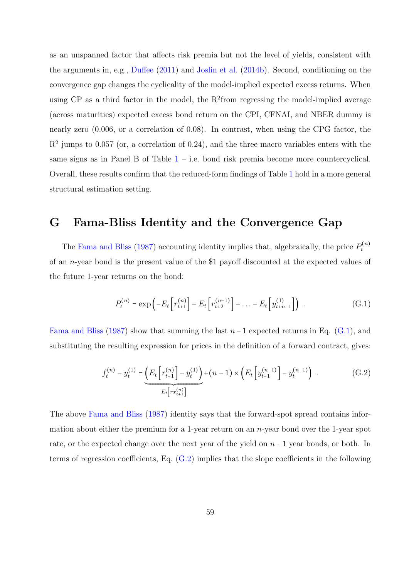as an unspanned factor that affects risk premia but not the level of yields, consistent with the arguments in, e.g., [Duffee](#page-34-5) [\(2011\)](#page-34-5) and [Joslin et al.](#page-36-16) [\(2014b\)](#page-36-16). Second, conditioning on the convergence gap changes the cyclicality of the model-implied expected excess returns. When using  $CP$  as a third factor in the model, the  $R^2$ from regressing the model-implied average (across maturities) expected excess bond return on the CPI, CFNAI, and NBER dummy is nearly zero (0.006, or a correlation of 0.08). In contrast, when using the CPG factor, the  $R<sup>2</sup>$  jumps to 0.057 (or, a correlation of 0.24), and the three macro variables enters with the same signs as in Panel B of Table  $1 - i.e.$  $1 - i.e.$  bond risk premia become more countercyclical. Overall, these results confirm that the reduced-form findings of Table [1](#page-40-0) hold in a more general structural estimation setting.

## <span id="page-59-0"></span>G Fama-Bliss Identity and the Convergence Gap

The [Fama and Bliss](#page-35-0) [\(1987\)](#page-35-0) accounting identity implies that, algebraically, the price  $P_t^{(n)}$ t of an n-year bond is the present value of the \$1 payoff discounted at the expected values of the future 1-year returns on the bond:

<span id="page-59-1"></span>
$$
P_t^{(n)} = \exp\left(-E_t \left[r_{t+1}^{(n)}\right] - E_t \left[r_{t+2}^{(n-1)}\right] - \dots - E_t \left[y_{t+n-1}^{(1)}\right]\right) \tag{G.1}
$$

[Fama and Bliss](#page-35-0) [\(1987\)](#page-35-0) show that summing the last  $n-1$  expected returns in Eq. [\(G.1\)](#page-59-1), and substituting the resulting expression for prices in the definition of a forward contract, gives:

<span id="page-59-2"></span>
$$
f_t^{(n)} - y_t^{(1)} = \underbrace{\left( E_t \left[ r_{t+1}^{(n)} \right] - y_t^{(1)} \right)}_{E_t \left[ r x_{t+1}^{(n)} \right]} + (n-1) \times \left( E_t \left[ y_{t+1}^{(n-1)} \right] - y_t^{(n-1)} \right) . \tag{G.2}
$$

The above [Fama and Bliss](#page-35-0) [\(1987\)](#page-35-0) identity says that the forward-spot spread contains information about either the premium for a 1-year return on an  $n$ -year bond over the 1-year spot rate, or the expected change over the next year of the yield on  $n-1$  year bonds, or both. In terms of regression coefficients, Eq. [\(G.2\)](#page-59-2) implies that the slope coefficients in the following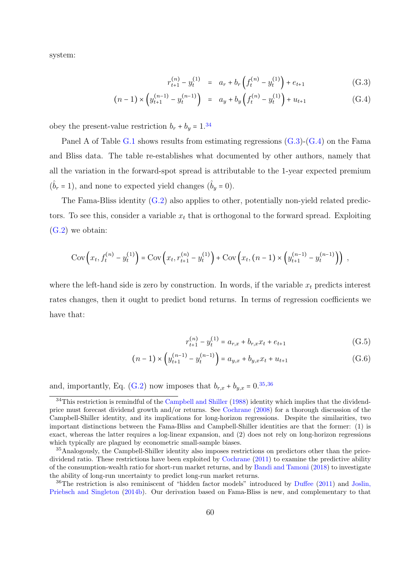system:

<span id="page-60-1"></span>
$$
r_{t+1}^{(n)} - y_t^{(1)} = a_r + b_r \left( f_t^{(n)} - y_t^{(1)} \right) + e_{t+1}
$$
 (G.3)

$$
(n-1) \times \left(y_{t+1}^{(n-1)} - y_t^{(n-1)}\right) = a_y + b_y \left(f_t^{(n)} - y_t^{(1)}\right) + u_{t+1}
$$
 (G.4)

obey the present-value restriction  $b_r + b_y = 1.34$  $b_r + b_y = 1.34$ 

Panel A of Table [G.1](#page-69-0) shows results from estimating regressions  $(G.3)-(G.4)$  $(G.3)-(G.4)$  $(G.3)-(G.4)$  on the Fama and Bliss data. The table re-establishes what documented by other authors, namely that all the variation in the forward-spot spread is attributable to the 1-year expected premium  $(\hat{b}_r = 1)$ , and none to expected yield changes  $(\hat{b}_y = 0)$ .

The Fama-Bliss identity [\(G.2\)](#page-59-2) also applies to other, potentially non-yield related predictors. To see this, consider a variable  $x_t$  that is orthogonal to the forward spread. Exploiting  $(G.2)$  we obtain:

$$
Cov(x_t, f_t^{(n)} - y_t^{(1)}) = Cov(x_t, r_{t+1}^{(n)} - y_t^{(1)}) + Cov(x_t, (n-1) \times (y_{t+1}^{(n-1)} - y_t^{(n-1)})) ,
$$

where the left-hand side is zero by construction. In words, if the variable  $x_t$  predicts interest rates changes, then it ought to predict bond returns. In terms of regression coefficients we have that:

<span id="page-60-5"></span><span id="page-60-4"></span>
$$
r_{t+1}^{(n)} - y_t^{(1)} = a_{r,x} + b_{r,x}x_t + e_{t+1}
$$
 (G.5)

$$
(n-1) \times \left(y_{t+1}^{(n-1)} - y_t^{(n-1)}\right) = a_{y,x} + b_{y,x}x_t + u_{t+1}
$$
\n(G.6)

and, importantly, Eq. [\(G.2\)](#page-59-2) now imposes that  $b_{r,x} + b_{y,x} = 0.35,36$  $b_{r,x} + b_{y,x} = 0.35,36$  $b_{r,x} + b_{y,x} = 0.35,36$  $b_{r,x} + b_{y,x} = 0.35,36$ 

<span id="page-60-0"></span> $34$ This restriction is remindful of the [Campbell and Shiller](#page-33-14) [\(1988\)](#page-33-14) identity which implies that the dividendprice must forecast dividend growth and/or returns. See [Cochrane](#page-34-11) [\(2008\)](#page-34-11) for a thorough discussion of the Campbell-Shiller identity, and its implications for long-horizon regressions. Despite the similarities, two important distinctions between the Fama-Bliss and Campbell-Shiller identities are that the former: (1) is exact, whereas the latter requires a log-linear expansion, and (2) does not rely on long-horizon regressions which typically are plagued by econometric small-sample biases.

<span id="page-60-2"></span><sup>&</sup>lt;sup>35</sup>Analogously, the Campbell-Shiller identity also imposes restrictions on predictors other than the pricedividend ratio. These restrictions have been exploited by [Cochrane](#page-34-15) [\(2011\)](#page-34-15) to examine the predictive ability of the consumption-wealth ratio for short-run market returns, and by [Bandi and Tamoni](#page-33-15) [\(2018\)](#page-33-15) to investigate the ability of long-run uncertainty to predict long-run market returns.

<span id="page-60-3"></span><sup>36</sup>The restriction is also reminiscent of "hidden factor models" introduced by [Duffee](#page-34-5) [\(2011\)](#page-34-5) and [Joslin,](#page-36-16) [Priebsch and Singleton](#page-36-16) [\(2014b\)](#page-36-16). Our derivation based on Fama-Bliss is new, and complementary to that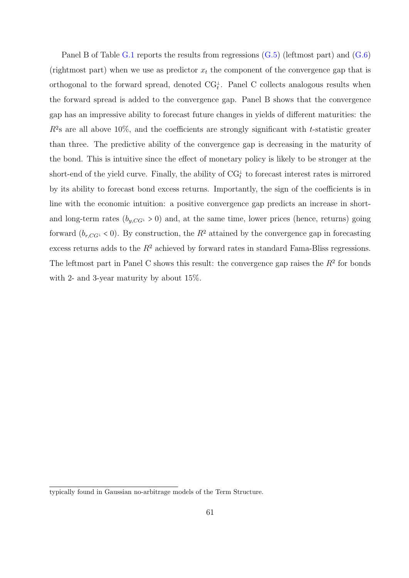Panel B of Table [G.1](#page-69-0) reports the results from regressions [\(G.5\)](#page-60-4) (leftmost part) and [\(G.6\)](#page-60-5) (rightmost part) when we use as predictor  $x_t$  the component of the convergence gap that is orthogonal to the forward spread, denoted  $\text{CG}_t^{\perp}$ . Panel C collects analogous results when the forward spread is added to the convergence gap. Panel B shows that the convergence gap has an impressive ability to forecast future changes in yields of different maturities: the  $R^2$ s are all above 10%, and the coefficients are strongly significant with t-statistic greater than three. The predictive ability of the convergence gap is decreasing in the maturity of the bond. This is intuitive since the effect of monetary policy is likely to be stronger at the short-end of the yield curve. Finally, the ability of  $\text{CG}_t^{\perp}$  to forecast interest rates is mirrored by its ability to forecast bond excess returns. Importantly, the sign of the coefficients is in line with the economic intuition: a positive convergence gap predicts an increase in shortand long-term rates  $(b_{y, CG^{\perp}} > 0)$  and, at the same time, lower prices (hence, returns) going forward  $(b_{r, CG^{\perp}} < 0)$ . By construction, the  $R^2$  attained by the convergence gap in forecasting excess returns adds to the  $R<sup>2</sup>$  achieved by forward rates in standard Fama-Bliss regressions. The leftmost part in Panel C shows this result: the convergence gap raises the  $R<sup>2</sup>$  for bonds with 2- and 3-year maturity by about 15%.

typically found in Gaussian no-arbitrage models of the Term Structure.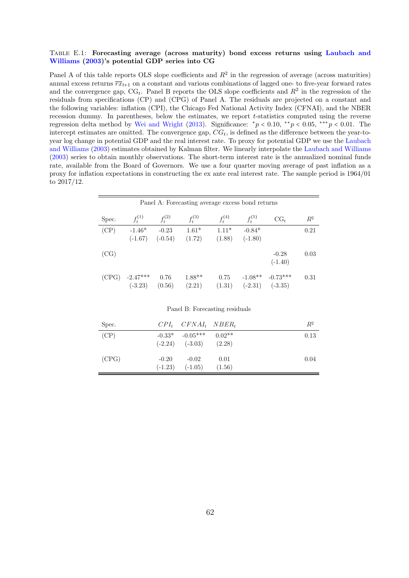### <span id="page-62-0"></span>Table E.1: Forecasting average (across maturity) bond excess returns using [Laubach and](#page-36-7) [Williams](#page-36-7) [\(2003\)](#page-36-7)'s potential GDP series into CG

Panel A of this table reports OLS slope coefficients and  $R^2$  in the regression of average (across maturities) annual excess returns  $\overline{rx}_{t+1}$  on a constant and various combinations of lagged one- to five-year forward rates and the convergence gap,  $CG_t$ . Panel B reports the OLS slope coefficients and  $R^2$  in the regression of the residuals from specifications (CP) and (CPG) of Panel A. The residuals are projected on a constant and the following variables: inflation (CPI), the Chicago Fed National Activity Index (CFNAI), and the NBER recession dummy. In parentheses, below the estimates, we report t-statistics computed using the reverse regression delta method by [Wei and Wright](#page-37-6) [\(2013\)](#page-37-6). Significance:  $\frac{*p}{0.10}$ ,  $\frac{**p}{0.05}$ ,  $\frac{***p}{0.01}$ . The intercept estimates are omitted. The convergence gap,  $CG_t$ , is defined as the difference between the year-toyear log change in potential GDP and the real interest rate. To proxy for potential GDP we use the [Laubach](#page-36-7) [and Williams](#page-36-7) [\(2003\)](#page-36-7) estimates obtained by Kalman filter. We linearly interpolate the [Laubach and Williams](#page-36-7) [\(2003\)](#page-36-7) series to obtain monthly observations. The short-term interest rate is the annualized nominal funds rate, available from the Board of Governors. We use a four quarter moving average of past inflation as a proxy for inflation expectations in constructing the ex ante real interest rate. The sample period is 1964/01 to 2017/12.

|       | Panel A: Forecasting average excess bond returns |                      |                    |                   |                        |                         |       |  |  |  |  |  |
|-------|--------------------------------------------------|----------------------|--------------------|-------------------|------------------------|-------------------------|-------|--|--|--|--|--|
| Spec. | $f_t^{(1)}$                                      | $f_t^{(2)}$          | $f_t^{(3)}$        | $f_t^{(4)}$       | $f_t^{(5)}$            | $CG_t$                  | $R^2$ |  |  |  |  |  |
| (CP)  | $-1.46*$<br>$(-1.67)$                            | $-0.23$<br>$(-0.54)$ | $1.61*$<br>(1.72)  | $1.11*$<br>(1.88) | $-0.84*$<br>$(-1.80)$  |                         | 0.21  |  |  |  |  |  |
| (CG)  |                                                  |                      |                    |                   |                        | $-0.28$<br>$(-1.40)$    | 0.03  |  |  |  |  |  |
|       | $(CPG)$ -2.47***<br>$(-3.23)$                    | 0.76<br>(0.56)       | $1.88**$<br>(2.21) | 0.75<br>(1.31)    | $-1.08**$<br>$(-2.31)$ | $-0.73***$<br>$(-3.35)$ | 0.31  |  |  |  |  |  |

| Spec. |         | $CPI_t$ $CFNAI_t$ $NBER_t$                                 |                | $R^2$ |
|-------|---------|------------------------------------------------------------|----------------|-------|
| (CP)  |         | $-0.33^*$ $-0.05^{***}$ $0.02^{**}$<br>$(-2.24)$ $(-3.03)$ | (2.28)         | 0.13  |
| (CPG) | $-0.20$ | $-0.02$<br>$(-1.23)$ $(-1.05)$                             | 0.01<br>(1.56) | 0.04  |

#### Panel B: Forecasting residuals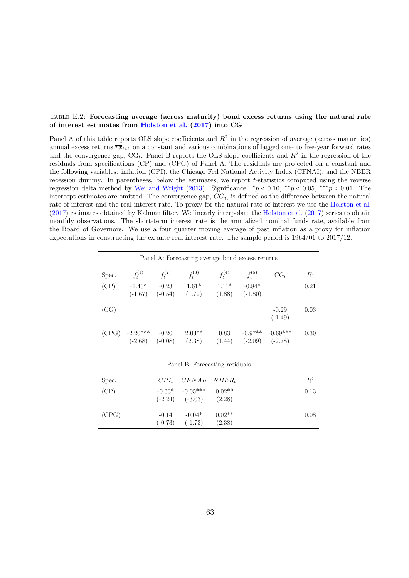### <span id="page-63-0"></span>Table E.2: Forecasting average (across maturity) bond excess returns using the natural rate of interest estimates from [Holston et al.](#page-35-11) [\(2017\)](#page-35-11) into CG

Panel A of this table reports OLS slope coefficients and  $R^2$  in the regression of average (across maturities) annual excess returns  $\overline{rx}_{t+1}$  on a constant and various combinations of lagged one- to five-year forward rates and the convergence gap,  $CG_t$ . Panel B reports the OLS slope coefficients and  $R^2$  in the regression of the residuals from specifications (CP) and (CPG) of Panel A. The residuals are projected on a constant and the following variables: inflation (CPI), the Chicago Fed National Activity Index (CFNAI), and the NBER recession dummy. In parentheses, below the estimates, we report t-statistics computed using the reverse regression delta method by [Wei and Wright](#page-37-6) [\(2013\)](#page-37-6). Significance:  $\frac{*p}{0.10}$ ,  $\frac{**p}{0.05}$ ,  $\frac{***p}{0.01}$ . The intercept estimates are omitted. The convergence gap,  $CG_t$ , is defined as the difference between the natural rate of interest and the real interest rate. To proxy for the natural rate of interest we use the [Holston et al.](#page-35-11) [\(2017\)](#page-35-11) estimates obtained by Kalman filter. We linearly interpolate the [Holston et al.](#page-35-11) [\(2017\)](#page-35-11) series to obtain monthly observations. The short-term interest rate is the annualized nominal funds rate, available from the Board of Governors. We use a four quarter moving average of past inflation as a proxy for inflation expectations in constructing the ex ante real interest rate. The sample period is 1964/01 to 2017/12.

|       | Panel A: Forecasting average bond excess returns |                      |                    |                   |                        |                         |       |  |  |  |  |  |
|-------|--------------------------------------------------|----------------------|--------------------|-------------------|------------------------|-------------------------|-------|--|--|--|--|--|
| Spec. | $f_t^{(1)}$                                      | $f_t^{(2)}$          | $f_t^{(3)}$        | $f_t^{(4)}$       | $f_t^{(5)}$            | $CG_{t}$                | $R^2$ |  |  |  |  |  |
| (CP)  | $-1.46*$<br>$(-1.67)$                            | $-0.23$<br>$(-0.54)$ | $1.61*$<br>(1.72)  | $1.11*$<br>(1.88) | $-0.84*$<br>$(-1.80)$  |                         | 0.21  |  |  |  |  |  |
| (CG)  |                                                  |                      |                    |                   |                        | $-0.29$<br>$(-1.49)$    | 0.03  |  |  |  |  |  |
| (CPG) | $-2.20***$<br>$(-2.68)$                          | $-0.20$<br>$(-0.08)$ | $2.03**$<br>(2.38) | 0.83<br>(1.44)    | $-0.97**$<br>$(-2.09)$ | $-0.69***$<br>$(-2.78)$ | 0.30  |  |  |  |  |  |

### Panel B: Forecasting residuals

| Spec. | $CPI_t$ $CFNAI_t$ $NBER_t$                                 |        | $R^2$ |
|-------|------------------------------------------------------------|--------|-------|
| (CP)  | $-0.33^*$ $-0.05^{***}$ $0.02^{**}$<br>$(-2.24)$ $(-3.03)$ | (2.28) | 0.13  |
| (CPG) | $-0.14$ $-0.04*$ $0.02**$<br>$(-0.73)$ $(-1.73)$           | (2.38) | 0.08  |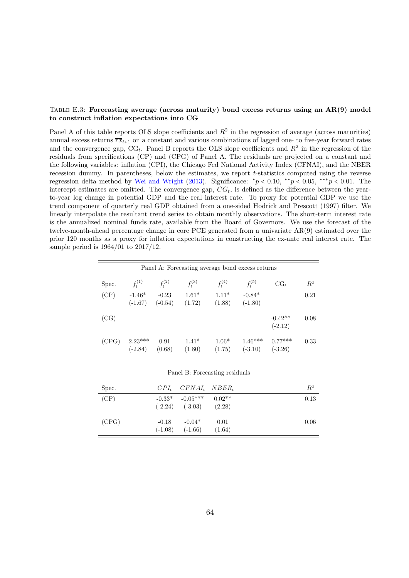### <span id="page-64-0"></span>Table E.3: Forecasting average (across maturity) bond excess returns using an AR(9) model to construct inflation expectations into CG

Panel A of this table reports OLS slope coefficients and  $R^2$  in the regression of average (across maturities) annual excess returns  $\overline{rx}_{t+1}$  on a constant and various combinations of lagged one- to five-year forward rates and the convergence gap,  $CG_t$ . Panel B reports the OLS slope coefficients and  $R^2$  in the regression of the residuals from specifications (CP) and (CPG) of Panel A. The residuals are projected on a constant and the following variables: inflation (CPI), the Chicago Fed National Activity Index (CFNAI), and the NBER recession dummy. In parentheses, below the estimates, we report t-statistics computed using the reverse regression delta method by [Wei and Wright](#page-37-6) [\(2013\)](#page-37-6). Significance:  $\frac{*p}{0.10}$ ,  $\frac{**p}{0.05}$ ,  $\frac{***p}{0.01}$ . The intercept estimates are omitted. The convergence gap,  $CG_t$ , is defined as the difference between the yearto-year log change in potential GDP and the real interest rate. To proxy for potential GDP we use the trend component of quarterly real GDP obtained from a one-sided Hodrick and Prescott (1997) filter. We linearly interpolate the resultant trend series to obtain monthly observations. The short-term interest rate is the annualized nominal funds rate, available from the Board of Governors. We use the forecast of the twelve-month-ahead percentage change in core PCE generated from a univariate AR(9) estimated over the prior 120 months as a proxy for inflation expectations in constructing the ex-ante real interest rate. The sample period is 1964/01 to 2017/12.

| Panel A: Forecasting average bond excess returns |                         |                      |                   |                   |                         |                         |       |  |  |  |  |
|--------------------------------------------------|-------------------------|----------------------|-------------------|-------------------|-------------------------|-------------------------|-------|--|--|--|--|
| Spec.                                            | $f_t^{(1)}$             | $f_t^{(2)}$          | $f_t^{(3)}$       | $f_t^{(4)}$       | $f_t^{(5)}$             | $CG_{t}$                | $R^2$ |  |  |  |  |
| (CP)                                             | $-1.46*$<br>$(-1.67)$   | $-0.23$<br>$(-0.54)$ | $1.61*$<br>(1.72) | $1.11*$<br>(1.88) | $-0.84*$<br>$(-1.80)$   |                         | 0.21  |  |  |  |  |
| (CG)                                             |                         |                      |                   |                   |                         | $-0.42**$<br>$(-2.12)$  | 0.08  |  |  |  |  |
| (CPG)                                            | $-2.23***$<br>$(-2.84)$ | 0.91<br>(0.68)       | $1.41*$<br>(1.80) | $1.06*$<br>(1.75) | $-1.46***$<br>$(-3.10)$ | $-0.77***$<br>$(-3.26)$ | 0.33  |  |  |  |  |

#### Panel B: Forecasting residuals

| Spec. |         | $CPI_t$ $CFNAI_t$ $NBER_t$                          |                | $R^2$ |
|-------|---------|-----------------------------------------------------|----------------|-------|
| (CP)  |         | $-0.33*$ $-0.05***$ $0.02**$<br>$(-2.24)$ $(-3.03)$ | (2.28)         | 0.13  |
| (CPG) | $-0.18$ | $-0.04*$<br>$(-1.08)$ $(-1.66)$                     | 0.01<br>(1.64) | 0.06  |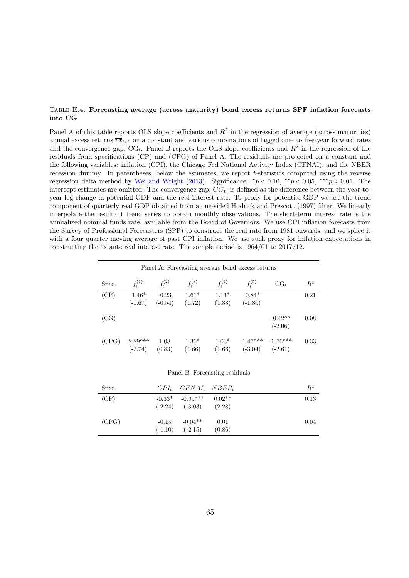### <span id="page-65-0"></span>Table E.4: Forecasting average (across maturity) bond excess returns SPF inflation forecasts into CG

Panel A of this table reports OLS slope coefficients and  $R^2$  in the regression of average (across maturities) annual excess returns  $\overline{rx}_{t+1}$  on a constant and various combinations of lagged one- to five-year forward rates and the convergence gap,  $CG_t$ . Panel B reports the OLS slope coefficients and  $R^2$  in the regression of the residuals from specifications (CP) and (CPG) of Panel A. The residuals are projected on a constant and the following variables: inflation (CPI), the Chicago Fed National Activity Index (CFNAI), and the NBER recession dummy. In parentheses, below the estimates, we report t-statistics computed using the reverse regression delta method by [Wei and Wright](#page-37-6) [\(2013\)](#page-37-6). Significance:  $\frac{*p}{0.10}$ ,  $\frac{**p}{0.05}$ ,  $\frac{***p}{0.01}$ . The intercept estimates are omitted. The convergence gap,  $CG_t$ , is defined as the difference between the year-toyear log change in potential GDP and the real interest rate. To proxy for potential GDP we use the trend component of quarterly real GDP obtained from a one-sided Hodrick and Prescott (1997) filter. We linearly interpolate the resultant trend series to obtain monthly observations. The short-term interest rate is the annualized nominal funds rate, available from the Board of Governors. We use CPI inflation forecasts from the Survey of Professional Forecasters (SPF) to construct the real rate from 1981 onwards, and we splice it with a four quarter moving average of past CPI inflation. We use such proxy for inflation expectations in constructing the ex ante real interest rate. The sample period is 1964/01 to 2017/12.

| Panel A: Forecasting average bond excess returns |                         |                      |                   |                   |                         |                         |       |  |  |
|--------------------------------------------------|-------------------------|----------------------|-------------------|-------------------|-------------------------|-------------------------|-------|--|--|
| Spec.                                            | $f_t^{(1)}$             | $f_t^{(2)}$          | $f_t^{(3)}$       | $f_t^{(4)}$       | $f_t^{(5)}$             | $CG_{t}$                | $R^2$ |  |  |
| (CP)                                             | $-1.46*$<br>$(-1.67)$   | $-0.23$<br>$(-0.54)$ | $1.61*$<br>(1.72) | $1.11*$<br>(1.88) | $-0.84*$<br>$(-1.80)$   |                         | 0.21  |  |  |
| (CG)                                             |                         |                      |                   |                   |                         | $-0.42**$<br>$(-2.06)$  | 0.08  |  |  |
| (CPG)                                            | $-2.29***$<br>$(-2.74)$ | 1.08<br>(0.83)       | $1.35*$<br>(1.66) | $1.03*$<br>(1.66) | $-1.47***$<br>$(-3.04)$ | $-0.76***$<br>$(-2.61)$ | 0.33  |  |  |

Panel B: Forecasting residuals

| Spec. |           | $CPI_t$ $CFNAI_t$ $NBER_t$                                   |                | $R^2$ |
|-------|-----------|--------------------------------------------------------------|----------------|-------|
| (CP)  |           | $-0.33*$ $-0.05***$ $0.02**$<br>$(-2.24)$ $(-3.03)$ $(2.28)$ |                | 0.13  |
| (CPG) | $(-1.10)$ | $-0.15 -0.04**$<br>$(-2.15)$                                 | 0.01<br>(0.86) | 0.04  |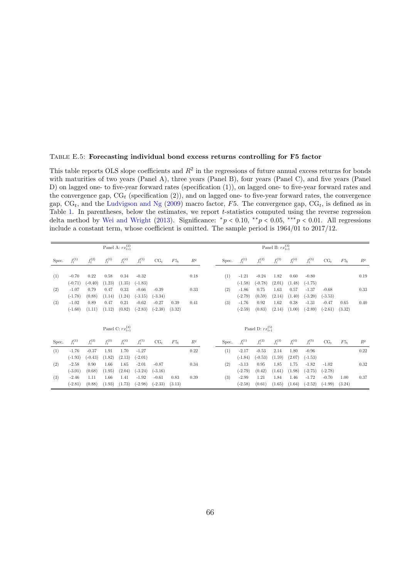### <span id="page-66-0"></span>Table E.5: Forecasting individual bond excess returns controlling for F5 factor

This table reports OLS slope coefficients and  $R^2$  in the regressions of future annual excess returns for bonds with maturities of two years (Panel A), three years (Panel B), four years (Panel C), and five years (Panel D) on lagged one- to five-year forward rates (specification (1)), on lagged one- to five-year forward rates and the convergence gap,  $CG_t$  (specification  $(2)$ ), and on lagged one- to five-year forward rates, the convergence gap,  $CG_t$ , and the [Ludvigson and Ng](#page-36-0) [\(2009\)](#page-36-0) macro factor, F5. The convergence gap,  $CG_t$ , is defined as in Table [1.](#page-40-0) In parentheses, below the estimates, we report t-statistics computed using the reverse regression delta method by [Wei and Wright](#page-37-6) [\(2013\)](#page-37-6). Significance:  $\frac{*p}{0.10}$ ,  $\frac{**p}{0.05}$ ,  $\frac{***p}{0.01}$ . All regressions include a constant term, whose coefficient is omitted. The sample period is 1964/01 to 2017/12.

|       |             |             |             | Panel A: $rx_{t+1}^{(2)}$ |             |           |        |                |       |             |                           | Panel B: $rx_{t+1}^{(3)}$ |             |             |           |        |       |
|-------|-------------|-------------|-------------|---------------------------|-------------|-----------|--------|----------------|-------|-------------|---------------------------|---------------------------|-------------|-------------|-----------|--------|-------|
| Spec. | $f_t^{(1)}$ | $f_t^{(2)}$ | $f_t^{(3)}$ | $f_t^{(4)}$               | $f_t^{(5)}$ | $CG_t$    | $F5_t$ | $R^2$          | Spec. | $f_t^{(1)}$ | $f_t^{(2)}$               | $f_t^{(3)}$               | $f_t^{(4)}$ | $f_t^{(5)}$ | $CG_t$    | $F5_t$ | $R^2$ |
| (1)   | $-0.70$     | 0.22        | 0.58        | 0.34                      | $-0.32$     |           |        | 0.18           | (1)   | $-1.21$     | $-0.24$                   | 1.82                      | 0.60        | $-0.80$     |           |        | 0.19  |
|       | $(-0.71)$   | $(-0.40)$   | (1.23)      | (1.35)                    | $(-1.83)$   |           |        |                |       | $(-1.58)$   | $(-0.78)$                 | (2.01)                    | (1.48)      | $(-1.75)$   |           |        |       |
| (2)   | $-1.07$     | 0.79        | 0.47        | 0.33                      | $-0.66$     | $-0.39$   |        | 0.33           | (2)   | $-1.86$     | 0.75                      | 1.63                      | 0.57        | $-1.37$     | $-0.68$   |        | 0.33  |
|       | $(-1.78)$   | (0.88)      | (1.14)      | (1.24)                    | $(-3.15)$   | $(-3.34)$ |        |                |       | $(-2.79)$   | (0.59)                    | (2.14)                    | (1.40)      | $(-3.20)$   | $(-3.53)$ |        |       |
| (3)   | $-1.02$     | 0.89        | 0.47        | 0.21                      | $-0.62$     | $-0.27$   | 0.39   | 0.41           | (3)   | $-1.76$     | 0.92                      | 1.62                      | 0.38        | $-1.31$     | $-0.47$   | 0.65   | 0.40  |
|       | $(-1.60)$   | (1.11)      | (1.12)      | (0.82)                    | $(-2.83)$   | $(-2.38)$ | (3.32) |                |       | $(-2.59)$   | (0.83)                    | (2.14)                    | (1.00)      | $(-2.89)$   | $(-2.61)$ | (3.32) |       |
|       |             |             |             | Panel C: $rx_{i+1}^{(4)}$ |             |           |        |                |       |             | Panel D: $rx_{t+1}^{(5)}$ |                           |             |             |           |        |       |
| Spec. | $f_t^{(1)}$ | $f_t^{(2)}$ | $f_t^{(3)}$ | $f_t^{(4)}$               | $f_t^{(5)}$ | $CG_t$    | $F5_t$ | $\mathbb{R}^2$ | Spec. | $f_t^{(1)}$ | $f_t^{(2)}$               | $f_t^{(3)}$               | $f_t^{(4)}$ | $f_t^{(5)}$ | $CG_t$    | $F5_t$ | $R^2$ |
| (1)   | $-1.76$     | $-0.37$     | 1.91        | 1.70                      | $-1.27$     |           |        | 0.22           | (1)   | $-2.17$     | $-0.53$                   | 2.14                      | 1.80        | $-0.96$     |           |        | 0.22  |
|       | $(-1.93)$   | $(-0.43)$   | (1.82)      | (2.13)                    | $(-2.01)$   |           |        |                |       | $(-1.84)$   | $(-0.53)$                 | (1.59)                    | (2.07)      | $(-1.53)$   |           |        |       |
| (2)   | $-2.58$     | 0.90        | 1.66        | 1.65                      | $-2.01$     | $-0.87$   |        | 0.34           | (2)   | $-3.13$     | 0.95                      | 1.85                      | 1.75        | $-1.82$     | $-1.02$   |        | 0.32  |
|       | $(-3.01)$   | (0.68)      | (1.95)      | (2.04)                    | $(-3.24)$   | $(-3.16)$ |        |                |       | $(-2.79)$   | (0.42)                    | (1.61)                    | (1.98)      | $(-2.75)$   | $(-2.78)$ |        |       |
| (3)   | $-2.46$     | 1.11        | 1.66        | 1.41                      | $-1.92$     | $-0.61$   | 0.83   | 0.39           | (3)   | $-2.99$     | 1.21                      | 1.84                      | 1.46        | $-1.72$     | $-0.70$   | 1.00   | 0.37  |
|       | $(-2.81)$   | (0.88)      | (1.93)      | (1.73)                    | $(-2.98)$   | $(-2.33)$ | (3.13) |                |       | $(-2.58)$   | (0.61)                    | (1.65)                    | (1.64)      | $(-2.52)$   | $(-1.99)$ | (3.24) |       |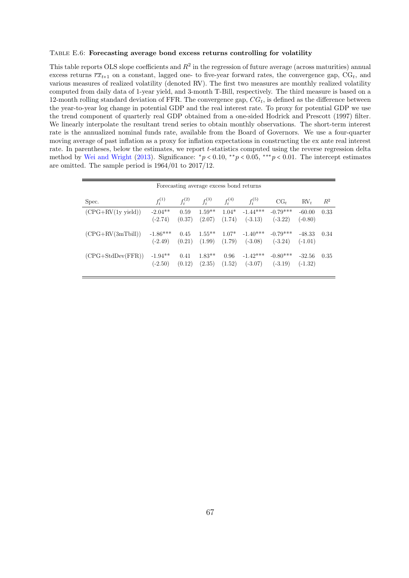#### <span id="page-67-0"></span>Table E.6: Forecasting average bond excess returns controlling for volatility

This table reports OLS slope coefficients and  $R^2$  in the regression of future average (across maturities) annual excess returns  $\overline{rx}_{t+1}$  on a constant, lagged one- to five-year forward rates, the convergence gap,  $CG_t$ , and various measures of realized volatility (denoted RV). The first two measures are monthly realized volatility computed from daily data of 1-year yield, and 3-month T-Bill, respectively. The third measure is based on a 12-month rolling standard deviation of FFR. The convergence gap,  $CG_t$ , is defined as the difference between the year-to-year log change in potential GDP and the real interest rate. To proxy for potential GDP we use the trend component of quarterly real GDP obtained from a one-sided Hodrick and Prescott (1997) filter. We linearly interpolate the resultant trend series to obtain monthly observations. The short-term interest rate is the annualized nominal funds rate, available from the Board of Governors. We use a four-quarter moving average of past inflation as a proxy for inflation expectations in constructing the ex ante real interest rate. In parentheses, below the estimates, we report t-statistics computed using the reverse regression delta method by [Wei and Wright](#page-37-6) [\(2013\)](#page-37-6). Significance:  $\binom{*}{p}$  < 0.10,  $\binom{**}{p}$  < 0.05,  $\binom{**}{p}$  < 0.01. The intercept estimates are omitted. The sample period is 1964/01 to 2017/12.

| Forecasting average excess bond returns |                         |                |                     |                   |                         |                         |                       |       |
|-----------------------------------------|-------------------------|----------------|---------------------|-------------------|-------------------------|-------------------------|-----------------------|-------|
| Spec.                                   | $f_t^{(1)}$             | $f_t^{(2)}$    | $f_t^{(3)}$         | $f_t^{(4)}$       | $f_t^{(5)}$             | $CG_t$                  | $RV_t$                | $R^2$ |
| $(CPG+RV(1y yield))$                    | $-2.04**$<br>$(-2.74)$  | 0.59<br>(0.37) | $1.59**$<br>(2.07)  | $1.04*$<br>(1.74) | $-1.44***$<br>$(-3.13)$ | $-0.79***$<br>$(-3.22)$ | $-60.00$<br>$(-0.80)$ | 0.33  |
| $(CPG + RV(3mTbill))$                   | $-1.86***$<br>$(-2.49)$ | 0.45<br>(0.21) | $1.55***$<br>(1.99) | $1.07*$<br>(1.79) | $-1.40***$<br>$(-3.08)$ | $-0.79***$<br>$(-3.24)$ | $-48.33$<br>$(-1.01)$ | 0.34  |
| $(CPG + StdDev(FFR))$                   | $-1.94**$<br>$(-2.50)$  | 0.41<br>(0.12) | $1.83**$<br>(2.35)  | 0.96<br>(1.52)    | $-1.42***$<br>$(-3.07)$ | $-0.80***$<br>$(-3.19)$ | $-32.56$<br>$(-1.32)$ | 0.35  |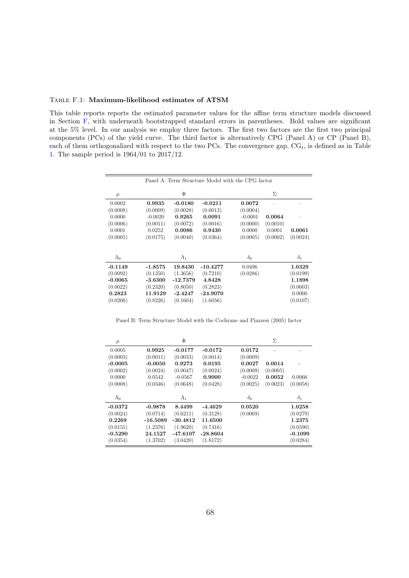#### <span id="page-68-0"></span>Table F.1: Maximum-likelihood estimates of ATSM

This table reports reports the estimated parameter values for the affine term structure models discussed in Section [F,](#page-57-0) with underneath bootstrapped standard errors in parentheses. Bold values are significant at the 5% level. In our analysis we employ three factors. The first two factors are the first two principal components (PCs) of the yield curve. The third factor is alternatively CPG (Panel A) or CP (Panel B), each of them orthogonalized with respect to the two PCs. The convergence gap,  $CG_t$ , is defined as in Table [1.](#page-40-0) The sample period is 1964/01 to 2017/12.

|             |           |             |            | Panel A: Term Structure Model with the CPG factor |          |            |
|-------------|-----------|-------------|------------|---------------------------------------------------|----------|------------|
| $\mu$       |           | Φ           |            |                                                   | Σ        |            |
| 0.0002      | 0.9935    | $-0.0180$   | $-0.0211$  | 0.0072                                            |          |            |
| (0.0008)    | (0.0009)  | (0.0028)    | (0.0013)   | (0.0004)                                          |          |            |
| 0.0000      | $-0.0020$ | 0.9265      | 0.0091     | $-0.0001$                                         | 0.0064   |            |
| (0.0006)    | (0.0011)  | (0.0072)    | (0.0016)   | (0.0000)                                          | (0.0010) |            |
| 0.0001      | 0.0252    | 0.0086      | 0.9430     | 0.0000                                            | 0.0001   | 0.0061     |
| (0.0005)    | (0.0175)  | (0.0040)    | (0.0364)   | (0.0005)                                          | (0.0002) | (0.0024)   |
|             |           |             |            |                                                   |          |            |
| $\Lambda_0$ |           | $\Lambda_1$ |            | $\delta_0$                                        |          | $\delta_1$ |
| $-0.1149$   | $-1.8575$ | 19.8430     | $-10.4277$ | 0.0496                                            |          | 1.0329     |
| (0.0092)    | (0.1350)  | (1.3656)    | (0.7210)   | (0.0286)                                          |          | (0.0199)   |
| $-0.0065$   | $-3.6300$ | $-12.7379$  | 4.8428     |                                                   |          | 1.1898     |
| (0.0022)    | (0.2320)  | (0.8050)    | (0.2823)   |                                                   |          | (0.0603)   |
| 0.2823      | 11.9129   | $-2.4247$   | $-24.9070$ |                                                   |          | 0.0000     |
| (0.0206)    | (0.8226)  | (0.1604)    | (1.6056)   |                                                   |          | (0.0107)   |

Panel B: Term Structure Model with the Cochrane and Piazzesi (2005) factor

| $\mu$       |            | Ф           |           |            | Σ.       |            |
|-------------|------------|-------------|-----------|------------|----------|------------|
| 0.0005      | 0.9925     | $-0.0177$   | $-0.0172$ | 0.0172     |          |            |
| (0.0003)    | (0.0011)   | (0.0033)    | (0.0014)  | (0.0009)   |          |            |
| $-0.0005$   | $-0.0050$  | 0.9273      | 0.0195    | 0.0027     | 0.0014   |            |
| (0.0002)    | (0.0024)   | (0.0047)    | (0.0024)  | (0.0009)   | (0.0005) |            |
| 0.0000      | 0.0542     | $-0.0567$   | 0.9000    | $-0.0022$  | 0.0052   | 0.0066     |
| (0.0008)    | (0.0346)   | (0.0648)    | (0.0428)  | (0.0025)   | (0.0023) | (0.0058)   |
| $\Lambda_0$ |            | $\Lambda_1$ |           | $\delta_0$ |          | $\delta_1$ |
| $-0.0372$   | $-0.9878$  | 8.4499      | -4.4629   | 0.0520     |          | 1.0258     |
| (0.0024)    | (0.0714)   | (0.6211)    | (0.3128)  | (0.0069)   |          | (0.0279)   |
| 0.2269      | $-16.5089$ | $-30.4812$  | 11.6500   |            |          | 1.2375     |
| (0.0155)    | (1.2376)   | (1.9620)    | (0.7416)  |            |          | (0.0590)   |
| $-0.5290$   | 24.1527    | -47.6107    | -28.8604  |            |          | $-0.1099$  |
| (0.0354)    |            |             |           |            |          |            |